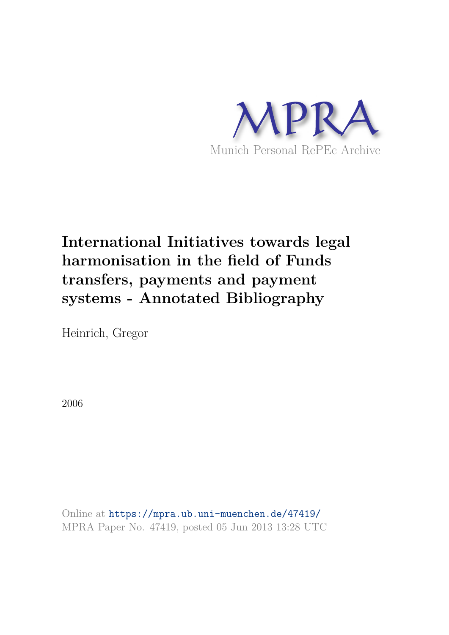

# **International Initiatives towards legal harmonisation in the field of Funds transfers, payments and payment systems - Annotated Bibliography**

Heinrich, Gregor

2006

Online at https://mpra.ub.uni-muenchen.de/47419/ MPRA Paper No. 47419, posted 05 Jun 2013 13:28 UTC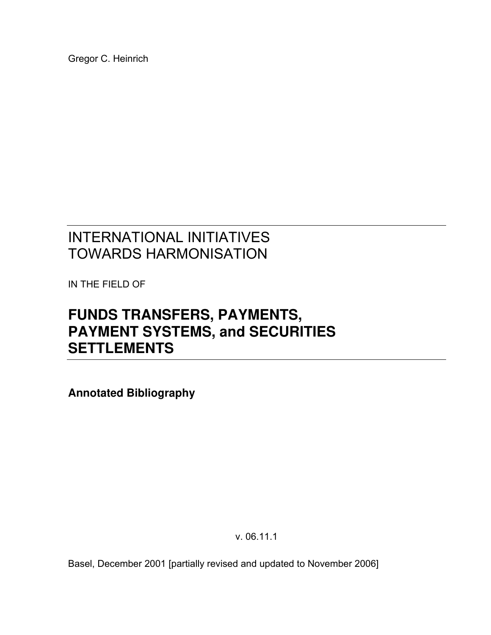Gregor C. Heinrich

# INTERNATIONAL INITIATIVES TOWARDS HARMONISATION

IN THE FIELD OF

# **FUNDS TRANSFERS, PAYMENTS, PAYMENT SYSTEMS, and SECURITIES SETTLEMENTS**

**Annotated Bibliography** 

v. 06.11.1

Basel, December 2001 [partially revised and updated to November 2006]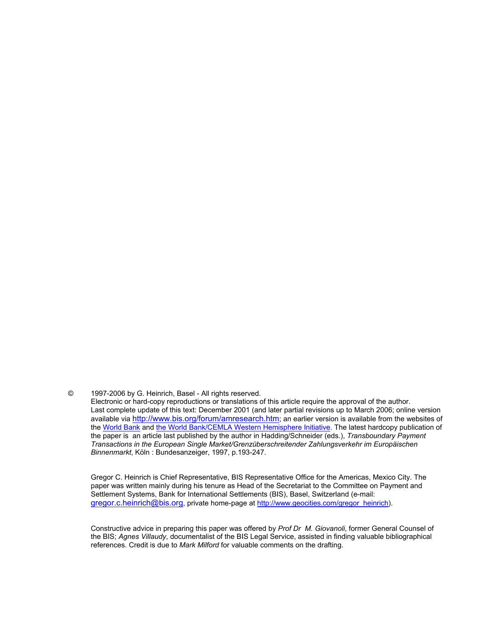© 1997-2006 by G. Heinrich, Basel - All rights reserved.

 Gregor C. Heinrich is Chief Representative, BIS Representative Office for the Americas, Mexico City. The paper was written mainly during his tenure as Head of the Secretariat to the Committee on Payment and Settlement Systems, Bank for International Settlements (BIS), Basel, Switzerland (e-mail: gregor.c.heinrich@bis.org, private home-page at http://www.geocities.com/gregor\_heinrich).

 Constructive advice in preparing this paper was offered by *Prof Dr M. Giovanoli*, former General Counsel of the BIS; *Agnes Villaudy*, documentalist of the BIS Legal Service, assisted in finding valuable bibliographical references. Credit is due to *Mark Milford* for valuable comments on the drafting.

Electronic or hard-copy reproductions or translations of this article require the approval of the author. Last complete update of this text: December 2001 (and later partial revisions up to March 2006; online version available via http://www.bis.org/forum/amresearch.htm; an earlier version is available from the websites of the World Bank and the World Bank/CEMLA Western Hemisphere Initiative. The latest hardcopy publication of the paper is an article last published by the author in Hadding/Schneider (eds.), *Transboundary Payment Transactions in the European Single Market/Grenzüberschreitender Zahlungsverkehr im Europäischen Binnenmarkt*, Köln : Bundesanzeiger, 1997, p.193-247.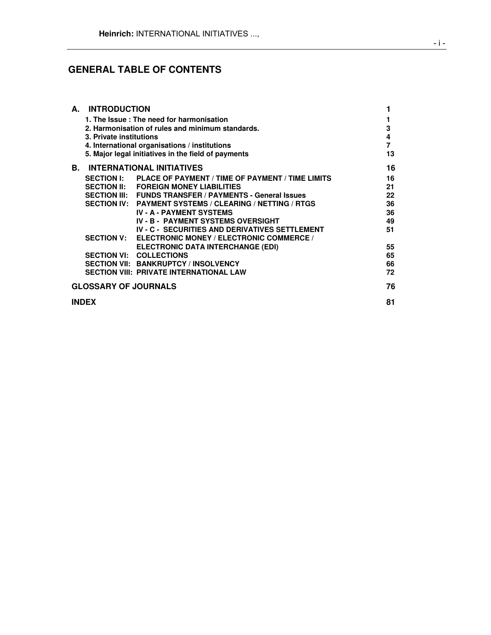# **GENERAL TABLE OF CONTENTS**

|                             | A. INTRODUCTION         |                                                                |    |
|-----------------------------|-------------------------|----------------------------------------------------------------|----|
|                             |                         | 1. The Issue: The need for harmonisation                       | 1  |
|                             |                         | 2. Harmonisation of rules and minimum standards.               | 3  |
|                             | 3. Private institutions |                                                                | 4  |
|                             |                         | 4. International organisations / institutions                  | 7  |
|                             |                         | 5. Major legal initiatives in the field of payments            | 13 |
| В.                          |                         | <b>INTERNATIONAL INITIATIVES</b>                               | 16 |
|                             |                         | SECTION I: PLACE OF PAYMENT / TIME OF PAYMENT / TIME LIMITS    | 16 |
|                             |                         | SECTION II: FOREIGN MONEY LIABILITIES                          | 21 |
|                             |                         | <b>SECTION III: FUNDS TRANSFER / PAYMENTS - General Issues</b> | 22 |
|                             |                         | SECTION IV: PAYMENT SYSTEMS / CLEARING / NETTING / RTGS        | 36 |
|                             |                         | <b>IV - A - PAYMENT SYSTEMS</b>                                | 36 |
|                             |                         | <b>IV - B - PAYMENT SYSTEMS OVERSIGHT</b>                      | 49 |
|                             |                         | <b>IV - C - SECURITIES AND DERIVATIVES SETTLEMENT</b>          | 51 |
|                             |                         | SECTION V: ELECTRONIC MONEY / ELECTRONIC COMMERCE /            |    |
|                             |                         | <b>ELECTRONIC DATA INTERCHANGE (EDI)</b>                       | 55 |
|                             |                         | <b>SECTION VI: COLLECTIONS</b>                                 | 65 |
|                             |                         | <b>SECTION VII: BANKRUPTCY / INSOLVENCY</b>                    | 66 |
|                             |                         | <b>SECTION VIII: PRIVATE INTERNATIONAL LAW</b>                 | 72 |
| <b>GLOSSARY OF JOURNALS</b> |                         |                                                                | 76 |
| <b>INDEX</b>                |                         |                                                                | 81 |
|                             |                         |                                                                |    |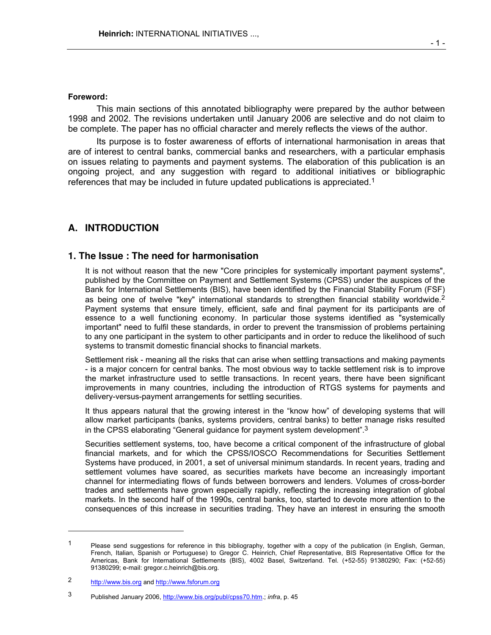This main sections of this annotated bibliography were prepared by the author between 1998 and 2002. The revisions undertaken until January 2006 are selective and do not claim to be complete. The paper has no official character and merely reflects the views of the author.

 Its purpose is to foster awareness of efforts of international harmonisation in areas that are of interest to central banks, commercial banks and researchers, with a particular emphasis on issues relating to payments and payment systems. The elaboration of this publication is an ongoing project, and any suggestion with regard to additional initiatives or bibliographic references that may be included in future updated publications is appreciated.<sup>1</sup>

# **A. INTRODUCTION**

# **1. The Issue : The need for harmonisation**

 It is not without reason that the new "Core principles for systemically important payment systems", published by the Committee on Payment and Settlement Systems (CPSS) under the auspices of the Bank for International Settlements (BIS), have been identified by the Financial Stability Forum (FSF) as being one of twelve "key" international standards to strengthen financial stability worldwide.<sup>2</sup> Payment systems that ensure timely, efficient, safe and final payment for its participants are of essence to a well functioning economy. In particular those systems identified as "systemically important" need to fulfil these standards, in order to prevent the transmission of problems pertaining to any one participant in the system to other participants and in order to reduce the likelihood of such systems to transmit domestic financial shocks to financial markets.

 Settlement risk - meaning all the risks that can arise when settling transactions and making payments - is a major concern for central banks. The most obvious way to tackle settlement risk is to improve the market infrastructure used to settle transactions. In recent years, there have been significant improvements in many countries, including the introduction of RTGS systems for payments and delivery-versus-payment arrangements for settling securities.

 It thus appears natural that the growing interest in the "know how" of developing systems that will allow market participants (banks, systems providers, central banks) to better manage risks resulted in the CPSS elaborating "General guidance for payment system development".<sup>3</sup>

 Securities settlement systems, too, have become a critical component of the infrastructure of global financial markets, and for which the CPSS/IOSCO Recommendations for Securities Settlement Systems have produced, in 2001, a set of universal minimum standards. In recent years, trading and settlement volumes have soared, as securities markets have become an increasingly important channel for intermediating flows of funds between borrowers and lenders. Volumes of cross-border trades and settlements have grown especially rapidly, reflecting the increasing integration of global markets. In the second half of the 1990s, central banks, too, started to devote more attention to the consequences of this increase in securities trading. They have an interest in ensuring the smooth

l

<sup>1</sup> Please send suggestions for reference in this bibliography, together with a copy of the publication (in English, German, French, Italian, Spanish or Portuguese) to Gregor C. Heinrich, Chief Representative, BIS Representative Office for the Americas, Bank for International Settlements (BIS), 4002 Basel, Switzerland. Tel. (+52-55) 91380290; Fax: (+52-55) 91380299; e-mail: gregor.c.heinrich@bis.org.

<sup>2</sup> http://www.bis.org and http://www.fsforum.org

<sup>3</sup> Published January 2006, http://www.bis.org/publ/cpss70.htm.; *infra*, p. 45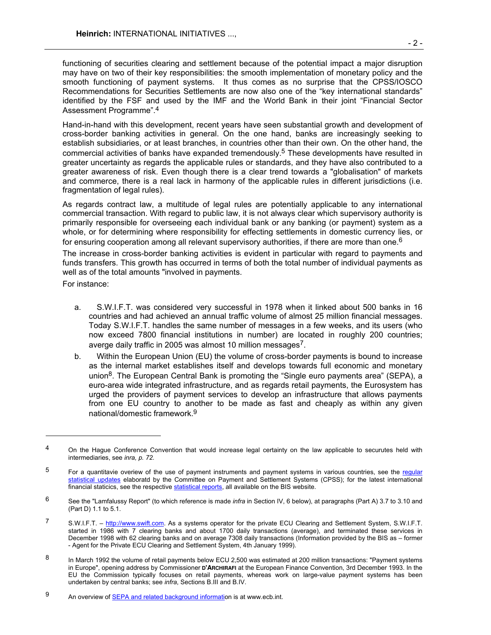functioning of securities clearing and settlement because of the potential impact a major disruption may have on two of their key responsibilities: the smooth implementation of monetary policy and the smooth functioning of payment systems. It thus comes as no surprise that the CPSS/IOSCO Recommendations for Securities Settlements are now also one of the "key international standards" identified by the FSF and used by the IMF and the World Bank in their joint "Financial Sector Assessment Programme".<sup>4</sup>

 Hand-in-hand with this development, recent years have seen substantial growth and development of cross-border banking activities in general. On the one hand, banks are increasingly seeking to establish subsidiaries, or at least branches, in countries other than their own. On the other hand, the commercial activities of banks have expanded tremendously.5 These developments have resulted in greater uncertainty as regards the applicable rules or standards, and they have also contributed to a greater awareness of risk. Even though there is a clear trend towards a "globalisation" of markets and commerce, there is a real lack in harmony of the applicable rules in different jurisdictions (i.e. fragmentation of legal rules).

 As regards contract law, a multitude of legal rules are potentially applicable to any international commercial transaction. With regard to public law, it is not always clear which supervisory authority is primarily responsible for overseeing each individual bank or any banking (or payment) system as a whole, or for determining where responsibility for effecting settlements in domestic currency lies, or for ensuring cooperation among all relevant supervisory authorities, if there are more than one.<sup>6</sup>

 The increase in cross-border banking activities is evident in particular with regard to payments and funds transfers. This growth has occurred in terms of both the total number of individual payments as well as of the total amounts "involved in payments.

For instance:

-

- a. S.W.I.F.T. was considered very successful in 1978 when it linked about 500 banks in 16 countries and had achieved an annual traffic volume of almost 25 million financial messages. Today S.W.I.F.T. handles the same number of messages in a few weeks, and its users (who now exceed 7800 financial institutions in number) are located in roughly 200 countries; averge daily traffic in 2005 was almost 10 million messages<sup>7</sup>.
- b. Within the European Union (EU) the volume of cross-border payments is bound to increase as the internal market establishes itself and develops towards full economic and monetary union<sup>8</sup>. The European Central Bank is promoting the "Single euro payments area" (SEPA), a euro-area wide integrated infrastructure, and as regards retail payments, the Eurosystem has urged the providers of payment services to develop an infrastructure that allows payments from one EU country to another to be made as fast and cheaply as within any given national/domestic framework.<sup>9</sup>

<sup>&</sup>lt;sup>4</sup> On the Hague Conference Convention that would increase legal certainty on the law applicable to securutes held with intermediaries, see *inra, p. 72.*

 $5$  For a quantitavie overiew of the use of payment instruments and payment systems in various countries, see the regular statistical updates elaboratd by the Committee on Payment and Settlement Systems (CPSS); for the latest international financial staticics, see the respective statistical reports, all available on the BIS website.

<sup>6</sup> See the "Lamfalussy Report" (to which reference is made *infra* in Section IV, 6 below), at paragraphs (Part A) 3.7 to 3.10 and (Part D) 1.1 to 5.1.

<sup>7</sup> S.W.I.F.T. – http://www.swift.com. As a systems operator for the private ECU Clearing and Settlement System, S.W.I.F.T. started in 1986 with 7 clearing banks and about 1700 daily transactions (average), and terminated these services in December 1998 with 62 clearing banks and on average 7308 daily transactions (Information provided by the BIS as – former - Agent for the Private ECU Clearing and Settlement System, 4th January 1999).

<sup>8</sup> In March 1992 the volume of retail payments below ECU 2,500 was estimated at 200 million transactions: "Payment systems in Europe", opening address by Commissioner **D'ARCHIRAFI** at the European Finance Convention, 3rd December 1993. In the EU the Commission typically focuses on retail payments, whereas work on large-value payment systems has been undertaken by central banks; see *infra*, Sections B.III and B.IV.

<sup>9</sup> An overview of SEPA and related background information is at www.ecb.int.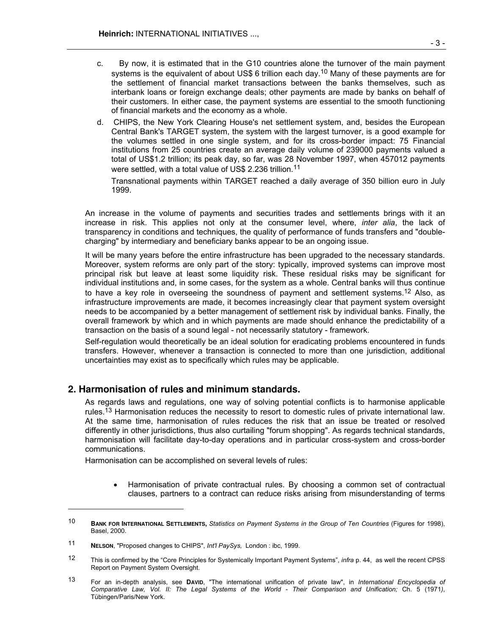- c. By now, it is estimated that in the G10 countries alone the turnover of the main payment systems is the equivalent of about US\$ 6 trillion each day.<sup>10</sup> Many of these payments are for the settlement of financial market transactions between the banks themselves, such as interbank loans or foreign exchange deals; other payments are made by banks on behalf of their customers. In either case, the payment systems are essential to the smooth functioning of financial markets and the economy as a whole.
- d. CHIPS, the New York Clearing House's net settlement system, and, besides the European Central Bank's TARGET system, the system with the largest turnover, is a good example for the volumes settled in one single system, and for its cross-border impact: 75 Financial institutions from 25 countries create an average daily volume of 239000 payments valued a total of US\$1.2 trillion; its peak day, so far, was 28 November 1997, when 457012 payments were settled, with a total value of US\$ 2.236 trillion.<sup>11</sup>

Transnational payments within TARGET reached a daily average of 350 billion euro in July 1999.

 An increase in the volume of payments and securities trades and settlements brings with it an increase in risk. This applies not only at the consumer level, where, *inter alia*, the lack of transparency in conditions and techniques, the quality of performance of funds transfers and "doublecharging" by intermediary and beneficiary banks appear to be an ongoing issue.

 It will be many years before the entire infrastructure has been upgraded to the necessary standards. Moreover, system reforms are only part of the story: typically, improved systems can improve most principal risk but leave at least some liquidity risk. These residual risks may be significant for individual institutions and, in some cases, for the system as a whole. Central banks will thus continue to have a key role in overseeing the soundness of payment and settlement systems.<sup>12</sup> Also, as infrastructure improvements are made, it becomes increasingly clear that payment system oversight needs to be accompanied by a better management of settlement risk by individual banks. Finally, the overall framework by which and in which payments are made should enhance the predictability of a transaction on the basis of a sound legal - not necessarily statutory - framework.

 Self-regulation would theoretically be an ideal solution for eradicating problems encountered in funds transfers. However, whenever a transaction is connected to more than one jurisdiction, additional uncertainties may exist as to specifically which rules may be applicable.

# **2. Harmonisation of rules and minimum standards.**

 As regards laws and regulations, one way of solving potential conflicts is to harmonise applicable rules.13 Harmonisation reduces the necessity to resort to domestic rules of private international law. At the same time, harmonisation of rules reduces the risk that an issue be treated or resolved differently in other jurisdictions, thus also curtailing "forum shopping". As regards technical standards, harmonisation will facilitate day-to-day operations and in particular cross-system and cross-border communications.

Harmonisation can be accomplished on several levels of rules:

• Harmonisation of private contractual rules. By choosing a common set of contractual clauses, partners to a contract can reduce risks arising from misunderstanding of terms

l

<sup>10</sup> **BANK FOR INTERNATIONAL SETTLEMENTS,** *Statistics on Payment Systems in the Group of Ten Countries* (Figures for 1998), Basel, 2000.

<sup>11</sup> **NELSON**, "Proposed changes to CHIPS", *Int'l PaySys,* London : ibc, 1999.

<sup>12</sup> This is confirmed by the "Core Principles for Systemically Important Payment Systems", *infra* p. 44, as well the recent CPSS Report on Payment System Oversight.

<sup>13</sup> For an in-depth analysis, see **DAVID**, "The international unification of private law", in *International Encyclopedia of Comparative Law, Vol. II: The Legal Systems of the World - Their Comparison and Unification;* Ch. 5 (1971*)*, Tübingen/Paris/New York.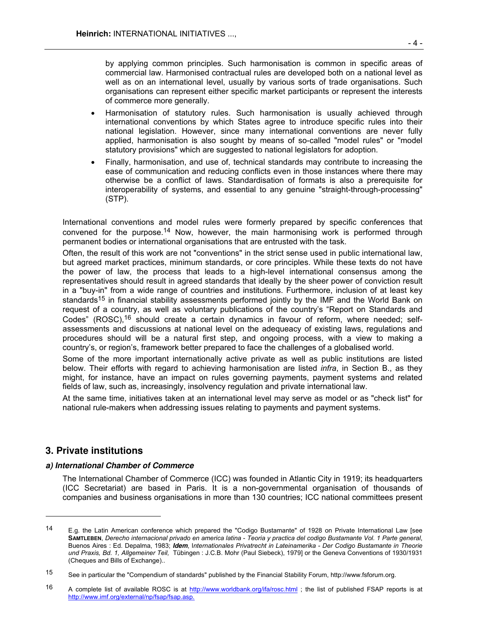by applying common principles. Such harmonisation is common in specific areas of commercial law. Harmonised contractual rules are developed both on a national level as well as on an international level, usually by various sorts of trade organisations. Such organisations can represent either specific market participants or represent the interests of commerce more generally.

- Harmonisation of statutory rules. Such harmonisation is usually achieved through international conventions by which States agree to introduce specific rules into their national legislation. However, since many international conventions are never fully applied, harmonisation is also sought by means of so-called "model rules" or "model statutory provisions" which are suggested to national legislators for adoption.
- Finally, harmonisation, and use of, technical standards may contribute to increasing the ease of communication and reducing conflicts even in those instances where there may otherwise be a conflict of laws. Standardisation of formats is also a prerequisite for interoperability of systems, and essential to any genuine "straight-through-processing" (STP).

 International conventions and model rules were formerly prepared by specific conferences that convened for the purpose.14 Now, however, the main harmonising work is performed through permanent bodies or international organisations that are entrusted with the task.

 Often, the result of this work are not "conventions" in the strict sense used in public international law, but agreed market practices, minimum standards, or core principles. While these texts do not have the power of law, the process that leads to a high-level international consensus among the representatives should result in agreed standards that ideally by the sheer power of conviction result in a "buy-in" from a wide range of countries and institutions. Furthermore, inclusion of at least key standards<sup>15</sup> in financial stability assessments performed jointly by the IMF and the World Bank on request of a country, as well as voluntary publications of the country's "Report on Standards and Codes" (ROSC),<sup>16</sup> should create a certain dynamics in favour of reform, where needed; selfassessments and discussions at national level on the adequeacy of existing laws, regulations and procedures should will be a natural first step, and ongoing process, with a view to making a country's, or region's, framework better prepared to face the challenges of a globalised world.

 Some of the more important internationally active private as well as public institutions are listed below. Their efforts with regard to achieving harmonisation are listed *infra*, in Section B., as they might, for instance, have an impact on rules governing payments, payment systems and related fields of law, such as, increasingly, insolvency regulation and private international law.

 At the same time, initiatives taken at an international level may serve as model or as "check list" for national rule-makers when addressing issues relating to payments and payment systems.

# **3. Private institutions**

l

#### **a) International Chamber of Commerce**

 The International Chamber of Commerce (ICC) was founded in Atlantic City in 1919; its headquarters (ICC Secretariat) are based in Paris. It is a non-governmental organisation of thousands of companies and business organisations in more than 130 countries; ICC national committees present

<sup>14</sup> E.g. the Latin American conference which prepared the "Codigo Bustamante" of 1928 on Private International Law [see **SAMTLEBEN**, *Derecho internacional privado en america latina* - *Teoria y practica del codigo Bustamante Vol. 1 Parte general*, Buenos Aires : Ed. Depalma, 1983; **Idem**, I*nternationales Privatrecht in Lateinamerika - Der Codigo Bustamante in Theorie und Praxis, Bd. 1, Allgemeiner Teil,* Tübingen : J.C.B. Mohr (Paul Siebeck), 1979] or the Geneva Conventions of 1930/1931 (Cheques and Bills of Exchange)..

<sup>15</sup> See in particular the "Compendium of standards" published by the Financial Stability Forum, http://www.fsforum.org.

<sup>16</sup> A complete list of available ROSC is at http://www.worldbank.org/ifa/rosc.html; the list of published FSAP reports is at http://www.imf.org/external/np/fsap/fsap.asp.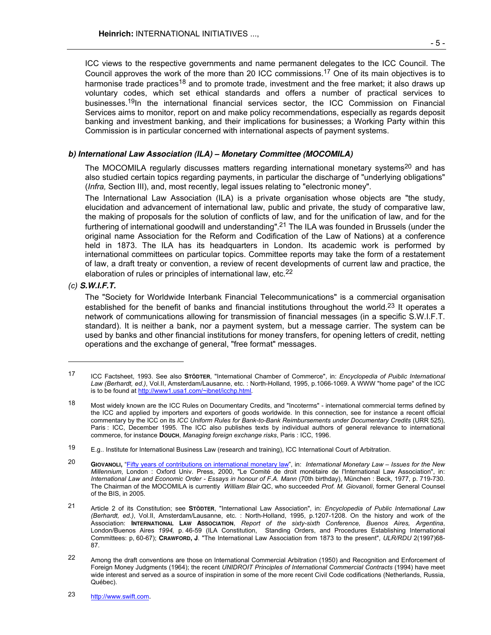ICC views to the respective governments and name permanent delegates to the ICC Council. The Council approves the work of the more than 20 ICC commissions.17 One of its main objectives is to harmonise trade practices<sup>18</sup> and to promote trade, investment and the free market; it also draws up voluntary codes, which set ethical standards and offers a number of practical services to businesses.<sup>19</sup>In the international financial services sector, the ICC Commission on Financial Services aims to monitor, report on and make policy recommendations, especially as regards deposit banking and investment banking, and their implications for businesses; a Working Party within this Commission is in particular concerned with international aspects of payment systems.

## **b) International Law Association (ILA) – Monetary Committee (MOCOMILA)**

The MOCOMILA regularly discusses matters regarding international monetary systems<sup>20</sup> and has also studied certain topics regarding payments, in particular the discharge of "underlying obligations" (*Infra,* Section III), and, most recently, legal issues relating to "electronic money".

 The International Law Association (ILA) is a private organisation whose objects are "the study, elucidation and advancement of international law, public and private, the study of comparative law, the making of proposals for the solution of conflicts of law, and for the unification of law, and for the furthering of international goodwill and understanding".21 The ILA was founded in Brussels (under the original name Association for the Reform and Codification of the Law of Nations) at a conference held in 1873. The ILA has its headquarters in London. Its academic work is performed by international committees on particular topics. Committee reports may take the form of a restatement of law, a draft treaty or convention, a review of recent developments of current law and practice, the elaboration of rules or principles of international law, etc.<sup>22</sup>

## *(c)* **S.W.I.F.T.**

l

 The "Society for Worldwide Interbank Financial Telecommunications" is a commercial organisation established for the benefit of banks and financial institutions throughout the world.<sup>23</sup> It operates a network of communications allowing for transmission of financial messages (in a specific S.W.I.F.T. standard). It is neither a bank, nor a payment system, but a message carrier. The system can be used by banks and other financial institutions for money transfers, for opening letters of credit, netting operations and the exchange of general, "free format" messages.

23 http://www.swift.com.

<sup>17</sup> ICC Factsheet, 1993. See also **STÖDTER**, "International Chamber of Commerce", in: *Encyclopedia of Puiblic International Law (Berhardt, ed.)*, Vol.II, Amsterdam/Lausanne, etc. : North-Holland, 1995, p.1066-1069. A WWW "home page" of the ICC is to be found at http://www1.usa1.com/~ibnet/icchp.html*.*

<sup>18</sup> Most widely known are the ICC Rules on Documentary Credits, and "Incoterms" - international commercial terms defined by the ICC and applied by importers and exporters of goods worldwide. In this connection, see for instance a recent official commentary by the ICC on its *ICC Uniform Rules for Bank-to-Bank Reimbursements under Documentary Credits* (URR 525), Paris : ICC, December 1995. The ICC also publishes texts by individual authors of general relevance to international commerce, for instance **DOUCH**, *Managing foreign exchange risks*, Paris : ICC, 1996.

<sup>19</sup> E.g.. Institute for International Business Law (research and training), ICC International Court of Arbitration.

<sup>20</sup> **GIOVANOLI,** "Fifty years of contributions on international monetary law", in: *International Monetary Law – Issues for the New Millennium*, London : Oxford Univ. Press, 2000, "Le Comité de droit monétaire de l'International Law Association", in: *International Law and Economic Order - Essays in honour of F.A. Mann* (70th birthday), München : Beck, 1977, p. 719-730. The Chairman of the MOCOMILA is currently *William Blair* QC, who succeeded *Prof. M. Giovanoli*, former General Counsel of the BIS, in 2005.

<sup>21</sup> Article 2 of its Constitution; see **STÖDTER**, "International Law Association", in: *Encyclopedia of Public International Law (Berhardt, ed.)*, Vol.II, Amsterdam/Lausanne, etc. : North-Holland, 1995, p.1207-1208. On the history and work of the Association: **INTERNATIONAL LAW ASSOCIATION**, *Report of the sixty-sixth Conference, Buenos Aires, Argentina*, London/Buenos Aires *1994,* p. 46-59 (ILA Constitution, Standing Orders, and Procedures Establishing International Committees: p, 60-67); **CRAWFORD, J**. "The International Law Association from 1873 to the present", *ULR/RDU* 2(1997)68- 87.

<sup>22</sup> Among the draft conventions are those on International Commercial Arbitration (1950) and Recognition and Enforcement of Foreign Money Judgments (1964); the recent *UNIDROIT Principles of International Commercial Contracts* (1994) have meet wide interest and served as a source of inspiration in some of the more recent Civil Code codifications (Netherlands, Russia, Québec).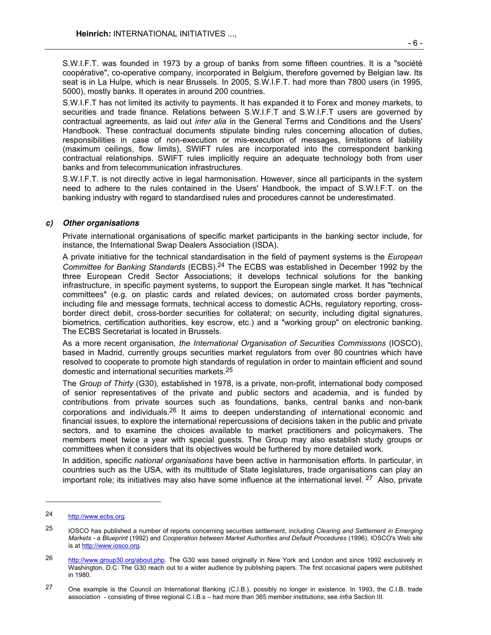S.W.I.F.T. was founded in 1973 by a group of banks from some fifteen countries. It is a "société coopérative", co-operative company, incorporated in Belgium, therefore governed by Belgian law. Its seat is in La Hulpe, which is near Brussels. In 2005, S.W.I.F.T. had more than 7800 users (in 1995, 5000), mostly banks. It operates in around 200 countries.

 S.W.I.F.T has not limited its activity to payments. It has expanded it to Forex and money markets, to securities and trade finance. Relations between S.W.I.F.T and S.W.I.F.T users are governed by contractual agreements, as laid out *inter alia* in the General Terms and Conditions and the Users' Handbook. These contractual documents stipulate binding rules concerning allocation of duties, responsibilities in case of non-execution or mis-execution of messages, limitations of liability (maximum ceilings, flow limits), SWIFT rules are incorporated into the correspondent banking contractual relationships. SWIFT rules implicitly require an adequate technology both from user banks and from telecommunication infrastructures.

 S.W.I.F.T. is not directly active in legal harmonisation. However, since all participants in the system need to adhere to the rules contained in the Users' Handbook, the impact of S.W.I.F.T. on the banking industry with regard to standardised rules and procedures cannot be underestimated.

#### **c) Other organisations**

 Private international organisations of specific market participants in the banking sector include, for instance, the International Swap Dealers Association (ISDA).

 A private initiative for the technical standardisation in the field of payment systems is the *European Committee for Banking Standards* (ECBS).24 The ECBS was established in December 1992 by the three European Credit Sector Associations; it develops technical solutions for the banking infrastructure, in specific payment systems, to support the European single market. It has "technical committees" (e.g. on plastic cards and related devices; on automated cross border payments, including file and message formats, technical access to domestic ACHs, regulatory reporting, crossborder direct debit, cross-border securities for collateral; on security, including digital signatures, biometrics, certification authorities, key escrow, etc.) and a "working group" on electronic banking. The ECBS Secretariat is located in Brussels.

 As a more recent organisation, *the International Organisation of Securities Commissions* (IOSCO), based in Madrid, currently groups securities market regulators from over 80 countries which have resolved to cooperate to promote high standards of regulation in order to maintain efficient and sound domestic and international securities markets.<sup>25</sup>

 The *Group of Thirty* (G30), established in 1978, is a private, non-profit, international body composed of senior representatives of the private and public sectors and academia, and is funded by contributions from private sources such as foundations, banks, central banks and non-bank corporations and individuals.<sup>26</sup> It aims to deepen understanding of international economic and financial issues, to explore the international repercussions of decisions taken in the public and private sectors, and to examine the choices available to market practitioners and policymakers. The members meet twice a year with special guests. The Group may also establish study groups or committees when it considers that its objectives would be furthered by more detailed work.

 In addition, specific *national organisations* have been active in harmonisation efforts. In particular, in countries such as the USA, with its multitude of State legislatures, trade organisations can play an important role; its initiatives may also have some influence at the international level.  $27$  Also, private

-

<sup>24</sup> http://www.ecbs.org.

<sup>25</sup> IOSCO has published a number of reports concerning securities settlement, including *Clearing and Settlement in Emerging Markets - a Blueprint* (1992) and *Cooperation between Market Authorities and Default Procedures* (1996). IOSCO's Web site is at http://www.iosco.org*.*

<sup>26</sup> http://www.group30.org/about.php. The G30 was based originally in New York and London and since 1992 exclusively in Washington, D.C. The G30 reach out to a wider audience by publishing papers. The first occasional papers were published in 1980.

<sup>27</sup> One example is the Council on International Banking (C.I.B.), possibly no longer in existence. In 1993, the C.I.B. trade association - consisting of three regional C.I.B.s – had more than 365 member institutions; see *infra* Section III.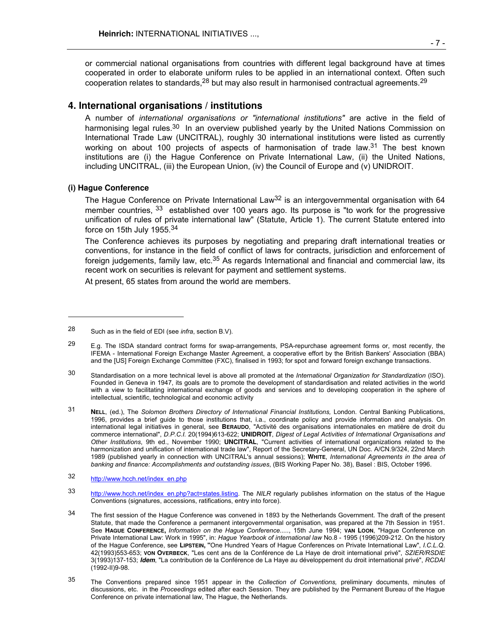or commercial national organisations from countries with different legal background have at times cooperated in order to elaborate uniform rules to be applied in an international context. Often such cooperation relates to standards, $^{28}$  but may also result in harmonised contractual agreements. $^{29}$ 

# **4. International organisations / institutions**

 A number of *international organisations or "international institutions"* are active in the field of harmonising legal rules.<sup>30</sup> In an overview published yearly by the United Nations Commission on International Trade Law (UNCITRAL), roughly 30 international institutions were listed as currently working on about 100 projects of aspects of harmonisation of trade law.<sup>31</sup> The best known institutions are (i) the Hague Conference on Private International Law, (ii) the United Nations, including UNCITRAL, (iii) the European Union, (iv) the Council of Europe and (v) UNIDROIT.

#### **(i) Hague Conference**

-

The Hague Conference on Private International Law<sup>32</sup> is an intergovernmental organisation with 64 member countries, <sup>33</sup> established over 100 years ago. Its purpose is "to work for the progressive unification of rules of private international law" (Statute, Article 1). The current Statute entered into force on 15th July 1955.<sup>34</sup>

 The Conference achieves its purposes by negotiating and preparing draft international treaties or conventions, for instance in the field of conflict of laws for contracts, jurisdiction and enforcement of foreign judgements, family law, etc.<sup>35</sup> As regards International and financial and commercial law, its recent work on securities is relevant for payment and settlement systems.

At present, 65 states from around the world are members.

- 33 http://www.hcch.net/index\_en.php?act=states.listing. The *NILR* regularly publishes information on the status of the Hague Conventions (signatures, accessions, ratifications, entry into force).
- <sup>34</sup> The first session of the Hague Conference was convened in 1893 by the Netherlands Government. The draft of the present Statute, that made the Conference a permanent intergovernmental organisation, was prepared at the 7th Session in 1951. See **HAGUE CONFERENCE,** *Information on the Hague Conference.....*, 15th June 1994; **VAN LOON**, "Hague Conference on Private International Law: Work in 1995", in: *Hague Yearbook of international law* No.8 - 1995 (1996)209-212. On the history of the Hague Conference, see **LIPSTEIN, "**One Hundred Years of Hague Conferences on Private International Law", *I.C.L.Q*. 42(1993)553-653; **VON OVERBECK**, "Les cent ans de la Conférence de La Haye de droit international privé", *SZIER/RSDIE*  3(1993)137-153; **Idem**, "La contribution de la Conférence de La Haye au développement du droit international privé", *RCDAI*  $(1992 - 11)9 - 98$ .
- 35 The Conventions prepared since 1951 appear in the *Collection of Conventions,* preliminary documents, minutes of discussions, etc. in the *Proceedings* edited after each Session. They are published by the Permanent Bureau of the Hague Conference on private international law, The Hague, the Netherlands.

<sup>28</sup> Such as in the field of EDI (see *infra*, section B.V).

 $29$  E.g. The ISDA standard contract forms for swap-arrangements, PSA-repurchase agreement forms or, most recently, the IFEMA - International Foreign Exchange Master Agreement, a cooperative effort by the British Bankers' Association (BBA) and the [US] Foreign Exchange Committee (FXC), finalised in 1993; for spot and forward foreign exchange transactions.

<sup>30</sup> Standardisation on a more technical level is above all promoted at the *International Organization for Standardization* (ISO). Founded in Geneva in 1947, its goals are to promote the development of standardisation and related activities in the world with a view to facilitating international exchange of goods and services and to developing cooperation in the sphere of intellectual, scientific, technological and economic activity

<sup>31</sup> **NELL**, (ed.), The *Solomon Brothers Directory of International Financial Institutions,* London. Central Banking Publications, 1996, provides a brief guide to those institutions that, i.a., coordinate policy and provide information and analysis. On international legal initiatives in general, see **BERAUDO**, "Activité des organisations internationales en matière de droit du commerce international", *D.P.C.I.* 20(1994)613-622; **UNIDROIT**, *Digest of Legal Activities of International Organisations and Other Institutions*, 9th ed., November 1990; **UNCITRAL**, "Current activities of international organizations related to the harmonization and unification of international trade law", Report of the Secretary-General, UN Doc. A/CN.9/324, 22nd March 1989 (published yearly in connection with UNCITRAL's annual sessions); **WHITE**, *International Agreements in the area of banking and finance: Accomplishments and outstanding issues*, (BIS Working Paper No. 38), Basel : BIS, October 1996.

<sup>32</sup> http://www.hcch.net/index\_en.php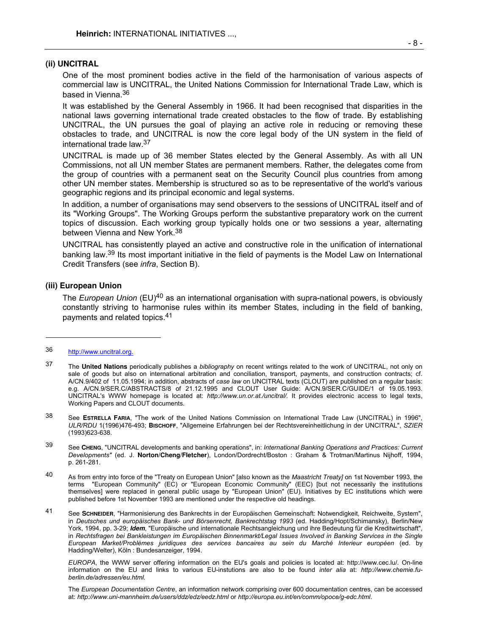#### **(ii) UNCITRAL**

 One of the most prominent bodies active in the field of the harmonisation of various aspects of commercial law is UNCITRAL, the United Nations Commission for International Trade Law, which is based in Vienna.<sup>36</sup>

 It was established by the General Assembly in 1966. It had been recognised that disparities in the national laws governing international trade created obstacles to the flow of trade. By establishing UNCITRAL, the UN pursues the goal of playing an active role in reducing or removing these obstacles to trade, and UNCITRAL is now the core legal body of the UN system in the field of international trade law.<sup>37</sup>

 UNCITRAL is made up of 36 member States elected by the General Assembly. As with all UN Commissions, not all UN member States are permanent members. Rather, the delegates come from the group of countries with a permanent seat on the Security Council plus countries from among other UN member states. Membership is structured so as to be representative of the world's various geographic regions and its principal economic and legal systems.

 In addition, a number of organisations may send observers to the sessions of UNCITRAL itself and of its "Working Groups". The Working Groups perform the substantive preparatory work on the current topics of discussion. Each working group typically holds one or two sessions a year, alternating between Vienna and New York.<sup>38</sup>

 UNCITRAL has consistently played an active and constructive role in the unification of international banking law.39 Its most important initiative in the field of payments is the Model Law on International Credit Transfers (see *infra*, Section B).

#### **(iii) European Union**

 The *European Union* (EU)40 as an international organisation with supra-national powers, is obviously constantly striving to harmonise rules within its member States, including in the field of banking, payments and related topics.<sup>41</sup>

l

 *EUROPA*, the WWW server offering information on the EU's goals and policies is located at: http://www.cec.lu/*.* On-line information on the EU and links to various EU-instutions are also to be found *inter alia* at: *http://www.chemie.fuberlin.de/adressen/eu.html.* 

 The *European Documentation Centre*, an information network comprising over 600 documentation centres, can be accessed at: *http://www.uni-mannheim.de/users/ddz/edz/eedz.html* or *http://europa.eu.int/en/comm/opoce/g-edc.html*.

<sup>36</sup> http://www.uncitral.org.

<sup>37</sup> The **United Nations** periodically publishes a *bibliography* on recent writings related to the work of UNCITRAL, not only on sale of goods but also on international arbitration and conciliation, transport, payments, and construction contracts; cf. A/CN.9/402 of 11.05.1994; in addition, abstracts of *case law* on UNCITRAL texts (CLOUT) are published on a regular basis: e.g. A/CN.9/SER.C/ABSTRACTS/8 of 21.12.1995 and CLOUT User Guide: A/CN.9/SER.C/GUIDE/1 of 19.05.1993. UNCITRAL's WWW homepage is located at: *http://www.un.or.at./uncitral/.* It provides electronic access to legal texts, Working Papers and CLOUT documents.

<sup>38</sup> See **ESTRELLA FARIA**, "The work of the United Nations Commission on International Trade Law (UNCITRAL) in 1996", *ULR/RDU* 1(1996)476-493; **BISCHOFF**, "Allgemeine Erfahrungen bei der Rechtsvereinheitlichung in der UNCITRAL", *SZIER* (1993)623-638.

<sup>39</sup> See **CHENG**, "UNCITRAL developments and banking operations", in: *International Banking Operations and Practices: Current Developments"* (ed. J. **Norton/Cheng/Fletcher**), London/Dordrecht/Boston : Graham & Trotman/Martinus Nijhoff, 1994, p. 261-281.

<sup>40</sup> As from entry into force of the "Treaty on European Union" [also known as the *Maastricht Treaty]* on 1st November 1993, the terms "European Community" (EC) or "European Economic Community" (EEC) [but not necessarily the institutions themselves] were replaced in general public usage by "European Union" (EU). Initiatives by EC institutions which were published before 1st November 1993 are mentioned under the respective old headings.

<sup>41</sup> See **SCHNEIDER**, "Harmonisierung des Bankrechts in der Europäischen Gemeinschaft: Notwendigkeit, Reichweite, System", in *Deutsches und europäisches Bank- und Börsenrecht, Bankrechtstag 1993* (ed. Hadding/Hopt/Schimansky), Berlin/New York, 1994, pp. 3-29; **Idem**, "Europäische und internationale Rechtsangleichung und ihre Bedeutung für die Kreditwirtschaft", in *Rechtsfragen bei Bankleistungen im Europäischen Binnenmarkt/Legal Issues Involved in Banking Services in the Single European Market/Problèmes juridiques des services bancaires au sein du Marché Interieur européen* (ed. by Hadding/Welter), Köln : Bundesanzeiger, 1994.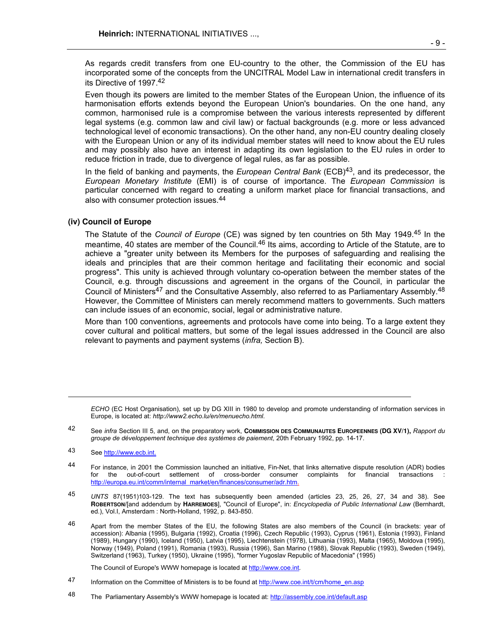As regards credit transfers from one EU-country to the other, the Commission of the EU has incorporated some of the concepts from the UNCITRAL Model Law in international credit transfers in its Directive of 1997.<sup>42</sup>

 Even though its powers are limited to the member States of the European Union, the influence of its harmonisation efforts extends beyond the European Union's boundaries. On the one hand, any common, harmonised rule is a compromise between the various interests represented by different legal systems (e.g. common law and civil law) or factual backgrounds (e.g. more or less advanced technological level of economic transactions). On the other hand, any non-EU country dealing closely with the European Union or any of its individual member states will need to know about the EU rules and may possibly also have an interest in adapting its own legislation to the EU rules in order to reduce friction in trade, due to divergence of legal rules, as far as possible.

 In the field of banking and payments, the *European Central Bank* (ECB)43, and its predecessor, the *European Monetary Institute* (EMI) is of course of importance. The *European Commission* is particular concerned with regard to creating a uniform market place for financial transactions, and also with consumer protection issues.<sup>44</sup>

#### **(iv) Council of Europe**

 The Statute of the *Council of Europe* (CE) was signed by ten countries on 5th May 1949.45 In the meantime, 40 states are member of the Council.<sup>46</sup> Its aims, according to Article of the Statute, are to achieve a "greater unity between its Members for the purposes of safeguarding and realising the ideals and principles that are their common heritage and facilitating their economic and social progress". This unity is achieved through voluntary co-operation between the member states of the Council, e.g. through discussions and agreement in the organs of the Council, in particular the Council of Ministers<sup>47</sup> and the Consultative Assembly, also referred to as Parliamentary Assembly.<sup>48</sup> However, the Committee of Ministers can merely recommend matters to governments. Such matters can include issues of an economic, social, legal or administrative nature.

 More than 100 conventions, agreements and protocols have come into being. To a large extent they cover cultural and political matters, but some of the legal issues addressed in the Council are also relevant to payments and payment systems (*infra,* Section B).

*ECHO* (EC Host Organisation), set up by DG XIII in 1980 to develop and promote understanding of information services in Europe, is located at: *http://www2.echo.lu/en/menuecho.html*.

42 See *infra* Section III 5, and, on the preparatory work, **COMMISSION DES COMMUNAUTES EUROPEENNES (DG XV/1),** *Rapport du groupe de développement technique des systèmes de paiement*, 20th February 1992, pp. 14-17.

l

- 44 For instance, in 2001 the Commission launched an initiative, Fin-Net, that links alternative dispute resolution (ADR) bodies<br>1 for the out-of-court settlement of cross-border consumer complaints for financial transactio for the out-of-court settlement of cross-border consumer complaints for http://europa.eu.int/comm/internal\_market/en/finances/consumer/adr.htm.
- 45 *UNTS* 87(1951)103-129. The text has subsequently been amended (articles 23, 25, 26, 27, 34 and 38). See **ROBERTSON/**[and addendum by **HARREMOES**], "Council of Europe", in: *Encyclopedia of Public International Law* (Bernhardt, ed.), Vol.I, Amsterdam : North-Holland, 1992, p. 843-850.

46 Apart from the member States of the EU, the following States are also members of the Council (in brackets: year of accession): Albania (1995), Bulgaria (1992), Croatia (1996), Czech Republic (1993), Cyprus (1961), Estonia (1993), Finland (1989), Hungary (1990), Iceland (1950), Latvia (1995), Liechtenstein (1978), Lithuania (1993), Malta (1965), Moldova (1995), Norway (1949), Poland (1991), Romania (1993), Russia (1996), San Marino (1988), Slovak Republic (1993), Sweden (1949), Switzerland (1963), Turkey (1950), Ukraine (1995), "former Yugoslav Republic of Macedonia" (1995)

The Council of Europe's WWW homepage is located at http://www.coe.int*.*

- 47 Information on the Committee of Ministers is to be found at http://www.coe.int/t/cm/home\_en.asp
- 48 The Parliamentary Assembly's WWW homepage is located at: http://assembly.coe.int/default.asp

<sup>43</sup> See http://www.ecb.int.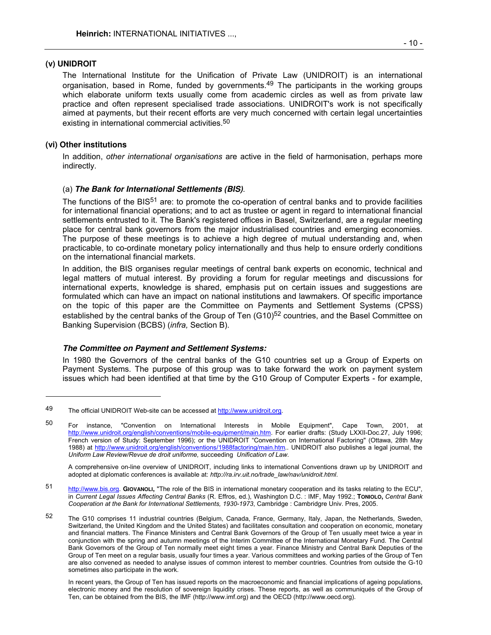#### **(v) UNIDROIT**

The International Institute for the Unification of Private Law (UNIDROIT) is an international organisation, based in Rome, funded by governments.<sup>49</sup> The participants in the working groups which elaborate uniform texts usually come from academic circles as well as from private law practice and often represent specialised trade associations. UNIDROIT's work is not specifically aimed at payments, but their recent efforts are very much concerned with certain legal uncertainties existing in international commercial activities.<sup>50</sup>

#### **(vi) Other institutions**

-

 In addition, *other international organisations* are active in the field of harmonisation, perhaps more indirectly.

#### (a) **The Bank for International Settlements (BIS)**.

The functions of the BIS<sup>51</sup> are: to promote the co-operation of central banks and to provide facilities for international financial operations; and to act as trustee or agent in regard to international financial settlements entrusted to it. The Bank's registered offices in Basel, Switzerland, are a regular meeting place for central bank governors from the major industrialised countries and emerging economies. The purpose of these meetings is to achieve a high degree of mutual understanding and, when practicable, to co-ordinate monetary policy internationally and thus help to ensure orderly conditions on the international financial markets.

 In addition, the BIS organises regular meetings of central bank experts on economic, technical and legal matters of mutual interest. By providing a forum for regular meetings and discussions for international experts, knowledge is shared, emphasis put on certain issues and suggestions are formulated which can have an impact on national institutions and lawmakers. Of specific importance on the topic of this paper are the Committee on Payments and Settlement Systems (CPSS) established by the central banks of the Group of Ten (G10)<sup>52</sup> countries, and the Basel Committee on Banking Supervision (BCBS) (*infra,* Section B).

#### **The Committee on Payment and Settlement Systems:**

 In 1980 the Governors of the central banks of the G10 countries set up a Group of Experts on Payment Systems. The purpose of this group was to take forward the work on payment system issues which had been identified at that time by the G10 Group of Computer Experts - for example,

 A comprehensive on-line overview of UNIDROIT, including links to international Conventions drawn up by UNIDROIT and adopted at diplomatic conferences is available at: *http://ra.irv.uit.no/trade\_law/nav/unidroit.html*.

51 http://www.bis.org. **GIOVANOLI,** "The role of the BIS in international monetary cooperation and its tasks relating to the ECU", in *Current Legal Issues Affecting Central Banks* (R. Effros, ed.), Washington D.C. : IMF, May 1992.; **TONIOLO,** *Central Bank Cooperation at the Bank for International Settlements, 1930-1973*, Cambridge : Cambridgre Univ. Pres, 2005.

<sup>49</sup> The official UNIDROIT Web-site can be accessed at http://www.unidroit.org*.*

<sup>50</sup> For instance, "Convention on International Interests in Mobile Equipment", Cape Town, 2001, at http://www.unidroit.org/english/conventions/mobile-equipment/main.htm. For earlier drafts: (Study LXXII-Doc.27, July 1996; French version of Study: September 1996); or the UNIDROIT "Convention on International Factoring" (Ottawa, 28th May 1988) at http://www.unidroit.org/english/conventions/1988factoring/main.htm*..* UNIDROIT also publishes a legal journal, the *Uniform Law Review/Revue de droit uniforme,* succeeding *Unification of Law*.

<sup>52</sup> The G10 comprises 11 industrial countries (Belgium, Canada, France, Germany, Italy, Japan, the Netherlands, Sweden, Switzerland, the United Kingdom and the United States) and facilitates consultation and cooperation on economic, monetary and financial matters. The Finance Ministers and Central Bank Governors of the Group of Ten usually meet twice a year in conjunction with the spring and autumn meetings of the Interim Committee of the International Monetary Fund. The Central Bank Governors of the Group of Ten normally meet eight times a year. Finance Ministry and Central Bank Deputies of the Group of Ten meet on a regular basis, usually four times a year. Various committees and working parties of the Group of Ten are also convened as needed to analyse issues of common interest to member countries. Countries from outside the G-10 sometimes also participate in the work.

In recent years, the Group of Ten has issued reports on the macroeconomic and financial implications of ageing populations, electronic money and the resolution of sovereign liquidity crises. These reports, as well as communiqués of the Group of Ten, can be obtained from the BIS, the IMF (http://www.imf.org) and the OECD (http://www.oecd.org).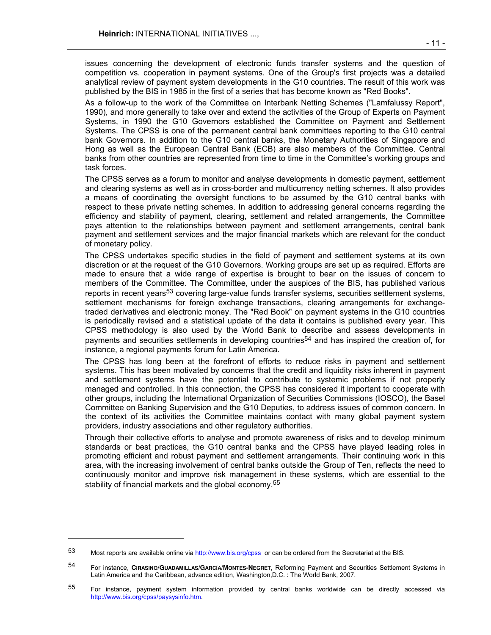issues concerning the development of electronic funds transfer systems and the question of competition vs. cooperation in payment systems. One of the Group's first projects was a detailed analytical review of payment system developments in the G10 countries. The result of this work was published by the BIS in 1985 in the first of a series that has become known as "Red Books".

 As a follow-up to the work of the Committee on Interbank Netting Schemes ("Lamfalussy Report", 1990), and more generally to take over and extend the activities of the Group of Experts on Payment Systems, in 1990 the G10 Governors established the Committee on Payment and Settlement Systems. The CPSS is one of the permanent central bank committees reporting to the G10 central bank Governors. In addition to the G10 central banks, the Monetary Authorities of Singapore and Hong as well as the European Central Bank (ECB) are also members of the Committee. Central banks from other countries are represented from time to time in the Committee's working groups and task forces.

The CPSS serves as a forum to monitor and analyse developments in domestic payment, settlement and clearing systems as well as in cross-border and multicurrency netting schemes. It also provides a means of coordinating the oversight functions to be assumed by the G10 central banks with respect to these private netting schemes. In addition to addressing general concerns regarding the efficiency and stability of payment, clearing, settlement and related arrangements, the Committee pays attention to the relationships between payment and settlement arrangements, central bank payment and settlement services and the major financial markets which are relevant for the conduct of monetary policy.

 The CPSS undertakes specific studies in the field of payment and settlement systems at its own discretion or at the request of the G10 Governors. Working groups are set up as required. Efforts are made to ensure that a wide range of expertise is brought to bear on the issues of concern to members of the Committee. The Committee, under the auspices of the BIS, has published various reports in recent years<sup>53</sup> covering large-value funds transfer systems, securities settlement systems, settlement mechanisms for foreign exchange transactions, clearing arrangements for exchangetraded derivatives and electronic money. The "Red Book" on payment systems in the G10 countries is periodically revised and a statistical update of the data it contains is published every year. This CPSS methodology is also used by the World Bank to describe and assess developments in payments and securities settlements in developing countries<sup>54</sup> and has inspired the creation of, for instance, a regional payments forum for Latin America.

 The CPSS has long been at the forefront of efforts to reduce risks in payment and settlement systems. This has been motivated by concerns that the credit and liquidity risks inherent in payment and settlement systems have the potential to contribute to systemic problems if not properly managed and controlled. In this connection, the CPSS has considered it important to cooperate with other groups, including the International Organization of Securities Commissions (IOSCO), the Basel Committee on Banking Supervision and the G10 Deputies, to address issues of common concern. In the context of its activities the Committee maintains contact with many global payment system providers, industry associations and other regulatory authorities.

 Through their collective efforts to analyse and promote awareness of risks and to develop minimum standards or best practices, the G10 central banks and the CPSS have played leading roles in promoting efficient and robust payment and settlement arrangements. Their continuing work in this area, with the increasing involvement of central banks outside the Group of Ten, reflects the need to continuously monitor and improve risk management in these systems, which are essential to the stability of financial markets and the global economy.<sup>55</sup>

l

<sup>53</sup> Most reports are available online via http://www.bis.org/cpss or can be ordered from the Secretariat at the BIS.

<sup>54</sup> For instance, **CIRASINO/GUADAMILLAS/GARCÍA/MONTES-NEGRET**, Reforming Payment and Securities Settlement Systems in Latin America and the Caribbean, advance edition, Washington,D.C. : The World Bank, 2007.

<sup>55</sup> For instance, payment system information provided by central banks worldwide can be directly accessed via http://www.bis.org/cpss/paysysinfo.htm.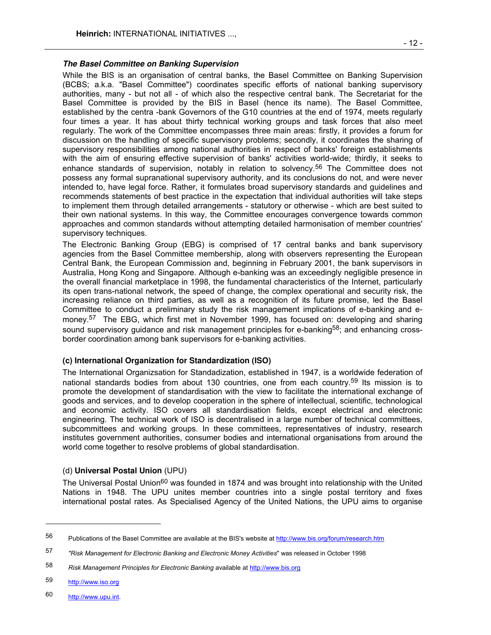While the BIS is an organisation of central banks, the Basel Committee on Banking Supervision (BCBS; a.k.a. "Basel Committee") coordinates specific efforts of national banking supervisory authorities, many - but not all - of which also the respective central bank. The Secretariat for the Basel Committee is provided by the BIS in Basel (hence its name). The Basel Committee, established by the centra -bank Governors of the G10 countries at the end of 1974, meets regularly four times a year. It has about thirty technical working groups and task forces that also meet regularly. The work of the Committee encompasses three main areas: firstly, it provides a forum for discussion on the handling of specific supervisory problems; secondly, it coordinates the sharing of supervisory responsibilities among national authorities in respect of banks' foreign establishments with the aim of ensuring effective supervision of banks' activities world-wide; thirdly, it seeks to enhance standards of supervision, notably in relation to solvency.<sup>56</sup> The Committee does not possess any formal supranational supervisory authority, and its conclusions do not, and were never intended to, have legal force. Rather, it formulates broad supervisory standards and guidelines and recommends statements of best practice in the expectation that individual authorities will take steps to implement them through detailed arrangements - statutory or otherwise - which are best suited to their own national systems. In this way, the Committee encourages convergence towards common approaches and common standards without attempting detailed harmonisation of member countries' supervisory techniques.

 The Electronic Banking Group (EBG) is comprised of 17 central banks and bank supervisory agencies from the Basel Committee membership, along with observers representing the European Central Bank, the European Commission and, beginning in February 2001, the bank supervisors in Australia, Hong Kong and Singapore. Although e-banking was an exceedingly negligible presence in the overall financial marketplace in 1998, the fundamental characteristics of the Internet, particularly its open trans-national network, the speed of change, the complex operational and security risk, the increasing reliance on third parties, as well as a recognition of its future promise, led the Basel Committee to conduct a preliminary study the risk management implications of e-banking and emoney.57 The EBG, which first met in November 1999, has focused on: developing and sharing sound supervisory guidance and risk management principles for e-banking<sup>58</sup>; and enhancing crossborder coordination among bank supervisors for e-banking activities.

## **(c) International Organization for Standardization (ISO)**

 The International Organizsation for Standadization, established in 1947, is a worldwide federation of national standards bodies from about 130 countries, one from each country.<sup>59</sup> Its mission is to promote the development of standardisation with the view to facilitate the international exchange of goods and services, and to develop cooperation in the sphere of intellectual, scientific, technological and economic activity. ISO covers all standardisation fields, except electrical and electronic engineering. The technical work of ISO is decentralised in a large number of technical committees, subcommittees and working groups. In these committees, representatives of industry, research institutes government authorities, consumer bodies and international organisations from around the world come together to resolve problems of global standardisation.

#### (d) **Universal Postal Union** (UPU)

The Universal Postal Union<sup>60</sup> was founded in 1874 and was brought into relationship with the United Nations in 1948. The UPU unites member countries into a single postal territory and fixes international postal rates. As Specialised Agency of the United Nations, the UPU aims to organise

58 *Risk Management Principles for Electronic Banking* available at http://www.bis.org

59 http://www.iso.org

 $\overline{a}$ 

60 http://www.upu.int.

<sup>56</sup> Publications of the Basel Committee are available at the BIS's website at http://www.bis.org/forum/research.htm

<sup>57</sup> *"Risk Management for Electronic Banking and Electronic Money Activities*" was released in October 1998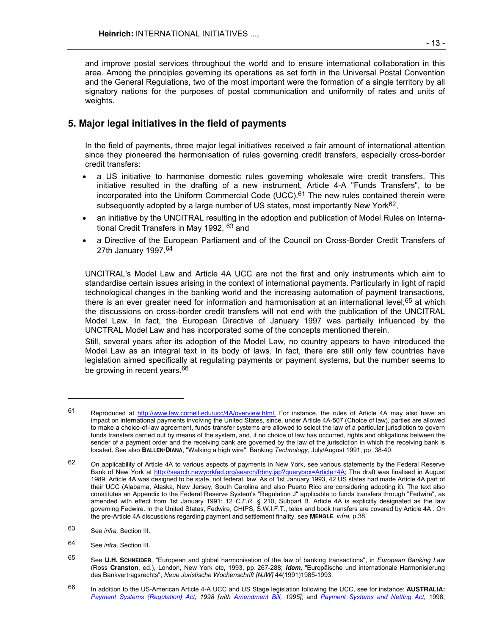and improve postal services throughout the world and to ensure international collaboration in this area. Among the principles governing its operations as set forth in the Universal Postal Convention and the General Regulations, two of the most important were the formation of a single territory by all signatory nations for the purposes of postal communication and uniformity of rates and units of weights.

# **5. Major legal initiatives in the field of payments**

 In the field of payments, three major legal initiatives received a fair amount of international attention since they pioneered the harmonisation of rules governing credit transfers, especially cross-border credit transfers:

- a US initiative to harmonise domestic rules governing wholesale wire credit transfers. This initiative resulted in the drafting of a new instrument, Article 4-A "Funds Transfers", to be incorporated into the Uniform Commercial Code  $(UCC)$ .<sup>61</sup> The new rules contained therein were subsequently adopted by a large number of US states, most importantly New York $62$ ,
- an initiative by the UNCITRAL resulting in the adoption and publication of Model Rules on International Credit Transfers in May 1992, 63 and
- a Directive of the European Parliament and of the Council on Cross-Border Credit Transfers of 27th January 1997.<sup>64</sup>

 UNCITRAL's Model Law and Article 4A UCC are not the first and only instruments which aim to standardise certain issues arising in the context of international payments. Particularly in light of rapid technological changes in the banking world and the increasing automation of payment transactions, there is an ever greater need for information and harmonisation at an international level, <sup>65</sup> at which the discussions on cross-border credit transfers will not end with the publication of the UNCITRAL Model Law. In fact, the European Directive of January 1997 was partially influenced by the UNCTRAL Model Law and has incorporated some of the concepts mentioned therein.

 Still, several years after its adoption of the Model Law, no country appears to have introduced the Model Law as an integral text in its body of laws. In fact, there are still only few countries have legislation aimed specifically at regulating payments or payment systems, but the number seems to be growing in recent years.<sup>66</sup>

-

<sup>61</sup> Reproduced at http://www.law.cornell.edu/ucc/4A/overview.html. For instance, the rules of Article 4A may also have an impact on international payments involving the United States, since, under Article 4A-507 (Choice of law), parties are allowed to make a choice-of-law agreement, funds transfer systems are allowed to select the law of a particular jurisdiction to govern funds transfers carried out by means of the system, and, if no choice of law has occurred, rights and obligations between the sender of a payment order and the receiving bank are governed by the law of the jurisdiction in which the receiving bank is located. See also **BALLEN/DIANA**, "Walking a high wire", Banking *Technology*, July/August 1991, pp. 38-40.

<sup>62</sup> On applicability of Article 4A to various aspects of payments in New York, see various statements by the Federal Reserve Bank of New York at http://search.newyorkfed.org/search/frbny.jsp?querybox=Article+4A; The draft was finalised in August 1989. Article 4A was designed to be state, not federal, law. As of 1st January 1993, 42 US states had made Article 4A part of their UCC (Alabama, Alaska, New Jersey, South Carolina and also Puerto Rico are considering adopting it). The text also constitutes an Appendix to the Federal Reserve System's "Regulation J" applicable to funds transfers through "Fedwire", as amended with effect from 1st January 1991: 12 *C.F.R.* § 210, Subpart B. Article 4A is explicitly designated as the law governing Fedwire. In the United States, Fedwire, CHIPS, S.W.I.F.T., telex and book transfers are covered by Article 4A . On the pre-Article 4A discussions regarding payment and settlement finality, see **MENGLE**, *infra,* p.38.

<sup>63</sup> See *infra,* Section III.

<sup>64</sup> See *infra,* Section III.

<sup>65</sup> See **U.H. SCHNEIDER**, "European and global harmonisation of the law of banking transactions", in *European Banking Law*  (Ross **Cranston**, ed.), London, New York etc, 1993, pp. 267-288; **Idem,** "Europäische und internationale Harmonisierung des Bankvertragsrechts", *Neue Juristische Wochenschrift [NJW]* 44(1991)1985-1993.

<sup>66</sup> In addition to the US-American Article 4-A UCC and US Stage legislation following the UCC, see for instance: **AUSTRALIA:**  *Payment Systems (Regulation) Act, 1998 [with Amendment Bill, 1995]*; and *Payment Systems and Netting Act*, 1998;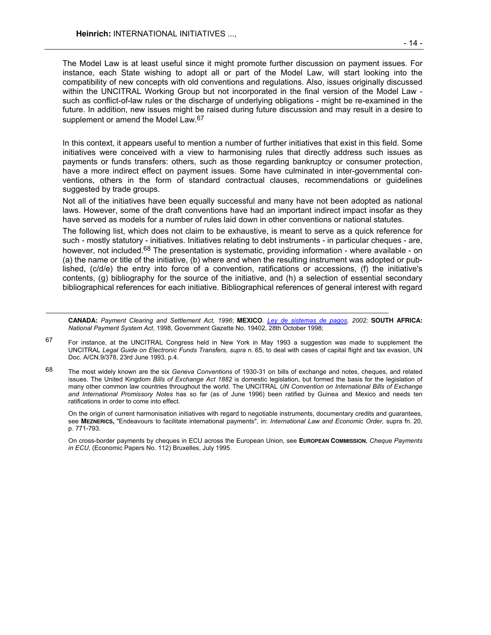l

 The Model Law is at least useful since it might promote further discussion on payment issues. For instance, each State wishing to adopt all or part of the Model Law, will start looking into the compatibility of new concepts with old conventions and regulations. Also, issues originally discussed within the UNCITRAL Working Group but not incorporated in the final version of the Model Law such as conflict-of-law rules or the discharge of underlying obligations - might be re-examined in the future. In addition, new issues might be raised during future discussion and may result in a desire to supplement or amend the Model Law.<sup>67</sup>

 In this context, it appears useful to mention a number of further initiatives that exist in this field. Some initiatives were conceived with a view to harmonising rules that directly address such issues as payments or funds transfers: others, such as those regarding bankruptcy or consumer protection, have a more indirect effect on payment issues. Some have culminated in inter-governmental conventions, others in the form of standard contractual clauses, recommendations or guidelines suggested by trade groups.

 Not all of the initiatives have been equally successful and many have not been adopted as national laws. However, some of the draft conventions have had an important indirect impact insofar as they have served as models for a number of rules laid down in other conventions or national statutes.

 The following list, which does not claim to be exhaustive, is meant to serve as a quick reference for such - mostly statutory - initiatives. Initiatives relating to debt instruments - in particular cheques - are, however, not included.<sup>68</sup> The presentation is systematic, providing information - where available - on (a) the name or title of the initiative, (b) where and when the resulting instrument was adopted or published, (c/d/e) the entry into force of a convention, ratifications or accessions, (f) the initiative's contents, (g) bibliography for the source of the initiative, and (h) a selection of essential secondary bibliographical references for each initiative. Bibliographical references of general interest with regard

**CANADA:** *Payment Clearing and Settlement Act, 1996*; **MEXICO***. Ley de sistemas de pagos, 2002;* **SOUTH AFRICA:** *National Payment System Act*, 1998, Government Gazette No. 19402, 28th October 1998;

67 For instance, at the UNCITRAL Congress held in New York in May 1993 a suggestion was made to supplement the UNCITRAL *Legal Guide on Electronic Funds Transfers, supra* n. 65, to deal with cases of capital flight and tax evasion, UN Doc. A/CN.9/378, 23rd June 1993, p.4.

68 The most widely known are the six *Geneva Conventions* of 1930-31 on bills of exchange and notes, cheques, and related issues. The United Kingdom *Bills of Exchange Act 1882* is domestic legislation, but formed the basis for the legislation of many other common law countries throughout the world. The UNCITRAL *UN Convention on International Bills of Exchange and International Promissory Notes* has so far (as of June 1996) been ratified by Guinea and Mexico and needs ten ratifications in order to come into effect.

 On the origin of current harmonisation initiatives with regard to negotiable instruments, documentary credits and guarantees, see **MEZNERICS,** "Endeavours to facilitate international payments", in: *International Law and Economic Order,* supra fn. 20, p. 771-793.

 On cross-border payments by cheques in ECU across the European Union, see **EUROPEAN COMMISSION**, *Cheque Payments in ECU*, (Economic Papers No. 112) Bruxelles, July 1995.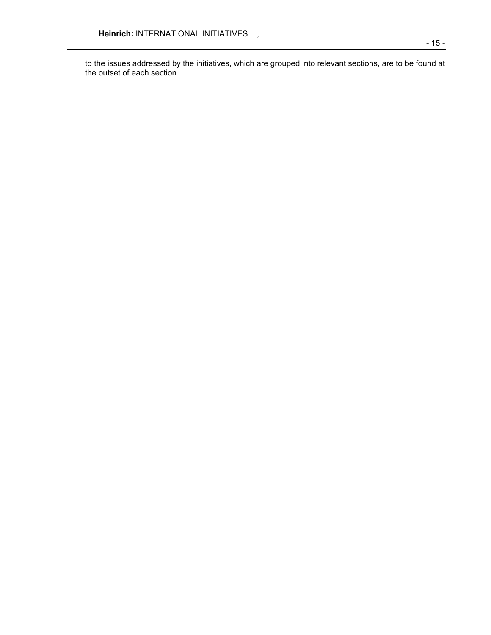to the issues addressed by the initiatives, which are grouped into relevant sections, are to be found at the outset of each section.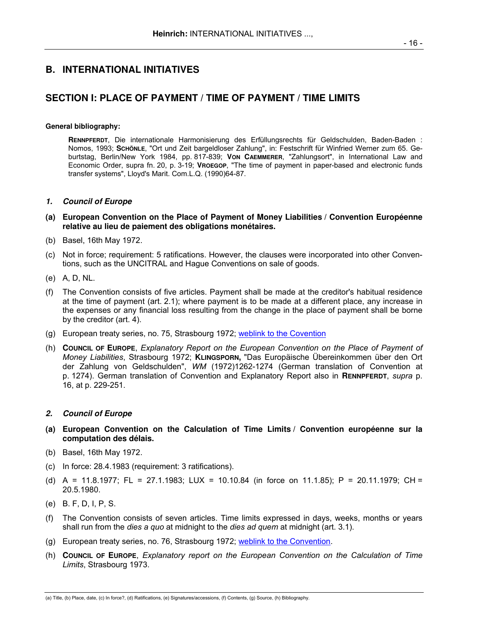# **B. INTERNATIONAL INITIATIVES**

# **SECTION I: PLACE OF PAYMENT / TIME OF PAYMENT / TIME LIMITS**

#### **General bibliography:**

 **RENNPFERDT**, Die internationale Harmonisierung des Erfüllungsrechts für Geldschulden, Baden-Baden : Nomos, 1993; **SCHÖNLE**, "Ort und Zeit bargeldloser Zahlung", in: Festschrift für Winfried Werner zum 65. Geburtstag, Berlin/New York 1984, pp. 817-839; **VON CAEMMERER**, "Zahlungsort", in International Law and Economic Order, supra fn. 20, p. 3-19; **VROEGOP**, "The time of payment in paper-based and electronic funds transfer systems", Lloyd's Marit. Com.L.Q. (1990)64-87.

#### **1. Council of Europe**

- **(a) European Convention on the Place of Payment of Money Liabilities / Convention Européenne relative au lieu de paiement des obligations monétaires.**
- (b) Basel, 16th May 1972.
- (c) Not in force; requirement: 5 ratifications. However, the clauses were incorporated into other Conventions, such as the UNCITRAL and Hague Conventions on sale of goods.
- (e) A, D, NL.
- (f) The Convention consists of five articles. Payment shall be made at the creditor's habitual residence at the time of payment (art. 2.1); where payment is to be made at a different place, any increase in the expenses or any financial loss resulting from the change in the place of payment shall be borne by the creditor (art. 4).
- (g) European treaty series, no. 75, Strasbourg 1972; weblink to the Covention
- (h) **COUNCIL OF EUROPE**, *Explanatory Report on the European Convention on the Place of Payment of Money Liabilities*, Strasbourg 1972; **KLINGSPORN,** "Das Europäische Übereinkommen über den Ort der Zahlung von Geldschulden", *WM* (1972)1262-1274 (German translation of Convention at p. 1274). German translation of Convention and Explanatory Report also in **RENNPFERDT**, *supra* p. 16, at p. 229-251.

#### **2. Council of Europe**

- **(a) European Convention on the Calculation of Time Limits / Convention européenne sur la computation des délais.**
- (b) Basel, 16th May 1972.
- (c) In force: 28.4.1983 (requirement: 3 ratifications).
- (d) A = 11.8.1977; FL = 27.1.1983; LUX = 10.10.84 (in force on 11.1.85); P = 20.11.1979; CH = 20.5.1980.
- (e) B. F, D, I, P, S.
- (f) The Convention consists of seven articles. Time limits expressed in days, weeks, months or years shall run from the *dies a quo* at midnight to the *dies ad quem* at midnight (art. 3.1).
- (g) European treaty series, no. 76, Strasbourg 1972; weblink to the Convention.
- (h) **COUNCIL OF EUROPE**, *Explanatory report on the European Convention on the Calculation of Time Limits*, Strasbourg 1973.

 <sup>- 16 -</sup>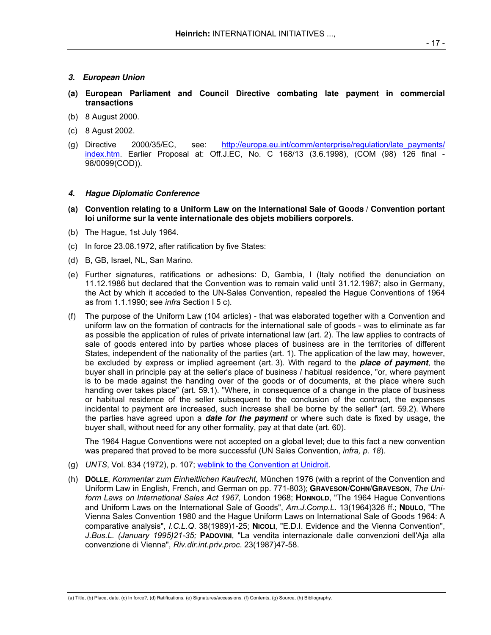#### **3. European Union**

- **(a) European Parliament and Council Directive combating late payment in commercial transactions**
- (b) 8 August 2000.
- (c) 8 Agust 2002.
- (g) Directive 2000/35/EC, see: http://europa.eu.int/comm/enterprise/regulation/late\_payments/ index.htm. Earlier Proposal at: Off.J.EC, No. C 168/13 (3.6.1998), (COM (98) 126 final - 98/0099(COD)).

# **4. Hague Diplomatic Conference**

- **(a) Convention relating to a Uniform Law on the International Sale of Goods / Convention portant loi uniforme sur la vente internationale des objets mobiliers corporels.**
- (b) The Hague, 1st July 1964.
- (c) In force 23.08.1972, after ratification by five States:
- (d) B, GB, Israel, NL, San Marino.
- (e) Further signatures, ratifications or adhesions: D, Gambia, I (Italy notified the denunciation on 11.12.1986 but declared that the Convention was to remain valid until 31.12.1987; also in Germany, the Act by which it acceded to the UN-Sales Convention, repealed the Hague Conventions of 1964 as from 1.1.1990; see *infra* Section I 5 c).
- (f) The purpose of the Uniform Law (104 articles) that was elaborated together with a Convention and uniform law on the formation of contracts for the international sale of goods - was to eliminate as far as possible the application of rules of private international law (art. 2). The law applies to contracts of sale of goods entered into by parties whose places of business are in the territories of different States, independent of the nationality of the parties (art. 1). The application of the law may, however, be excluded by express or implied agreement (art. 3). With regard to the **place of payment**, the buyer shall in principle pay at the seller's place of business / habitual residence, "or, where payment is to be made against the handing over of the goods or of documents, at the place where such handing over takes place" (art. 59.1). "Where, in consequence of a change in the place of business or habitual residence of the seller subsequent to the conclusion of the contract, the expenses incidental to payment are increased, such increase shall be borne by the seller" (art. 59.2). Where the parties have agreed upon a **date for the payment** or where such date is fixed by usage, the buyer shall, without need for any other formality, pay at that date (art. 60).

 The 1964 Hague Conventions were not accepted on a global level; due to this fact a new convention was prepared that proved to be more successful (UN Sales Convention, *infra, p. 18*).

- (g) *UNTS*, Vol. 834 (1972), p. 107; weblink to the Convention at Unidroit.
- (h) **DÖLLE**, *Kommentar zum Einheitlichen Kaufrecht,* München 1976 (with a reprint of the Convention and Uniform Law in English, French, and German on pp. 771-803); **GRAVESON/COHN/GRAVESON**, *The Uniform Laws on International Sales Act 1967,* London 1968; **HONNOLD**, "The 1964 Hague Conventions and Uniform Laws on the International Sale of Goods", *Am.J.Comp.L*. 13(1964)326 ff.; **NDULO**, "The Vienna Sales Convention 1980 and the Hague Uniform Laws on International Sale of Goods 1964: A comparative analysis", *I.C.L.Q*. 38(1989)1-25; **NICOLI**, "E.D.I. Evidence and the Vienna Convention", *J.Bus.L. (January 1995)21-35;* **PADOVINI**, "La vendita internazionale dalle convenzioni dell'Aja alla convenzione di Vienna", *Riv.dir.int.priv.proc*. 23(1987)47-58.

<sup>(</sup>a) Title, (b) Place, date, (c) In force?, (d) Ratifications, (e) Signatures/accessions, (f) Contents, (g) Source, (h) Bibliography.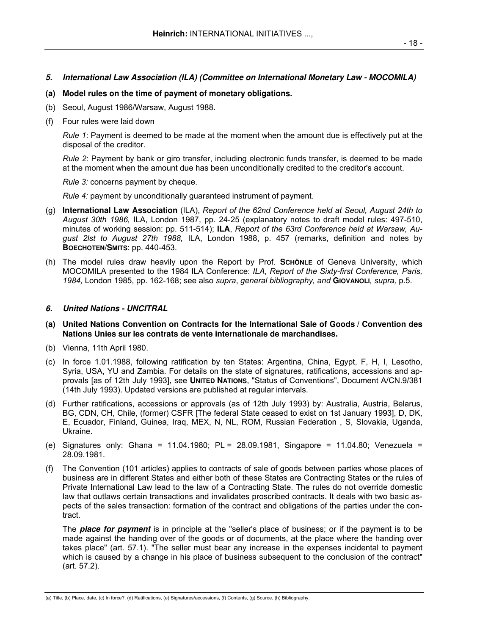## **5. International Law Association (ILA) (Committee on International Monetary Law - MOCOMILA)**

- **(a) Model rules on the time of payment of monetary obligations.**
- (b) Seoul, August 1986/Warsaw, August 1988.
- (f) Four rules were laid down

*Rule 1*: Payment is deemed to be made at the moment when the amount due is effectively put at the disposal of the creditor.

*Rule 2*: Payment by bank or giro transfer, including electronic funds transfer, is deemed to be made at the moment when the amount due has been unconditionally credited to the creditor's account.

*Rule 3:* concerns payment by cheque.

*Rule 4:* payment by unconditionally guaranteed instrument of payment.

- (g) **International Law Association** (ILA), *Report of the 62nd Conference held at Seoul, August 24th to August 30th 1986,* ILA, London 1987, pp. 24-25 (explanatory notes to draft model rules: 497-510, minutes of working session: pp. 511-514); **ILA**, *Report of the 63rd Conference held at Warsaw, August 2lst to August 27th 1988,* ILA, London 1988, p. 457 (remarks, definition and notes by **BOECHOTEN/SMITS**: pp. 440-453.
- (h) The model rules draw heavily upon the Report by Prof. **SCHÖNLE** of Geneva University, which MOCOMILA presented to the 1984 ILA Conference: *ILA, Report of the Sixty-first Conference, Paris, 1984,* London 1985, pp. 162-168; see also *supra*, *general bibliography, and* **GIOVANOLI***, supra,* p.5.

## **6. United Nations - UNCITRAL**

- **(a) United Nations Convention on Contracts for the International Sale of Goods / Convention des Nations Unies sur les contrats de vente internationale de marchandises.**
- (b) Vienna, 11th April 1980.
- (c) In force 1.01.1988, following ratification by ten States: Argentina, China, Egypt, F, H, I, Lesotho, Syria, USA, YU and Zambia. For details on the state of signatures, ratifications, accessions and approvals [as of 12th July 1993], see **UNITED NATIONS**, "Status of Conventions", Document A/CN.9/381 (14th July 1993). Updated versions are published at regular intervals.
- (d) Further ratifications, accessions or approvals (as of 12th July 1993) by: Australia, Austria, Belarus, BG, CDN, CH, Chile, (former) CSFR [The federal State ceased to exist on 1st January 1993], D, DK, E, Ecuador, Finland, Guinea, Iraq, MEX, N, NL, ROM, Russian Federation , S, Slovakia, Uganda, Ukraine.
- (e) Signatures only: Ghana = 11.04.1980; PL = 28.09.1981, Singapore = 11.04.80; Venezuela = 28.09.1981.
- (f) The Convention (101 articles) applies to contracts of sale of goods between parties whose places of business are in different States and either both of these States are Contracting States or the rules of Private International Law lead to the law of a Contracting State. The rules do not override domestic law that outlaws certain transactions and invalidates proscribed contracts. It deals with two basic aspects of the sales transaction: formation of the contract and obligations of the parties under the contract.

 The **place for payment** is in principle at the "seller's place of business; or if the payment is to be made against the handing over of the goods or of documents, at the place where the handing over takes place" (art. 57.1). "The seller must bear any increase in the expenses incidental to payment which is caused by a change in his place of business subsequent to the conclusion of the contract" (art. 57.2).

<sup>(</sup>a) Title, (b) Place, date, (c) In force?, (d) Ratifications, (e) Signatures/accessions, (f) Contents, (g) Source, (h) Bibliography.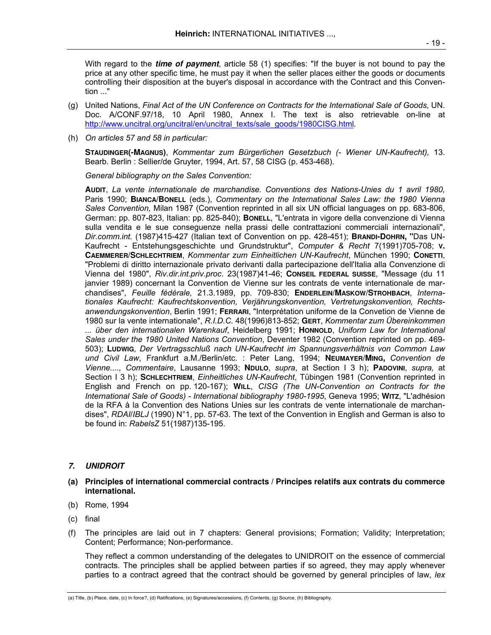With regard to the **time of payment**, article 58 (1) specifies: "If the buyer is not bound to pay the price at any other specific time, he must pay it when the seller places either the goods or documents controlling their disposition at the buyer's disposal in accordance with the Contract and this Convention ..."

- (g) United Nations, *Final Act of the UN Conference on Contracts for the International Sale of Goods*, UN. Doc. A/CONF.97/18, 10 April 1980, Annex I. The text is also retrievable on-line at http://www.uncitral.org/uncitral/en/uncitral\_texts/sale\_goods/1980CISG.html*.*
- (h) *On articles 57 and 58 in particular:*

**STAUDINGER(-MAGNUS)**, *Kommentar zum Bürgerlichen Gesetzbuch (- Wiener UN-Kaufrecht),* 13. Bearb. Berlin : Sellier/de Gruyter, 1994, Art. 57, 58 CISG (p. 453-468).

*General bibliography on the Sales Convention:*

**AUDIT**, *La vente internationale de marchandise. Conventions des Nations-Unies du 1 avril 1980,*  Paris 1990; **BIANCA/BONELL** (eds.), *Commentary on the International Sales Law: the 1980 Vienna Sales Convention,* Milan 1987 (Convention reprinted in all six UN official languages on pp. 683-806, German: pp. 807-823, Italian: pp. 825-840); **BONELL**, "L'entrata in vigore della convenzione di Vienna sulla vendita e le sue conseguenze nella prassi delle contrattazioni commerciali internazionali", *Dir.comm.int.* (1987)415-427 (Italian text of Convention on pp. 428-451); **BRANDI-DOHRN, "**Das UN-Kaufrecht - Entstehungsgeschichte und Grundstruktur", *Computer & Recht* 7(1991)705-708; **V. CAEMMERER/SCHLECHTRIEM**, *Kommentar zum Einheitlichen UN-Kaufrecht*, München 1990; **CONETTI**, "Problemi di diritto internazionale privato derivanti dalla partecipazione dell'Italia alla Convenzione di Vienna del 1980", *Riv.dir.int.priv.proc*. 23(1987)41-46; **CONSEIL FEDERAL SUISSE**, "Message (du 11 janvier 1989) concernant la Convention de Vienne sur les contrats de vente internationale de marchandises", *Feuille fédérale,* 21.3.1989, pp. 709-830; **ENDERLEIN/MASKOW/STROHBACH**, *Internationales Kaufrecht: Kaufrechtskonvention, Verjährungskonvention, Vertretungskonvention, Rechtsanwendungskonvention*, Berlin 1991; **FERRARI**, "Interprétation uniforme de la Convetion de Vienne de 1980 sur la vente internationale", *R.I.D.C.* 48(1996)813-852; **GERT**, *Kommentar zum Übereinkommen ... über den internationalen Warenkauf*, Heidelberg 1991; **HONNOLD**, *Uniform Law for International Sales under the 1980 United Nations Convention*, Deventer 1982 (Convention reprinted on pp. 469- 503); **LUDWIG**, *Der Vertragsschluß nach UN-Kaufrecht im Spannungsverhältnis von Common Law und Civil Law*, Frankfurt a.M./Berlin/etc. : Peter Lang, 1994; **NEUMAYER/MING,** *Convention de Vienne...., Commentaire*, Lausanne 1993; **NDULO**, *supra*, at Section I 3 h); **PADOVINI**, *supra,* at Section I 3 h); **SCHLECHTRIEM**, *Einheitliches UN-Kaufrecht*, Tübingen 1981 (Convention reprinted in English and French on pp. 120-167); **WILL**, *CISG (The UN-Convention on Contracts for the International Sale of Goods) - International bibliography 1980-1995*, Geneva 1995; **WITZ**, "L'adhésion de la RFA à la Convention des Nations Unies sur les contrats de vente internationale de marchandises", *RDAI*/*IBLJ* (1990) N°1, pp. 57-63. The text of the Convention in English and German is also to be found in: *RabelsZ* 51(1987)135-195.

## **7. UNIDROIT**

- **(a) Principles of international commercial contracts / Principes relatifs aux contrats du commerce international.**
- (b) Rome, 1994
- (c) final
- (f) The principles are laid out in 7 chapters: General provisions; Formation; Validity; Interpretation; Content; Performance; Non-performance.

 They reflect a common understanding of the delegates to UNIDROIT on the essence of commercial contracts. The principles shall be applied between parties if so agreed, they may apply whenever parties to a contract agreed that the contract should be governed by general principles of law, *lex*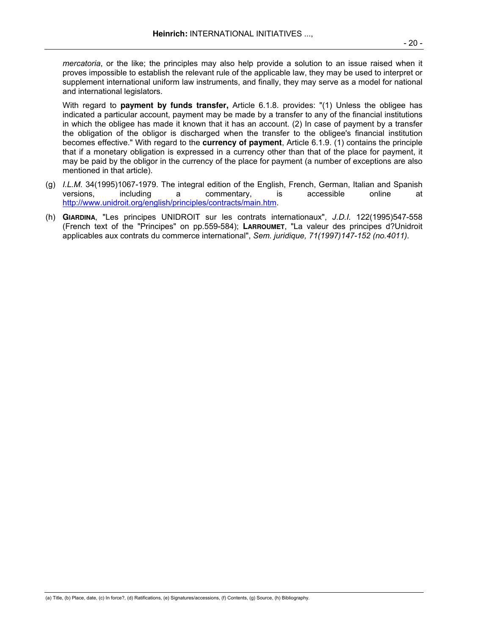*mercatoria*, or the like; the principles may also help provide a solution to an issue raised when it proves impossible to establish the relevant rule of the applicable law, they may be used to interpret or supplement international uniform law instruments, and finally, they may serve as a model for national and international legislators.

 With regard to **payment by funds transfer,** Article 6.1.8. provides: "(1) Unless the obligee has indicated a particular account, payment may be made by a transfer to any of the financial institutions in which the obligee has made it known that it has an account. (2) In case of payment by a transfer the obligation of the obligor is discharged when the transfer to the obligee's financial institution becomes effective." With regard to the **currency of payment**, Article 6.1.9. (1) contains the principle that if a monetary obligation is expressed in a currency other than that of the place for payment, it may be paid by the obligor in the currency of the place for payment (a number of exceptions are also mentioned in that article).

- (g) *I.L.M.* 34(1995)1067-1979. The integral edition of the English, French, German, Italian and Spanish versions, including a commentary, is accessible online at http://www.unidroit.org/english/principles/contracts/main.htm.
- (h) **GIARDINA**, "Les principes UNIDROIT sur les contrats internationaux", *J.D.I.* 122(1995)547-558 (French text of the "Principes" on pp.559-584); **LARROUMET**, "La valeur des principes d?Unidroit applicables aux contrats du commerce international", *Sem. juridique, 71(1997)147-152 (no.4011).*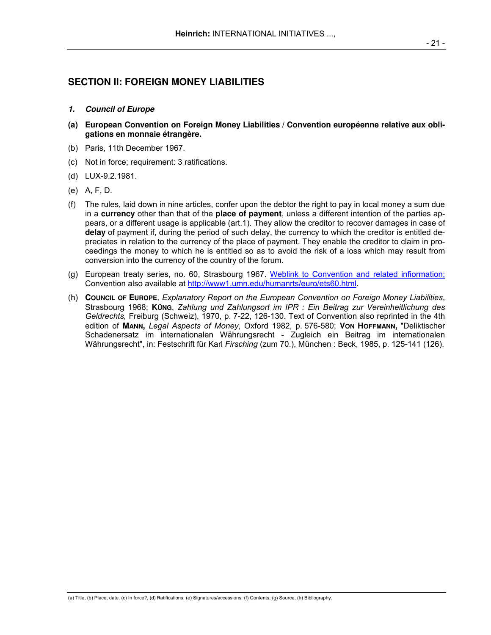# **SECTION II: FOREIGN MONEY LIABILITIES**

### **1. Council of Europe**

- **(a) European Convention on Foreign Money Liabilities / Convention européenne relative aux obligations en monnaie étrangère.**
- (b) Paris, 11th December 1967.
- (c) Not in force; requirement: 3 ratifications.
- (d) LUX-9.2.1981.
- (e) A, F, D.
- (f) The rules, laid down in nine articles, confer upon the debtor the right to pay in local money a sum due in a **currency** other than that of the **place of payment**, unless a different intention of the parties appears, or a different usage is applicable (art.1). They allow the creditor to recover damages in case of **delay** of payment if, during the period of such delay, the currency to which the creditor is entitled depreciates in relation to the currency of the place of payment. They enable the creditor to claim in proceedings the money to which he is entitled so as to avoid the risk of a loss which may result from conversion into the currency of the country of the forum.
- (g) European treaty series, no. 60, Strasbourg 1967. Weblink to Convention and related infiormation; Convention also available at http://www1.umn.edu/humanrts/euro/ets60.html.
- (h) **COUNCIL OF EUROPE**, *Explanatory Report on the European Convention on Foreign Money Liabilities*, Strasbourg 1968; **KÜNG**, *Zahlung und Zahlungsort im IPR : Ein Beitrag zur Vereinheitlichung des Geldrechts,* Freiburg (Schweiz), 1970, p. 7-22, 126-130. Text of Convention also reprinted in the 4th edition of **MANN,** *Legal Aspects of Money*, Oxford 1982, p. 576-580; **VON HOFFMANN,** "Deliktischer Schadenersatz im internationalen Währungsrecht - Zugleich ein Beitrag im internationalen Währungsrecht", in: Festschrift für Karl *Firsching* (zum 70.), München : Beck, 1985, p. 125-141 (126).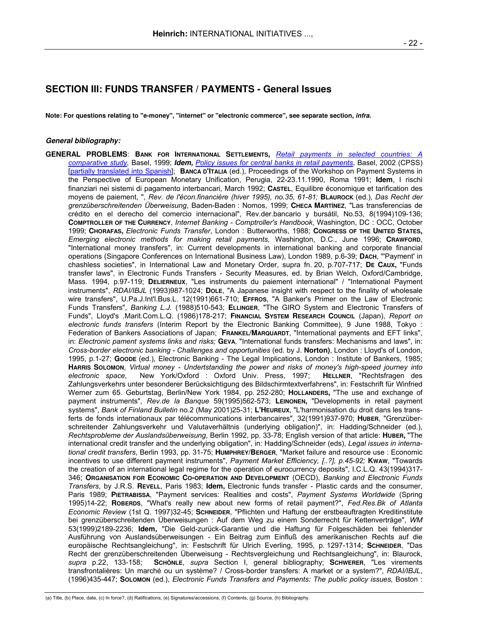# **SECTION III: FUNDS TRANSFER / PAYMENTS - General Issues**

**Note: For questions relating to "e-money", "internet" or "electronic commerce", see separate section, infra.** 

#### **General bibliography:**

**GENERAL PROBLEMS**: **BANK FOR INTERNATIONAL SETTLEMENTS,** *Retail payments in selected countries: A comparative study,* Basel, 1999; **Idem,** *Policy issues for central banks in retail payments*, Basel, 2002 (CPSS) [partially translated into Spanish]; **BANCA D'ITALIA** (ed.), Proceedings of the Workshop on Payment Systems in the Perspective of European Monetary Unification, Perugia, 22-23.11.1990, Roma 1991; **Idem**, I rischi finanziari nei sistemi di pagamento interbancari, March 1992; **CASTEL**, Equilibre économique et tarification des moyens de paiement, ", *Rev. de l'écon.financière (hiver 1995), no.35, 61-81;* **BLAUROCK** (ed.), *Das Recht der grenzüberschreitenden Überweisung*, Baden-Baden : Nomos, 1999; **CHECA MARTÍNEZ**, "Las transferencias de crédito en el derecho del comercio internacional", Rev.der.bancario y bursátil, No.53, 8(1994)109-136; **COMPTROLLER OF THE CURRENCY**, *Internet Banking - Comptroller's Handbook*, Washington, DC : OCC, October 1999; **CHORAFAS,** *Electronic Funds Transfer*, London : Butterworths, 1988; **CONGRESS OF THE UNITED STATES,** *Emerging electronic methods for making retail payments,* Washington, D.C., June 1996; **CRAWFORD**, "International money transfers", in: Current developments in international banking and corporate financial operations (Singapore Conferences on International Business Law), London 1989, p.6-39; **DACH**, "'Payment' in chashless societies", in International Law and Monetary Order, supra fn. 20, p.707-717; **DE CAUX,** "Funds transfer laws", in Electronic Funds Transfers - Security Measures, ed. by Brian Welch, Oxford/Cambridge, Mass. 1994, p.97-119; **DELIERNEUX**, "Les instruments du paiement international" / "International Payment instruments", *RDAI/IBJL* (1993)987-1024; **DOLE**, "A Japanese insight with respect to the finality of wholesale wire transfers", U.Pa.J.Int'l.Bus.L. 12(1991)661-710; **EFFROS**, "A Banker's Primer on the Law of Electronic Funds Transfers", *Banking L.J.* (1988)510-543; **ELLINGER**, "The GIRO System and Electronic Transfers of Funds", Lloyd's .Marit.Com.L.Q. (1986)178-217; **FINANCIAL SYSTEM RESEARCH COUNCIL** (Japan), *Report on electronic funds transfers* (Interim Report by the Electronic Banking Committee), 9 June 1988, Tokyo : Federation of Bankers Associations of Japan; **FRANKEL/MARQUARDT**, "International payments and EFT links", in: *Electronic pament systems links and risks;* **GEVA**, "International funds transfers: Mechanisms and laws", in: *Cross-border electronic banking - Challenges and opportunities* (ed. by J. **Norton)**, London : Lloyd's of London, 1995, p.1-27; **GOODE** (ed.), Electronic Banking - The Legal Implications, London : Institute of Bankers, 1985; **HARRIS SOLOMON**, *Virtual money - Undertstanding the power and risks of money's high-speed journey into electronic space*, New York/Oxford : Oxford Univ. Press, 1997; **HELLNER**, "Rechtsfragen des Zahlungsverkehrs unter besonderer Berücksichtigung des Bildschirmtextverfahrens", in: Festschrift für Winfried Werner zum 65. Geburtstag, Berlin/New York 1984, pp. 252-280; **HOLLANDERS,** "The use and exchange of payment instruments", *Rev.de la Banque* 59(1995)562-573; **LEINONEN,** "Developments in retail payment systems", *Bank of Finland Bulletin* no.2 (May 2001)25-31; L'HEUREUX, "L'harmonisation du droit dans les transferts de fonds internationaux par télécommunications interbancaires", 32(1991)937-970; **HUBER**, "Grenzüberschreitender Zahlungsverkehr und Valutaverhältnis (underlying obligation)", in: Hadding/Schneider (ed.), *Rechtsprobleme der Auslandsüberweisung*, Berlin 1992, pp. 33-78; English version of that article: **HUBER,** "The international credit transfer and the underlying obligation", in: Hadding/Schneider (eds), *Legal issues in international credit transfers*, Berlin 1993, pp. 31-75; **HUMPHREY**/**BERGER**, "Market failure and resource use : Economic incentives to use different payment instruments", *Payment Market Efficiency, [..?], p.45-92;* **KWAW**, "Towards the creation of an international legal regime for the operation of eurocurrency deposits", I.C.L.Q. 43(1994)317- 346; **ORGANISATION FOR ECONOMIC CO-OPERATION AND DEVELOPMENT** (OECD), *Banking and Electronic Funds Transfers*, by J.R.S. **REVELL**, Paris 1983; **Idem,** Electronic funds transfer - Plastic cards and the consumer, Paris 1989; **PIETRABISSA**, "Payment services: Realities and costs", *Payment Systems Worldwide* (Spring 1995)14-22; **ROBERDS**, "What's really new about new forms of retail payment?", *Fed.Res.Bk of Atlanta Economic Review* (1st Q. 1997)32-45; **SCHNEIDER**, "Pflichten und Haftung der erstbeauftragten Kreditinstitute bei grenzüberschreitenden Überweisungen : Auf dem Weg zu einem Sonderrecht für Kettenverträge", *WM* 53(1999)2189-2236; **Idem,** "Die Geld-zurück-Garantie und die Haftung für Folgeschäden bei fehlender Ausführung von Auslandsüberweisungen - Ein Beitrag zum Einfluß des amerikanischen Rechts auf die europäische Rechtsangleichung", in: Festschrift für Ulrich Everling, 1995, p. 1297-1314; **SCHNEIDER**, "Das Recht der grenzüberschreitenden Überweisung - Rechtsvergleichung und Rechtsangleichung", in: Blaurock, *supra* p.22, 133-158; **SCHÖNLE**, *supra* Section I, general bibliography; **SCHWERER**, "Les virements transfrontalières: Un marché ou un système? / Cross-border transfers: A market or a system?", *RDAI/IBJL*, (1996)435-447; **SOLOMON** (ed.), *Electronic Funds Transfers and Payments: The public policy issues,* Boston :

<sup>(</sup>a) Title, (b) Place, date, (c) In force?, (d) Ratifications, (e) Signatures/accessions, (f) Contents, (g) Source, (h) Bibliography.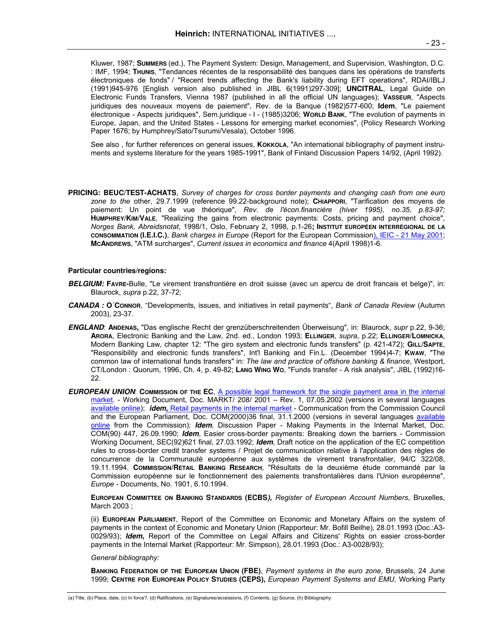Kluwer, 1987; **SUMMERS** (ed.), The Payment System: Design, Management, and Supervision, Washington, D.C. : IMF, 1994; **THUNIS**, "Tendances récentes de la responsabilité des banques dans les opérations de transferts électroniques de fonds" / "Recent trends affecting the Bank's liability during EFT operations", RDAI/IBLJ (1991)945-976 [English version also published in JIBL 6(1991)297-309]; **UNCITRAL**, Legal Guide on Electronic Funds Transfers, Vienna 1987 (published in all the official UN languages); **VASSEUR**, "Aspects juridiques des nouveaux moyens de paiement", Rev. de la Banque (1982)577-600; **Idem**, "Le paiement électronique - Aspects juridiques", Sem.juridique - I - (1985)3206; **WORLD BANK**, "The evolution of payments in Europe, Japan, and the United States - Lessons for emerging market economies", (Policy Research Working Paper 1676; by Humphrey/Sato/Tsurumi/Vesala), October 1996.

See also, for further references on general issues, **KOKKOLA**, "An international bibliography of payment instruments and systems literature for the years 1985-1991", Bank of Finland Discussion Papers 14/92, (April 1992).

**PRICING: BEUC/TEST-ACHATS**, *Survey of charges for cross border payments and changing cash from one euro zone to the* other, 29.7.1999 (reference 99.22-background note); **CHIAPPORI**, "Tarification des moyens de paiement: Un point de vue théorique", *Rev. de l'écon.financière (hiver 1995), no.35, p.83-97;*  **HUMPHREY/KIM/VALE***,* "Realizing the gains from electronic payments: Costs, pricing and payment choice", *Norges Bank, Abreidsnotat*, 1998/1, Oslo, February 2, 1998, p.1-26**; INSTITUT EUROPÉEN INTERRÉGIONAL DE LA CONSOMMATION (I.E.I.C.)**, *Bank charges in Europe* (Report for the European Commission), IEIC - 21 May 2001; **MCANDREWS**, "ATM surcharges", *Current issues in economics and finance* 4(April 1998)1-6.

#### **Particular countries/regions:**

- **BELGIUM: FAVRE-**Bulle, "Le virement transfrontière en droit suisse (avec un apercu de droit francais et belge)", in: Blaurock, *supra* p.22, 37-72;
- **CANADA : O´CONNOR**, "Developments, issues, and initiatives in retail payments", *Bank of Canada Review* (Autumn 2003), 23-37.
- **ENGLAND**: **ANDENAS,** "Das englische Recht der grenzüberschreitenden Überweisung", in: Blaurock, *supr* p.22, 9-36; **ARORA**, Electronic Banking and the Law, 2nd. ed., London 1993; **ELLINGER**, *supra*, p.22; **ELLINGER/LOMNICKA**, Modern Banking Law, chapter 12: "The giro system and electronic funds transfers" (p. 421-472); **GILL/SAPTE**, "Responsibility and electronic funds transfers", Int'l Banking and Fin.L. (December 1994)4-7; **KWAW**, "The common law of international funds transfers" in: *The law and practice of offshore banking & finance*, Westport, CT/London : Quorum, 1996, Ch. 4, p. 49-82; **LANG WING WO**, "Funds transfer - A risk analysis", JIBL (1992)16- 22.
- **EUROPEAN UNION**: **COMMISSION OF THE EC**, A possible legal framework for the single payment area in the internal market. - Working Document, Doc. MARKT/ 208/ 2001 – Rev. 1, 07.05.2002 (versions in several languages available online); **idem,** Retail payments in the internal market - Communication from the Commission Council and the European Parliament, Doc. COM(2000)36 final, 31.1.2000 (versions in several languages available online from the Commission); **Idem**, Discussion Paper - Making Payments in the Internal Market, Doc. COM(90) 447, 26.09.1990; **Idem**, Easier cross-border payments: Breaking down the barriers - Commission Working Document, SEC(92)621 final, 27.03.1992; **Idem**, Draft notice on the application of the EC competition rules to cross-border credit transfer systems / Projet de communication relative à l'application des règles de concurrence de la Communauté européenne aux systèmes de virement transfrontalier, 94/C 322/08, 19.11.1994. **COMMISSION/RETAIL BANKING RESEARCH**, "Résultats de la deuxième étude commandé par la Commission européenne sur le fonctionnement des paiements transfrontalières dans l'Union européenne", *Europe -* Documents, No. 1901, 6.10.1994.

**EUROPEAN COMMITTEE ON BANKING STANDARDS (ECBS),** *Register of European Account Numbers*, Bruxelles, March 2003 ;

 (ii) **EUROPEAN PARLIAMENT**, Report of the Committee on Economic and Monetary Affairs on the system of payments in the context of Economic and Monetary Union (Rapporteur: Mr. Bofill Beilhe), 28.01.1993 (Doc.:A3- 0029/93); **Idem,** Report of the Committee on Legal Affairs and Citizens' Rights on easier cross-border payments in the Internal Market (Rapporteur: Mr. Simpson), 28.01.1993 (Doc.: A3-0028/93);

#### *General bibliography:*

 **BANKING FEDERATION OF THE EUROPEAN UNION (FBE)**, *Payment systems in the euro zone*, Brussels, 24 June 1999; **CENTRE FOR EUROPEAN POLICY STUDIES (CEPS),** *European Payment Systems and EMU,* Working Party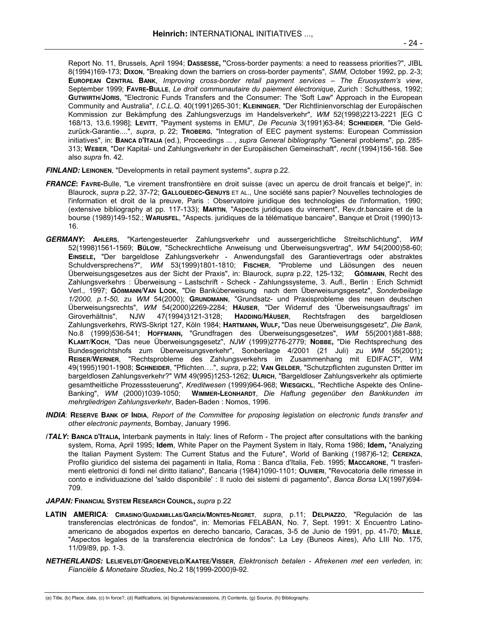Report No. 11, Brussels, April 1994; **DASSESSE, "**Cross-border payments: a need to reassess priorities?", JIBL 8(1994)169-173; **DIXON**, "Breaking down the barriers on cross-border payments", *SMM,* October 1992, pp. 2-3; **EUROPEAN CENTRAL BANK**, *Improving cross-border retail payment services – The Eruosystem's view*, September 1999; **FAVRE-BULLE**, *Le droit communautaire du paiement électronique*, Zurich : Schulthess, 1992; **GUTWIRTH/JORIS**, "Electronic Funds Transfers and the Consumer: The 'Soft Law" Approach in the European Community and Australia", *I.C.L.Q.* 40(1991)265-301; **KLEININGER**, "Der Richtlinienvorschlag der Europäischen Kommission zur Bekämpfung des Zahlungsverzugs im Handelsverkehr", *WM* 52(1998)2213-2221 [EG C 168/13, 13.6.1998]; **LEVITT**, "Payment systems in EMU", *De Pecunia* 3(1991)63-84; **SCHNEIDER**, "Die Geldzurück-Garantie....", *supra*, p. 22; **TROBERG**, "Integration of EEC payment systems: European Commission initiatives", in: **BANCA D'ITALIA** (ed.), Proceedings ... , *supra General bibliography "*General problems", pp. 285- 313; **WEBER**, "Der Kapital- und Zahlungsverkehr in der Europäischen Gemeinschaft", *recht* (1994)156-168. See also *supra* fn. 42.

- **FINLAND: LEINONEN**, "Developments in retail payment systems", *supra* p.22.
- **FRANCE: FAVRE-**Bulle, "Le virement transfrontière en droit suisse (avec un apercu de droit francais et belge)", in: Blaurock, *supra* p.22, 37-72; **GALLOUEDEC-GENUYS** ET AL., Une société sans papier? Nouvelles technologies de l'information et droit de la preuve, Paris : Observatoire juridique des technologies de l'information, 1990; (extensive bibliography at pp. 117-133); **MARTIN**, "Aspects juridiques du virement", Rev.dr.bancaire et de la bourse (1989)149-152.; **WARUSFEL**, "Aspects. juridiques de la télématique bancaire", Banque et Droit (1990)13- 16.
- **GERMANY: AHLERS**, "Kartengesteuerter Zahlungsverkehr und aussergerichtliche Streitschlichtung", *WM*  52(1998)1561-1569; **BÜLOW**, "Scheckrechtliche Anweisung und Überweisungsvertrag", *WM* 54(2000)58-60; **EINSELE,** "Der bargeldlose Zahlungsverkehr - Anwendungsfall des Garantievertrags oder abstraktes Schuldversprechens?", *WM* 53(1999)1801-1810; **FISCHER**, "Probleme und Läösungen des neuen Überweisungsgesetzes aus der Sicht der Praxis", in: Blaurock, *supra* p.22, 125-132; **GÖßMANN**, Recht des Zahlungsverkehrs : Überweisung - Lastschrift - Scheck - Zahlungssysteme, 3. Aufl., Berlin : Erich Schmidt Verl., 1997; **GÖßMANN/VAN LOOK**, "Die Banküberweisung nach dem Überweisungsgesetz", *Sonderbeilage 1/2000, p.1-50,* zu *WM* 54(2000); **GRUNDMANN**, "Grundsatz- und Praxisprobleme des neuen deutschen Überweisungsrechts", *WM* 54(2000)2269-2284; **HÄUSER**, "Der Widerruf des 'Überweisungsauftrags' im Giroverhältnis", NJW 47(1994)3121-3128; **HADDING/HÄUSER**, Rechtsfragen des bargeldlosen Zahlungsverkehrs, RWS-Skript 127, Köln 1984; **HARTMANN, WULF,** "Das neue Überweisungsgesetz", *Die Bank,*  No.8 (1999)536-541; **HOFFMANN,** "Grundfragen des Überweisungsgesetzes", *WM* 55(2001)881-888; **KLAMT/KOCH**, "Das neue Überweisungsgesetz", *NJW* (1999)2776-2779; **NOBBE,** "Die Rechtsprechung des Bundesgerichtshofs zum Überweisungsverkehr", Sonberilage 4/2001 (21 Juli) zu *WM* 55(2001)**; REISER/WERNER**, "Rechtsprobleme des Zahlungsverkehrs im Zusammenhang mit EDIFACT", WM 49(1995)1901-1908; **SCHNEIDER**, "Pflichten….", *supra*, p.22; **VAN GELDER**, "Schutzpflichten zugunsten Dritter im bargeldlosen Zahlungsverkehr?" WM 49(995)1253-1262; **ULRICH**, "Bargeldloser Zahlungsverkehr als optimierte gesamtheitliche Prozesssteuerung", *Kreditwesen* (1999)964-968; **WIESGICKL**, "Rechtliche Aspekte des Online-Banking", *WM* (2000)1039-1050; **WIMMER-LEONHARDT**, *Die Haftung gegenüber den Bankkunden im mehrgliedrigen Zahlungsverkehr*, Baden-Baden : Nomos, 1996.
- **INDIA**: **RESERVE BANK OF INDIA**, *Report of the Committee for proposing legislation on electronic funds transfer and other electronic payments*, Bombay, January 1996.
- *I***TALY: BANCA D'ITALIA,** Interbank payments in Italy: lines of Reform The project after consultations with the banking system, Roma, April 1995; **Idem**, White Paper on the Payment System in Italy, Roma 1986; **Idem,** "Analyzing the Italian Payment System: The Current Status and the Future", World of Banking (1987)6-12; **CERENZA**, Profilo giuridico del sistema dei pagamenti in Italia, Roma : Banca d'Italia, Feb. 1995; **MACCARONE**, "I trasferimenti elettronici di fondi nel diritto italiano", Bancaria (1984)1090-1101; **OLIVIERI**, "Revocatoria delle rimesse in conto e individuazione del 'saldo disponibile' : Il ruolo dei sistemi di pagamento", *Banca Borsa* LX(1997)694- 709.

#### **JAPAN: FINANCIAL SYSTEM RESEARCH COUNCIL,** *supra* p.22

- **LATIN AMERICA**: **CIRASINO/GUADAMILLAS/GARCÍA/MONTES-NEGRET**, *supra*, p.11; **DELPIAZZO**, "Regulación de las transferencias electrónicas de fondos", in: Memorias FELABAN, No. 7, Sept. 1991: X Encuentro Latinoamericano de abogados expertos en derecho bancario, Caracas, 3-5 de Junio de 1991, pp. 41-70; **MILLE**, "Aspectos legales de la transferencia electrónica de fondos": La Ley (Buneos Aires), Año LIII No. 175, 11/09/89, pp. 1-3.
- **NETHERLANDS: LELIEVELDT/GROENEVELD/KAATEE/VISSER**, *Elektronisch betalen Afrekenen met een verleden,* in: *Fianciële & Monetaire Studies*, No.2 18(1999-2000)9-92.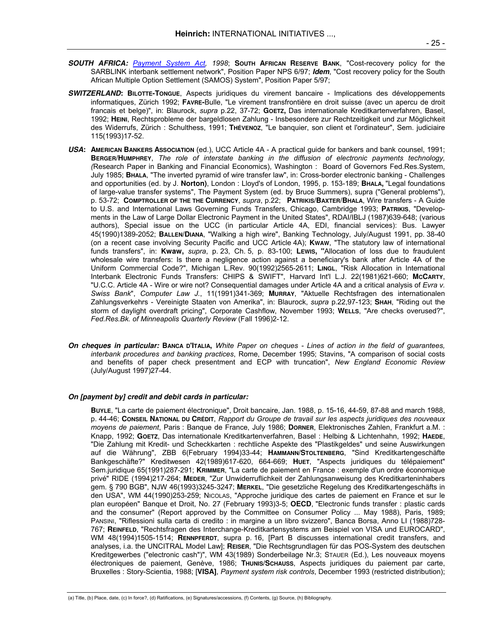- **SOUTH AFRICA:** *Payment System Act, 1998*; **SOUTH AFRICAN RESERVE BANK**, "Cost-recovery policy for the SARBLINK interbank settlement network", Position Paper NPS 6/97; **Idem**, "Cost recovery policy for the South African Multiple Option Settlement (SAMOS) System", Position Paper 5/97;
- **SWITZERLAND: BILOTTE-TONGUE**, Aspects juridiques du virement bancaire Implications des développements informatiques, Zürich 1992; **FAVRE-**Bulle, "Le virement transfrontière en droit suisse (avec un apercu de droit francais et belge)", in: Blaurock, *supra* p.22, 37-72; **GOETZ,** Das internationale Kreditkartenverfahren, Basel, 1992; **HEINI**, Rechtsprobleme der bargeldlosen Zahlung - Insbesondere zur Rechtzeitigkeit und zur Möglichkeit des Widerrufs, Zürich : Schulthess, 1991; **THÉVENOZ**, "Le banquier, son client et l'ordinateur", Sem. judiciaire 115(1993)17-52.
- **USA: AMERICAN BANKERS ASSOCIATION** (ed.), UCC Article 4A A practical guide for bankers and bank counsel, 1991; **BERGER**/**HUMPHREY**, *The role of interstate banking in the diffusion of electronic payments technology, (*Research Paper in Banking and Financial Economics), Washington : Board of Governors Fed.Res.System, July 1985; **BHALA**, "The inverted pyramid of wire transfer law", in: Cross-border electronic banking - Challenges and opportunities (ed. by J. **Norton)**, London : Lloyd's of London, 1995, p. 153-189; **BHALA,** "Legal foundations of large-value transfer systems", The Payment System (ed. by Bruce Summers), supra ("General problems"), p. 53-72; **COMPTROLLER OF THE THE CURRENCY**, *supra*, p.22; **PATRIKIS/BAXTER/BHALA**, Wire transfers - A Guide to U.S. and International Laws Governing Funds Transfers, Chicago, Cambridge 1993; **PATRIKIS**, "Developments in the Law of Large Dollar Electronic Payment in the United States", RDAI/IBLJ (1987)639-648; (various authors), Special issue on the UCC (in particular Article 4A, EDI, financial services): Bus. Lawyer 45(1990)1389-2052; **BALLEN/DIANA**, "Walking a high wire", Banking Technology, July/August 1991, pp. 38-40 (on a recent case involving Security Pacific and UCC Article 4A); **KWAW**, "The statutory law of international funds transfers", in: **Kwaw,** *supra*, p. 23, Ch. 5, p. 83-100; **LEWIS, "**Allocation of loss due to fraudulent wholesale wire transfers: Is there a negligence action against a beneficiary's bank after Article 4A of the Uniform Commercial Code?", Michigan L.Rev. 90(1992)2565-2611; **LINGL**, "Risk Allocation in International Interbank Electronic Funds Transfers: CHIPS & SWIFT", Harvard Int'l L.J. 22(1981)621-660; **MCCARTY**, "U.C.C. Article 4A - Wire or wire not? Consequential damages under Article 4A and a critical analysis of *Evra v. Swiss Bank*", *Computer Law J.*, 11(1991)341-369; **MURRAY**, "Aktuelle Rechtsfragen des internationalen Zahlungsverkehrs - Vereinigte Staaten von Amerika", in: Blaurock, *supra* p.22,97-123; **SHAH**, "Riding out the storm of daylight overdraft pricing", Corporate Cashflow, November 1993; **WELLS**, "Are checks overused?", *Fed.Res.Bk. of Minneapolis Quarterly Review* (Fall 1996)2-12.
- **On cheques in particular: BANCA D'ITALIA,** *White Paper on cheques Lines of action in the field of guarantees, interbank procedures and banking practices*, Rome, December 1995; Stavins, "A comparison of social costs and benefits of paper check presentment and ECP with truncation", *New England Economic Review* (July/August 1997)27-44.

#### **On [payment by] credit and debit cards in particular:**

**BUYLE**, "La carte de paiement électronique", Droit bancaire, Jan. 1988, p. 15-16, 44-59, 87-88 and march 1988, p. 44-46; **CONSEIL NATIONAL DU CRÉDIT**, *Rapport du Groupe de travail sur les aspects juridiques des nouveaux moyens de paiement*, Paris : Banque de France, July 1986; **DORNER**, Elektronisches Zahlen, Frankfurt a.M. : Knapp, 1992; **GOETZ**, Das internationale Kreditkartenverfahren, Basel : Helbing & Lichtenhahn, 1992; **HAEDE**, "Die Zahlung mit Kredit- und Scheckkarten : rechtliche Aspekte des "Plastikgeldes" und seine Auswirkungen auf die Währung", ZBB 6(February 1994)33-44; **HAMMANN/STOLTENBERG**, "Sind Kreditkartengeschäfte Bankgeschäfte?" Kreditwesen 42(1989)617-620, 664-669; **HUET**, "Aspects juridiques du télépaiement" Sem.juridique 65(1991)287-291; **KRIMMER**, "La carte de paiement en France : exemple d'un ordre économique privé" RIDE (1994)217-264; **MEDER**, "Zur Unwiderruflichkeit der Zahlungsanweisung des Kreditkarteninhabers gem. § 790 BGB", NJW 46(1993)3245-3247; **MERKEL**, "Die gesetzliche Regelung des Kreditkartengeschäfts in den USA", WM 44(1990)253-259; NICOLAS, "Approche juridique des cartes de paiement en France et sur le plan européen" Banque et Droit, No. 27 (February 1993)3-5; **OECD**, "Electronic funds transfer : plastic cards and the consumer" (Report approved by the Committee on Consumer Policy ... May 1988), Paris, 1989; PANSINI, "Riflessioni sulla carta di credito : in margine a un libro svizzero", Banca Borsa, Anno LI (1988)728- 767; **REINFELD**, "Rechtsfragen des Interchange-Kreditkartensystems am Beispiel von VISA und EUROCARD", WM 48(1994)1505-1514; **RENNPFERDT**, supra p. 16, [Part B discusses international credit transfers, and analyses, i.a. the UNCITRAL Model Law]; **REISER**, "Die Rechtsgrundlagen für das POS-System des deutschen Kreditgewerbes ("electronic cash")", WM 43(1989) Sonderbeilage Nr.3; STAUER (Ed.), Les nouveaux moyens électroniques de paiement, Genève, 1986; **THUNIS/SCHAUSS**, Aspects juridiques du paiement par carte, Bruxelles : Story-Scientia, 1988; [**VISA]**, *Payment system risk controls*, December 1993 (restricted distribution);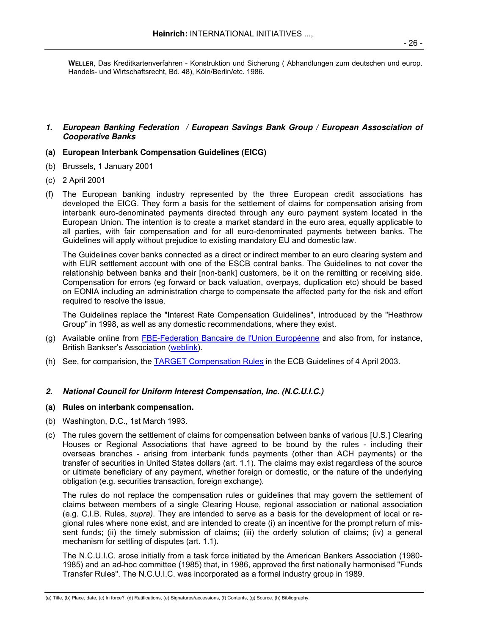**WELLER**, Das Kreditkartenverfahren - Konstruktion und Sicherung ( Abhandlungen zum deutschen und europ. Handels- und Wirtschaftsrecht, Bd. 48), Köln/Berlin/etc. 1986.

## **1. European Banking Federation / European Savings Bank Group / European Assosciation of Cooperative Banks**

#### **(a) European Interbank Compensation Guidelines (EICG)**

- (b) Brussels, 1 January 2001
- (c) 2 April 2001
- (f) The European banking industry represented by the three European credit associations has developed the EICG. They form a basis for the settlement of claims for compensation arising from interbank euro-denominated payments directed through any euro payment system located in the European Union. The intention is to create a market standard in the euro area, equally applicable to all parties, with fair compensation and for all euro-denominated payments between banks. The Guidelines will apply without prejudice to existing mandatory EU and domestic law.

 The Guidelines cover banks connected as a direct or indirect member to an euro clearing system and with EUR settlement account with one of the ESCB central banks. The Guidelines to not cover the relationship between banks and their [non-bank] customers, be it on the remitting or receiving side. Compensation for errors (eg forward or back valuation, overpays, duplication etc) should be based on EONIA including an administration charge to compensate the affected party for the risk and effort required to resolve the issue.

 The Guidelines replace the "Interest Rate Compensation Guidelines", introduced by the "Heathrow Group" in 1998, as well as any domestic recommendations, where they exist.

- (g) Available online from FBE-Federation Bancaire de l'Union Européenne and also from, for instance, British Bankser's Association (weblink).
- (h) See, for comparision, the TARGET Compensation Rules in the ECB Guidelines of 4 April 2003.

#### **2. National Council for Uniform Interest Compensation, Inc. (N.C.U.I.C.)**

#### **(a) Rules on interbank compensation.**

- (b) Washington, D.C., 1st March 1993.
- (c) The rules govern the settlement of claims for compensation between banks of various [U.S.] Clearing Houses or Regional Associations that have agreed to be bound by the rules - including their overseas branches - arising from interbank funds payments (other than ACH payments) or the transfer of securities in United States dollars (art. 1.1). The claims may exist regardless of the source or ultimate beneficiary of any payment, whether foreign or domestic, or the nature of the underlying obligation (e.g. securities transaction, foreign exchange).

 The rules do not replace the compensation rules or guidelines that may govern the settlement of claims between members of a single Clearing House, regional association or national association (e.g. C.I.B. Rules, *supra)*. They are intended to serve as a basis for the development of local or regional rules where none exist, and are intended to create (i) an incentive for the prompt return of missent funds; (ii) the timely submission of claims; (iii) the orderly solution of claims; (iv) a general mechanism for settling of disputes (art. 1.1).

 The N.C.U.I.C. arose initially from a task force initiated by the American Bankers Association (1980- 1985) and an ad-hoc committee (1985) that, in 1986, approved the first nationally harmonised "Funds Transfer Rules". The N.C.U.I.C. was incorporated as a formal industry group in 1989.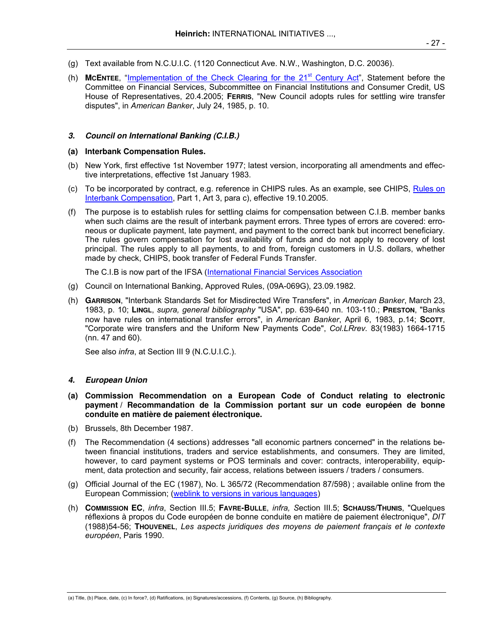- (g) Text available from N.C.U.I.C. (1120 Connecticut Ave. N.W., Washington, D.C. 20036).
- (h) **MCENTEE**, "Implementation of the Check Clearing for the 21st Century Act", Statement before the Committee on Financial Services, Subcommittee on Financial Institutions and Consumer Credit, US House of Representatives, 20.4.2005; **FERRIS**, "New Council adopts rules for settling wire transfer disputes", in *American Banker*, July 24, 1985, p. 10.

### **3. Council on International Banking (C.I.B.)**

#### **(a) Interbank Compensation Rules.**

- (b) New York, first effective 1st November 1977; latest version, incorporating all amendments and effective interpretations, effective 1st January 1983.
- (c) To be incorporated by contract, e.g. reference in CHIPS rules. As an example, see CHIPS, Rules on Interbank Compensation, Part 1, Art 3, para c), effective 19.10.2005.
- (f) The purpose is to establish rules for settling claims for compensation between C.I.B. member banks when such claims are the result of interbank payment errors. Three types of errors are covered: erroneous or duplicate payment, late payment, and payment to the correct bank but incorrect beneficiary. The rules govern compensation for lost availability of funds and do not apply to recovery of lost principal. The rules apply to all payments, to and from, foreign customers in U.S. dollars, whether made by check, CHIPS, book transfer of Federal Funds Transfer.

The C.I.B is now part of the IFSA (International Financial Services Association

- (g) Council on International Banking, Approved Rules, (09A-069G), 23.09.1982.
- (h) **GARRISON**, "Interbank Standards Set for Misdirected Wire Transfers", in *American Banker*, March 23, 1983, p. 10; **LINGL**, *supra, general bibliography* "USA", pp. 639-640 nn. 103-110.; **PRESTON**, "Banks now have rules on international transfer errors", in *American Banker*, April 6, 1983, p.14; **SCOTT**, "Corporate wire transfers and the Uniform New Payments Code", *Col.LRrev.* 83(1983) 1664-1715 (nn. 47 and 60).

See also *infra*, at Section III 9 (N.C.U.I.C.).

## **4. European Union**

- **(a) Commission Recommendation on a European Code of Conduct relating to electronic payment / Recommandation de la Commission portant sur un code européen de bonne conduite en matière de paiement électronique.**
- (b) Brussels, 8th December 1987.
- (f) The Recommendation (4 sections) addresses "all economic partners concerned" in the relations between financial institutions, traders and service establishments, and consumers. They are limited, however, to card payment systems or POS terminals and cover: contracts, interoperability, equipment, data protection and security, fair access, relations between issuers / traders / consumers.
- (g) Official Journal of the EC (1987), No. L 365/72 (Recommendation 87/598) ; available online from the European Commission; (weblink to versions in various languages)
- (h) **COMMISSION EC**, *infra*, Section III.5; **FAVRE-BULLE**, *infra, S*ection III.5; **SCHAUSS/THUNIS**, "Quelques réflexions à propos du Code européen de bonne conduite en matière de paiement électronique", *DIT* (1988)54-56; **THOUVENEL**, *Les aspects juridiques des moyens de paiement français et le contexte européen*, Paris 1990.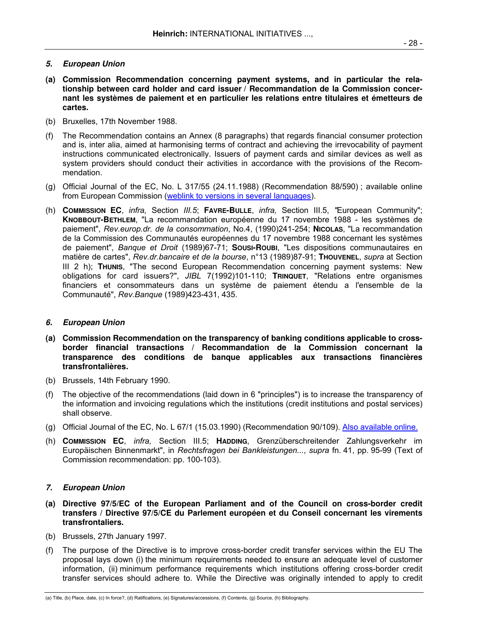- 28 -

## **5. European Union**

- **(a) Commission Recommendation concerning payment systems, and in particular the relationship between card holder and card issuer / Recommandation de la Commission concernant les systèmes de paiement et en particulier les relations entre titulaires et émetteurs de cartes.**
- (b) Bruxelles, 17th November 1988.
- (f) The Recommendation contains an Annex (8 paragraphs) that regards financial consumer protection and is, inter alia, aimed at harmonising terms of contract and achieving the irrevocability of payment instructions communicated electronically. Issuers of payment cards and similar devices as well as system providers should conduct their activities in accordance with the provisions of the Recommendation.
- (g) Official Journal of the EC, No. L 317/55 (24.11.1988) (Recommendation 88/590) ; available online from European Commission (weblink to versions in several languages).
- (h) **COMMISSION EC**, *infra,* Section *III.5*; **FAVRE-BULLE**, *infra,* Section III.5, *"*European Community"; **KNOBBOUT-BETHLEM**, "La recommandation européenne du 17 novembre 1988 - les systèmes de paiement", *Rev.europ.dr. de la consommation*, No.4, (1990)241-254; **NICOLAS**, "La recommandation de la Commission des Communautés européennes du 17 novembre 1988 concernant les systèmes de paiement", *Banque et Droit* (1989)67-71; **SOUSI-ROUBI**, "Les dispositions communautaires en matière de cartes", *Rev.dr.bancaire et de la bourse*, n°13 (1989)87-91; **THOUVENEL**, *supra* at Section III 2 h); **THUNIS**, "The second European Recommendation concerning payment systems: New obligations for card issuers?", *JIBL* 7(1992)101-110; **TRINQUET**, "Relations entre organismes financiers et consommateurs dans un système de paiement étendu a l'ensemble de la Communauté", *Rev.Banque* (1989)423-431, 435.

## **6. European Union**

- **(a) Commission Recommendation on the transparency of banking conditions applicable to crossborder financial transactions / Recommandation de la Commission concernant la transparence des conditions de banque applicables aux transactions financières transfrontalières.**
- (b) Brussels, 14th February 1990.
- (f) The objective of the recommendations (laid down in 6 "principles") is to increase the transparency of the information and invoicing regulations which the institutions (credit institutions and postal services) shall observe.
- (g) Official Journal of the EC, No. L 67/1 (15.03.1990) (Recommendation 90/109). Also available online.
- (h) **COMMISSION EC**, *infra,* Section III.5; **HADDING**, Grenzüberschreitender Zahlungsverkehr im Europäischen Binnenmarkt", in *Rechtsfragen bei Bankleistungen...*, *supra* fn. 41, pp. 95-99 (Text of Commission recommendation: pp. 100-103).

## **7. European Union**

- **(a) Directive 97/5/EC of the European Parliament and of the Council on cross-border credit transfers / Directive 97/5/CE du Parlement européen et du Conseil concernant les virements transfrontaliers.**
- (b) Brussels, 27th January 1997.
- (f) The purpose of the Directive is to improve cross-border credit transfer services within the EU The proposal lays down (i) the minimum requirements needed to ensure an adequate level of customer information, (ii) minimum performance requirements which institutions offering cross-border credit transfer services should adhere to. While the Directive was originally intended to apply to credit

<sup>(</sup>a) Title, (b) Place, date, (c) In force?, (d) Ratifications, (e) Signatures/accessions, (f) Contents, (g) Source, (h) Bibliography.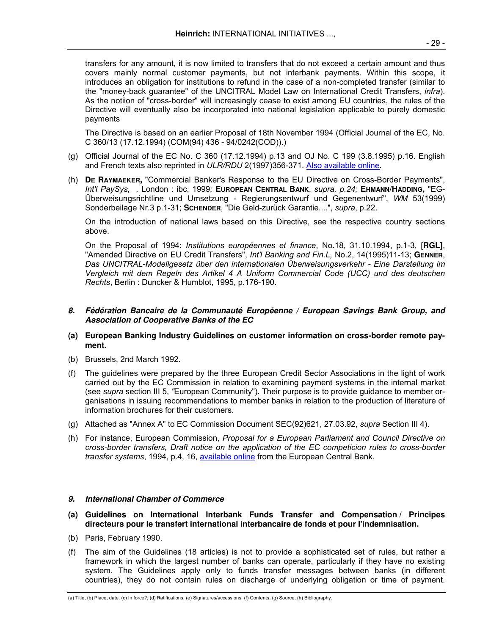The Directive is based on an earlier Proposal of 18th November 1994 (Official Journal of the EC, No. C 360/13 (17.12.1994) (COM(94) 436 - 94/0242(COD)).)

- (g) Official Journal of the EC No. C 360 (17.12.1994) p.13 and OJ No. C 199 (3.8.1995) p.16. English and French texts also reprinted in *ULR/RDU* 2(1997)356-371. Also available online.
- (h) **DE RAYMAEKER,** "Commercial Banker's Response to the EU Directive on Cross-Border Payments", *Int'l PaySys, ,* London : ibc, 1999*;* **EUROPEAN CENTRAL BANK**, *supra, p.24;* **EHMANN/HADDING,** "EG-Überweisungsrichtline und Umsetzung - Regierungsentwurf und Gegenentwurf", *WM* 53(1999) Sonderbeilage Nr.3 p.1-31; **SCHENDER**, "Die Geld-zurück Garantie....", *supra*, p.22.

 On the introduction of national laws based on this Directive, see the respective country sections above.

 On the Proposal of 1994: *Institutions européennes et finance*, No.18, 31.10.1994, p.1-3, [**RGL]**, "Amended Directive on EU Credit Transfers", *Int'l Banking and Fin.L,* No.2, 14(1995)11-13; **GENNER**, *Das UNCITRAL-Modellgesetz über den internationalen Überweisungsverkehr - Eine Darstellung im Vergleich mit dem Regeln des Artikel 4 A Uniform Commercial Code (UCC) und des deutschen Rechts*, Berlin : Duncker & Humblot, 1995, p.176-190.

## **8. Fédération Bancaire de la Communauté Européenne / European Savings Bank Group, and Association of Cooperative Banks of the EC**

- **(a) European Banking Industry Guidelines on customer information on cross-border remote payment.**
- (b) Brussels, 2nd March 1992.
- (f) The guidelines were prepared by the three European Credit Sector Associations in the light of work carried out by the EC Commission in relation to examining payment systems in the internal market (see *supra* section III 5, *"*European Community"). Their purpose is to provide guidance to member organisations in issuing recommendations to member banks in relation to the production of literature of information brochures for their customers.
- (g) Attached as "Annex A" to EC Commission Document SEC(92)621, 27.03.92, *supra* Section III 4).
- (h) For instance, European Commission, *Proposal for a European Parliament and Council Directive on cross-border transfers, Draft notice on the application of the EC competicion rules to cross-border transfer systems*, 1994, p.4, 16, available online from the European Central Bank.

## **9. International Chamber of Commerce**

- **(a) Guidelines on International Interbank Funds Transfer and Compensation / Principes directeurs pour le transfert international interbancaire de fonds et pour l'indemnisation.**
- (b) Paris, February 1990.
- (f) The aim of the Guidelines (18 articles) is not to provide a sophisticated set of rules, but rather a framework in which the largest number of banks can operate, particularly if they have no existing system. The Guidelines apply only to funds transfer messages between banks (in different countries), they do not contain rules on discharge of underlying obligation or time of payment.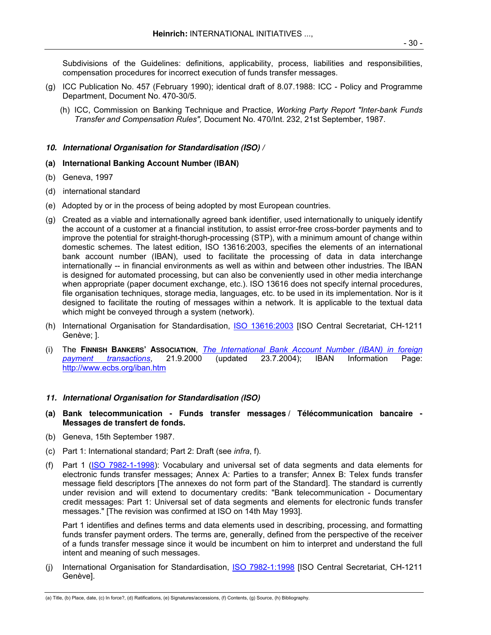Subdivisions of the Guidelines: definitions, applicability, process, liabilities and responsibilities, compensation procedures for incorrect execution of funds transfer messages.

- (g) ICC Publication No. 457 (February 1990); identical draft of 8.07.1988: ICC Policy and Programme Department, Document No. 470-30/5.
	- (h) ICC, Commission on Banking Technique and Practice, *Working Party Report "Inter-bank Funds Transfer and Compensation Rules",* Document No. 470/Int. 232, 21st September, 1987.

# **10. International Organisation for Standardisation (ISO) /**

# **(a) International Banking Account Number (IBAN)**

- (b) Geneva, 1997
- (d) international standard
- (e) Adopted by or in the process of being adopted by most European countries.
- (g) Created as a viable and internationally agreed bank identifier, used internationally to uniquely identify the account of a customer at a financial institution, to assist error-free cross-border payments and to improve the potential for straight-thorugh-processing (STP), with a minimum amount of change within domestic schemes. The latest edition, ISO 13616:2003, specifies the elements of an international bank account number (IBAN), used to facilitate the processing of data in data interchange internationally -- in financial environments as well as within and between other industries. The IBAN is designed for automated processing, but can also be conveniently used in other media interchange when appropriate (paper document exchange, etc.). ISO 13616 does not specify internal procedures, file organisation techniques, storage media, languages, etc. to be used in its implementation. Nor is it designed to facilitate the routing of messages within a network. It is applicable to the textual data which might be conveyed through a system (network).
- (h) International Organisation for Standardisation, ISO 13616:2003 [ISO Central Secretariat, CH-1211 Genève; ].
- (i) The **FINNISH BANKERS' ASSOCIATION**, *The International Bank Account Number (IBAN) in foreign payment transactions*, 21.9.2000 (updated 23.7.2004); IBAN Information Page: http://www.ecbs.org/iban.htm

## **11. International Organisation for Standardisation (ISO)**

- **(a) Bank telecommunication Funds transfer messages / Télécommunication bancaire Messages de transfert de fonds.**
- (b) Geneva, 15th September 1987.
- (c) Part 1: International standard; Part 2: Draft (see *infra*, f).
- (f) Part 1 (ISO 7982-1-1998): Vocabulary and universal set of data segments and data elements for electronic funds transfer messages; Annex A: Parties to a transfer; Annex B: Telex funds transfer message field descriptors [The annexes do not form part of the Standard]. The standard is currently under revision and will extend to documentary credits: "Bank telecommunication - Documentary credit messages: Part 1: Universal set of data segments and elements for electronic funds transfer messages." [The revision was confirmed at ISO on 14th May 1993].

 Part 1 identifies and defines terms and data elements used in describing, processing, and formatting funds transfer payment orders. The terms are, generally, defined from the perspective of the receiver of a funds transfer message since it would be incumbent on him to interpret and understand the full intent and meaning of such messages.

(j) International Organisation for Standardisation, ISO 7982-1:1998 [ISO Central Secretariat, CH-1211 Genève].

<sup>(</sup>a) Title, (b) Place, date, (c) In force?, (d) Ratifications, (e) Signatures/accessions, (f) Contents, (g) Source, (h) Bibliography.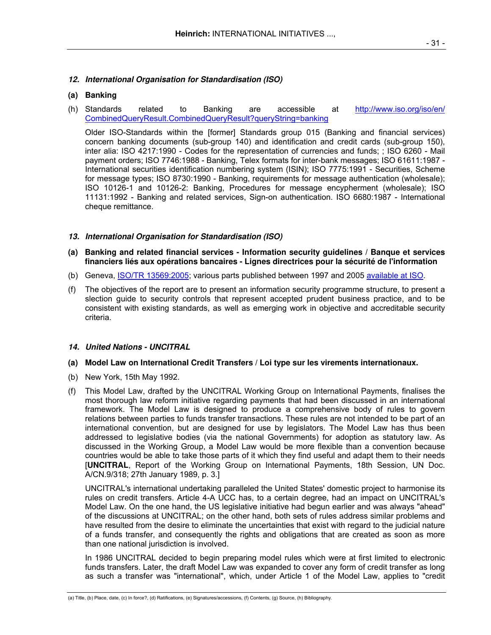# **12. International Organisation for Standardisation (ISO)**

## **(a) Banking**

(h) Standards related to Banking are accessible at http://www.iso.org/iso/en/ CombinedQueryResult.CombinedQueryResult?queryString=banking

 Older ISO-Standards within the [former] Standards group 015 (Banking and financial services) concern banking documents (sub-group 140) and identification and credit cards (sub-group 150), inter alia: ISO 4217:1990 - Codes for the representation of currencies and funds; ; ISO 6260 - Mail payment orders; ISO 7746:1988 - Banking, Telex formats for inter-bank messages; ISO 61611:1987 - International securities identification numbering system (ISIN); ISO 7775:1991 - Securities, Scheme for message types; ISO 8730:1990 - Banking, requirements for message authentication (wholesale); ISO 10126-1 and 10126-2: Banking, Procedures for message encypherment (wholesale); ISO 11131:1992 - Banking and related services, Sign-on authentication. ISO 6680:1987 - International cheque remittance.

## **13. International Organisation for Standardisation (ISO)**

- **(a) Banking and related financial services Information security guidelines / Banque et services financiers liés aux opérations bancaires - Lignes directrices pour la sécurité de l'information**
- (b) Geneva, ISO/TR 13569:2005; various parts published between 1997 and 2005 available at ISO.
- (f) The objectives of the report are to present an information security programme structure, to present a slection guide to security controls that represent accepted prudent business practice, and to be consistent with existing standards, as well as emerging work in objective and accreditable security criteria.

## **14. United Nations - UNCITRAL**

- **(a) Model Law on International Credit Transfers / Loi type sur les virements internationaux.**
- (b) New York, 15th May 1992.
- (f) This Model Law, drafted by the UNCITRAL Working Group on International Payments, finalises the most thorough law reform initiative regarding payments that had been discussed in an international framework. The Model Law is designed to produce a comprehensive body of rules to govern relations between parties to funds transfer transactions. These rules are not intended to be part of an international convention, but are designed for use by legislators. The Model Law has thus been addressed to legislative bodies (via the national Governments) for adoption as statutory law. As discussed in the Working Group, a Model Law would be more flexible than a convention because countries would be able to take those parts of it which they find useful and adapt them to their needs [**UNCITRAL**, Report of the Working Group on International Payments, 18th Session, UN Doc. A/CN.9/318; 27th January 1989, p. 3.]

 UNCITRAL's international undertaking paralleled the United States' domestic project to harmonise its rules on credit transfers. Article 4-A UCC has, to a certain degree, had an impact on UNCITRAL's Model Law. On the one hand, the US legislative initiative had begun earlier and was always "ahead" of the discussions at UNCITRAL; on the other hand, both sets of rules address similar problems and have resulted from the desire to eliminate the uncertainties that exist with regard to the judicial nature of a funds transfer, and consequently the rights and obligations that are created as soon as more than one national jurisdiction is involved.

 In 1986 UNCITRAL decided to begin preparing model rules which were at first limited to electronic funds transfers. Later, the draft Model Law was expanded to cover any form of credit transfer as long as such a transfer was "international", which, under Article 1 of the Model Law, applies to "credit

<sup>(</sup>a) Title, (b) Place, date, (c) In force?, (d) Ratifications, (e) Signatures/accessions, (f) Contents, (g) Source, (h) Bibliography.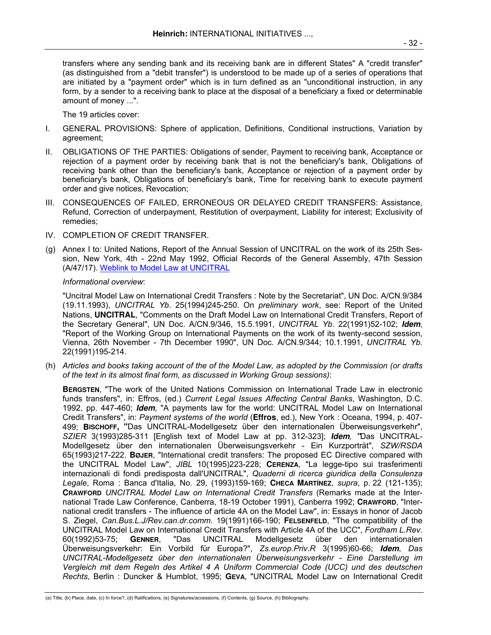transfers where any sending bank and its receiving bank are in different States" A "credit transfer" (as distinguished from a "debit transfer") is understood to be made up of a series of operations that are initiated by a "payment order" which is in turn defined as an "unconditional instruction, in any form, by a sender to a receiving bank to place at the disposal of a beneficiary a fixed or determinable amount of money ...".

The 19 articles cover:

- I. GENERAL PROVISIONS: Sphere of application, Definitions, Conditional instructions, Variation by agreement;
- II. OBLIGATIONS OF THE PARTIES: Obligations of sender, Payment to receiving bank, Acceptance or rejection of a payment order by receiving bank that is not the beneficiary's bank, Obligations of receiving bank other than the beneficiary's bank, Acceptance or rejection of a payment order by beneficiary's bank, Obligations of beneficiary's bank, Time for receiving bank to execute payment order and give notices, Revocation;
- III. CONSEQUENCES OF FAILED, ERRONEOUS OR DELAYED CREDIT TRANSFERS: Assistance, Refund, Correction of underpayment, Restitution of overpayment, Liability for interest; Exclusivity of remedies;
- IV. COMPLETION OF CREDIT TRANSFER.
- (g) Annex I to: United Nations, Report of the Annual Session of UNCITRAL on the work of its 25th Session, New York, 4th - 22nd May 1992, Official Records of the General Assembly, 47th Session (A/47/17). Weblink to Model Law at UNCITRAL

*Informational overview*:

 "Uncitral Model Law on International Credit Transfers : Note by the Secretariat", UN Doc. A/CN.9/384 (19.11.1993), *UNCITRAL Yb*. 25(1994)245-250. On *preliminary work*, see: Report of the United Nations, **UNCITRAL**, "Comments on the Draft Model Law on International Credit Transfers, Report of the Secretary General", UN Doc. A/CN.9/346, 15.5.1991, *UNCITRAL Yb*. 22(1991)52-102; **Idem**, "Report of the Working Group on International Payments on the work of its twenty-second session, Vienna, 26th November - 7th December 1990", UN Doc. A/CN.9/344; 10.1.1991, *UNCITRAL Yb*. 22(1991)195-214.

(h) *Articles and books taking account of the of the Model Law, as adopted by the Commission (or drafts of the text in its almost final form, as discussed in Working Group sessions)*:

 **BERGSTEN**, "The work of the United Nations Commission on International Trade Law in electronic funds transfers", in: Effros, (ed.) *Current Legal Issues Affecting Central Banks*, Washington, D.C. 1992, pp. 447-460; **Idem**, "A payments law for the world: UNCITRAL Model Law on International Credit Transfers", in: *Payment systems of the world* (**Effros**, ed.), New York : Oceana, 1994, p. 407- 499; **BISCHOFF, "**Das UNCITRAL-Modellgesetz über den internationalen Überweisungsverkehr", *SZIER* 3(1993)285-311 [English text of Model Law at pp. 312-323]; **Idem***,* **"**Das UNCITRAL-Modellgesetz über den internationalen Überweisungsverkehr - Ein Kurzporträt", *SZW/RSDA* 65(1993)217-222. **BØJER**, "International credit transfers: The proposed EC Directive compared with the UNCITRAL Model Law", *JIBL* 10(1995)223-228; **CERENZA**, "La legge-tipo sui trasferimenti internazionali di fondi predisposta dall'UNCITRAL", *Quaderni di ricerca giuridica della Consulenza Legale*, Roma : Banca d'Italia, No. 29, (1993)159-169; **CHECA MARTÍNEZ**, *supra*, p. 22 (121-135); **CRAWFORD** *UNCITRAL Model Law on International Credit Transfers* (Remarks made at the International Trade Law Conference, Canberra, 18-19 October 1991), Canberra 1992; **CRAWFORD**, "International credit transfers - The influence of article 4A on the Model Law", in: Essays in honor of Jacob S. Ziegel, *Can.Bus.L.J/Rev.can.dr.comm.* 19(1991)166-190; **FELSENFELD**, "The compatibility of the UNCITRAL Model Law on International Credit Transfers with Article 4A of the UCC", *Fordham L.Rev*. 60(1992)53-75; **GENNER**, "Das UNCITRAL Modellgesetz über den internationalen Überweisungsverkehr: Ein Vorbild für Europa?", *Zs.europ.Priv.R* 3(1995)60-66; **Idem**, *Das UNCITRAL-Modellgesetz über den internationalen Überweisungsverkehr - Eine Darstellung im Vergleich mit dem Regeln des Artikel 4 A Uniform Commercial Code (UCC) und des deutschen Rechts*, Berlin : Duncker & Humblot, 1995; **GEVA**, "UNCITRAL Model Law on International Credit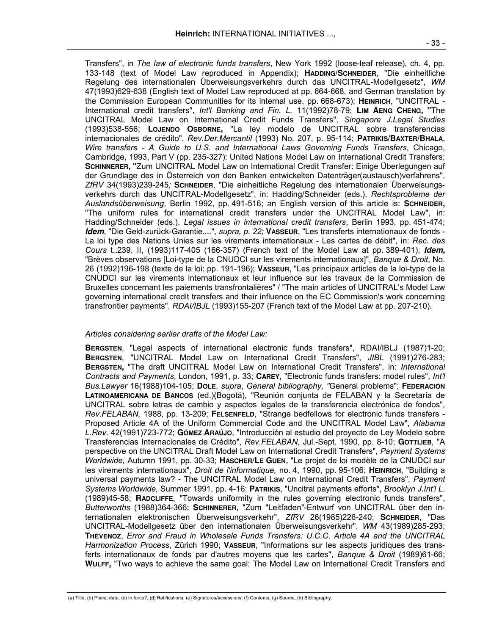Transfers", in *The law of electronic funds transfers*, New York 1992 (loose-leaf release), ch. 4, pp. 133-148 (text of Model Law reproduced in Appendix); **HADDING/SCHNEIDER**, "Die einheitliche Regelung des internationalen Überweisungsverkehrs durch das UNCITRAL-Modellgesetz", *WM* 47(1993)629-638 (English text of Model Law reproduced at pp. 664-668, and German translation by the Commission European Communities for its internal use, pp. 668-673); **HEINRICH**, "UNCITRAL - International credit transfers", *Int'l Banking and Fin. L.* 11(1992)78-79; **LIM AENG CHENG, "**The UNCITRAL Model Law on International Credit Funds Transfers", *Singapore J.Legal Studies* (1993)538-556; **LOJENDO OSBORNE,** "La ley modelo de UNCITRAL sobre transferencias internacionales de crédito", *Rev.Der.Mercantil* (1993) No. 207, p. 95-114; **PATRIKIS/BAXTER/BHALA**, *Wire transfers - A Guide to U.S. and International Laws Governing Funds Transfers*, Chicago, Cambridge, 1993, Part V (pp. 235-327): United Nations Model Law on International Credit Transfers; **SCHINNERER, "**Zum UNCITRAL Model Law on International Credit Transfer: Einige Überlegungen auf der Grundlage des in Österreich von den Banken entwickelten Datenträger(austausch)verfahrens", *ZfRV* 34(1993)239-245*;* **SCHNEIDER**, "Die einheitliche Regelung des internationalen Überweisungsverkehrs durch das UNCITRAL-Modellgesetz", in: Hadding/Schneider (eds.), *Rechtsprobleme der Auslandsüberweisung*, Berlin 1992, pp. 491-516; an English version of this article is: **SCHNEIDER,**  "The uniform rules for international credit transfers under the UNCITRAL Model Law", in: Hadding/Schneider (eds.), *Legal issues in international credit transfers*, Berlin 1993, pp. 451-474; **Idem**, "Die Geld-zurück-Garantie....", *supra, p. 22;* **VASSEUR**, "Les transferts internationaux de fonds - La loi type des Nations Unies sur les virements internationaux - Les cartes de débit", in: *Rec. des Cours* t..239, II, (1993)117-405 (166-357) (French text of the Model Law at pp. 389-401); **Idem,**  "Brèves observations [Loi-type de la CNUDCI sur les virements internationaux]", *Banque & Droit*, No. 26 (1992)196-198 (texte de la loi: pp. 191-196); **VASSEUR**, "Les principaux articles de la loi-type de la CNUDCI sur les virements internationaux et leur influence sur les travaux de la Commission de Bruxelles concernant les paiements transfrontalières" / "The main articles of UNCITRAL's Model Law governing international credit transfers and their influence on the EC Commission's work concerning transfrontier payments", *RDAI/IBJL* (1993)155-207 (French text of the Model Law at pp. 207-210).

## *Articles considering earlier drafts of the Model Law:*

**BERGSTEN**, "Legal aspects of international electronic funds transfers", RDAI/IBLJ (1987)1-20; **BERGSTEN**, "UNCITRAL Model Law on International Credit Transfers", *JIBL* (1991)276-283; **BERGSTEN,** "The draft UNCITRAL Model Law on International Credit Transfers", in: *International Contracts and Payments*, London, 1991, p. 33; **CAREY**, "Electronic funds transfers: model rules", *Int'l Bus.Lawyer* 16(1988)104-105; **DOLE**, *supra*, *General bibliography, "*General problems"; **FEDERACIÓN LATINOAMERICANA DE BANCOS** (ed.)(Bogotá), "Reunión conjunta de FELABAN y la Secretaría de UNCITRAL sobre letras de cambio y aspectos legales de la transferencia electrónica de fondos", *Rev.FELABAN,* 1988, pp. 13-209; **FELSENFELD**, "Strange bedfellows for electronic funds transfers - Proposed Article 4A of the Uniform Commercial Code and the UNCITRAL Model Law", *Alabama L.Rev.* 42(1991)723-772; **GÓMEZ ARAÚJO**, "Introducción al estudio del proyecto de Ley Modelo sobre Transferencias Internacionales de Crédito", *Rev.FELABAN,* Jul.-Sept. 1990, pp. 8-10; **GOTTLIEB**, "A perspective on the UNCITRAL Draft Model Law on International Credit Transfers", *Payment Systems Worldwide,* Autumn 1991, pp. 30-33; **HASCHER/LE GUEN**, "Le projet de loi modèle de la CNUDCI sur les virements internationaux", *Droit de l'informatique,* no. 4, 1990, pp. 95-106; **HEINRICH**, "Building a universal payments law? - The UNCITRAL Model Law on International Credit Transfers", *Payment Systems Worldwide,* Summer 1991, pp. 4-16; **PATRIKIS**, "Uncitral payments efforts", *Brooklyn J.Int'l L*. (1989)45-58; **RADCLIFFE**, "Towards uniformity in the rules governing electronic funds transfers", *Butterworths* (1988)364-366; **SCHINNERER**, "Zum "Leitfaden"-Entwurf von UNCITRAL über den internationalen elektronischen Überweisungsverkehr", *ZfRV* 26(1985)226-240; **SCHNEIDER**, "Das UNCITRAL-Modellgesetz über den internationalen Überweisungsverkehr", *WM* 43(1989)285-293; **THÉVENOZ**, *Error and Fraud in Wholesale Funds Transfers: U.C.C. Article 4A and the UNCITRAL Harmonization Process*, Zürich 1990; **VASSEUR**, "Informations sur les aspects juridiques des transferts internationaux de fonds par d'autres moyens que les cartes", *Banque & Droit* (1989)61-66; **WULFF,** "Two ways to achieve the same goal: The Model Law on International Credit Transfers and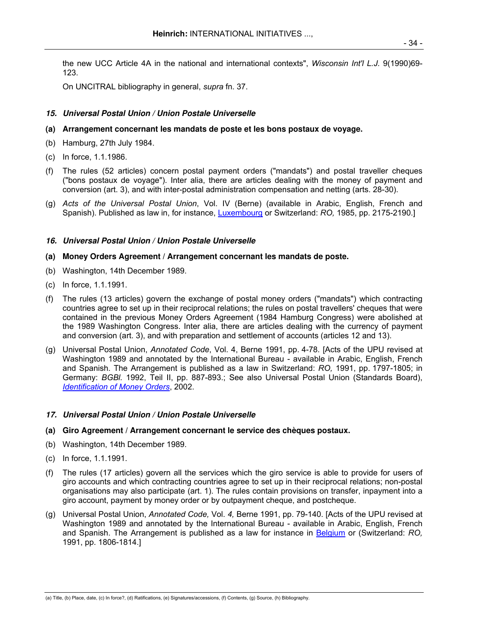the new UCC Article 4A in the national and international contexts", *Wisconsin Int'l L.J.* 9(1990)69- 123.

On UNCITRAL bibliography in general, *supra* fn. 37.

# **15. Universal Postal Union / Union Postale Universelle**

## **(a) Arrangement concernant les mandats de poste et les bons postaux de voyage.**

- (b) Hamburg, 27th July 1984.
- (c) In force, 1.1.1986.
- (f) The rules (52 articles) concern postal payment orders ("mandats") and postal traveller cheques ("bons postaux de voyage"). Inter alia, there are articles dealing with the money of payment and conversion (art. 3), and with inter-postal administration compensation and netting (arts. 28-30).
- (g) *Acts of the Universal Postal Union*, Vol. IV (Berne) (available in Arabic, English, French and Spanish). Published as law in, for instance, Luxembourg or Switzerland: *RO,* 1985, pp. 2175-2190.]

# **16. Universal Postal Union / Union Postale Universelle**

## **(a) Money Orders Agreement / Arrangement concernant les mandats de poste.**

- (b) Washington, 14th December 1989.
- (c) In force, 1.1.1991.
- (f) The rules (13 articles) govern the exchange of postal money orders ("mandats") which contracting countries agree to set up in their reciprocal relations; the rules on postal travellers' cheques that were contained in the previous Money Orders Agreement (1984 Hamburg Congress) were abolished at the 1989 Washington Congress. Inter alia, there are articles dealing with the currency of payment and conversion (art. 3), and with preparation and settlement of accounts (articles 12 and 13).
- (g) Universal Postal Union, *Annotated Code*, Vol. 4, Berne 1991, pp. 4-78. [Acts of the UPU revised at Washington 1989 and annotated by the International Bureau - available in Arabic, English, French and Spanish. The Arrangement is published as a law in Switzerland: *RO,* 1991, pp. 1797-1805; in Germany: *BGBl.* 1992, Teil II, pp. 887-893.; See also Universal Postal Union (Standards Board), *Identification of Money Orders*, 2002.

## **17. Universal Postal Union / Union Postale Universelle**

- **(a) Giro Agreement / Arrangement concernant le service des chèques postaux.**
- (b) Washington, 14th December 1989.
- (c) In force, 1.1.1991.
- (f) The rules (17 articles) govern all the services which the giro service is able to provide for users of giro accounts and which contracting countries agree to set up in their reciprocal relations; non-postal organisations may also participate (art. 1). The rules contain provisions on transfer, inpayment into a giro account, payment by money order or by outpayment cheque, and postcheque.
- (g) Universal Postal Union, *Annotated Code,* Vol. *4,* Berne 1991, pp. 79-140. [Acts of the UPU revised at Washington 1989 and annotated by the International Bureau - available in Arabic, English, French and Spanish. The Arrangement is published as a law for instance in Belgium or (Switzerland: *RO,*  1991, pp. 1806-1814.]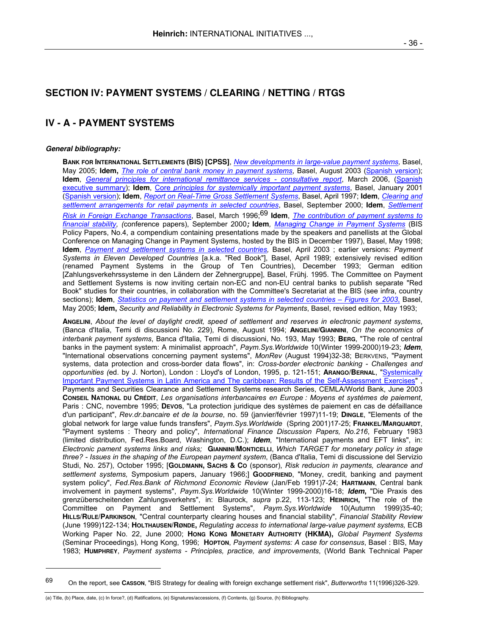# **SECTION IV: PAYMENT SYSTEMS / CLEARING / NETTING / RTGS**

# **IV - A - PAYMENT SYSTEMS**

### **General bibliography:**

-

 **BANK FOR INTERNATIONAL SETTLEMENTS (BIS) [CPSS]**, *New developments in large-value payment systems,* Basel, May 2005; **Idem,** *The role of central bank money in payment systems*, Basel, August 2003 (Spanish version); **Idem**, *General principles for international remittance services - consultative report*, March 2006, (Spanish executive summary); **Idem**, Core *principles for systemically important payment systems*, Basel, January 2001 (Spanish version); **Idem**, *Report on Real-Time Gross Settlement Systems*, Basel, April 1997; **Idem**, *Clearing and settlement arrangements for retail payments in selected countries*, Basel, September 2000; **Idem**, *Settlement Risk in Foreign Exchange Transactions*, Basel, March 1996;69 **Idem**, *The contribution of payment systems to financial stability, (*conference papers), September 2000**; Idem***, Managing Change in Payment Systems* (BIS Policy Papers, No.4, a compendium containing presentations made by the speakers and panellists at the Global Conference on Managing Change in Payment Systems, hosted by the BIS in December 1997), Basel, May 1998; **Idem**, *Payment and settlement systems in selected countries,* Basel, April 2003 ; earlier versions: *Payment Systems in Eleven Developed Countries* [a.k.a. "Red Book"], Basel, April 1989; extensively revised edition (renamed Payment Systems in the Group of Ten Countries), December 1993; German edition [Zahlungsverkehrssysteme in den Ländern der Zehnergruppe], Basel, Frühj. 1995. The Committee on Payment and Settlement Systems is now inviting certain non-EC and non-EU central banks to publish separate "Red Book" studies for their countries, in collaboration with the Committee's Secretariat at the BIS (see infra, country sections); **Idem**, *Statistics on payment and settlement systems in selected countries – Figures for 2003*, Basel, May 2005; **Idem,** *Security and Reliability in Electronic Systems for Payments*, Basel, revised edition, May 1993;

 **ANGELINI**, *About the level of daylight credit, speed of settlement and reserves in electronic payment systems*, (Banca d'Italia, Temi di discussioni No. 229), Rome, August 1994; **ANGELINI/GIANNINI**, *On the economics of interbank payment systems*, Banca d'Italia, Temi di discussioni, No. 193, May 1993; **BERG**, "The role of central banks in the payment system: A minimalist approach", *Paym.Sys.Worldwide* 10(Winter 1999-2000)19-23; **Idem**, "International observations concerning payment systems", *MonRev* (August 1994)32-38; BERKVENS, "Payment systems, data protection and cross-border data flows", in: *Cross-border electronic banking - Challenges and opportunities (*ed. by J. Norton), London : Lloyd's of London, 1995, p. 121-151; **ARANGO/BERNAL**, "Systemically Important Payment Systems in Latin America and The caribbean: Results of the Self-Assessment Exercises" Payments and Securities Clearance and Settlement Systems research Series, CEMLA/World Bank, June 2003 **CONSEIL NATIONAL DU CRÉDIT**, *Les organisations interbancaires en Europe : Moyens et systèmes de paiement*, Paris : CNC, novembre 1995; **DEVOS**, "La protection juridique des systèmes de paiement en cas de défaillance d'un participant", *Rev.dr.bancaire et de la bourse*, no. 59 (janvier/février 1997)11-19; **DINGLE**, "Elements of the global network for large value funds transfers", *Paym.Sys.Worldwide* (Spring 2001)17-25; **FRANKEL/MARQUARDT**, "Payment systems : Theory and policy", *International Finance Discussion Papers, No.216*, February 1983 (limited distribution, Fed.Res.Board, Washington, D.C.); **Idem**, "International payments and EFT links", in: *Electronic pament systems links and risks;* **GIANNINI/MONTICELLI**, *Which TARGET for monetary policy in stage three? - Issues in the shaping of the European payment system*, (Banca d'Italia, Temi di discussione del Servizio Studi, No. 257), October 1995; [**GOLDMANN, SACHS & CO** (sponsor), *Risk reducion in payments, clearance and settlement systems,* Symposium papers, January 1966;] **GOODFRIEND**, "Money, credit, banking and payment system policy", *Fed.Res.Bank of Richmond Economic Review* (Jan/Feb 1991)7-24; **HARTMANN**, Central bank involvement in payment systems", *Paym.Sys.Worldwide* 10(Winter 1999-2000)16-18; **Idem,** "Die Praxis des grenzüberscheitenden Zahlungsverkehrs", in: Blaurock, *supra* p.22, 113-123; **HEINRICH,** "The role of the Committee on Payment and Settlement Systems", *Paym.Sys.Worldwide* 10(Autumn 1999)35-40; **HILLS/RULE/PARKINSON**, "Central counterparty clearing houses and financial stability", *Financial Stability Review* (June 1999)122-134; **HOLTHAUSEN/RØNDE,** *Regulating access to international large-value payment systems,* ECB Working Paper No. 22, June 2000; **HONG KONG MONETARY AUTHORITY (HKMA),** *Global Payment Systems*  (Seminar Proceedings)*,* Hong Kong, 1996; **HOPTON**, *Payment systems: A case for consensus*, Basel : BIS, May 1983; **HUMPHREY**, *Payment systems - Principles, practice, and improvements*, (World Bank Technical Paper

<sup>69</sup> On the report, see **CASSON**, "BIS Strategy for dealing with foreign exchange settlement risk", *Butterworths* 11(1996)326-329.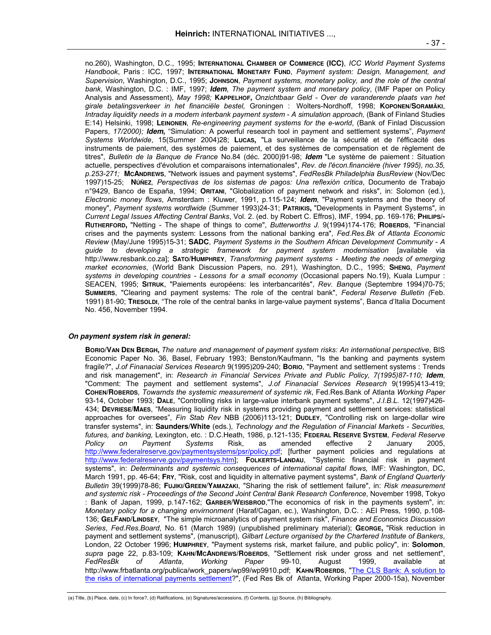no.260), Washington, D.C., 1995; **INTERNATIONAL CHAMBER OF COMMERCE (ICC)**, *ICC World Payment Systems Handbook*, Paris : ICC, 1997; **INTERNATIONAL MONETARY FUND**, *Payment system: Design, Management, and Supervision*, Washington, D.C., 1995; **JOHNSON**, *Payment systems, monetary policy, and the role of the central bank*, Washington, D.C. : IMF, 1997; **Idem**, *The payment system and monetary policy*, (IMF Paper on Policy Analysis and Assessment), *May 1998;* **KAPPELHOF,** *Onzichtbaar Geld - Over de varanderende plaats van het girale betalingsverkeer in het financiële bestel,* Groningen : Wolters-Nordhoff, 1998; **KOPONEN/SORAMÄKI**, *Intraday liquidity needs in a modern interbank payment system - A simulation approach,* (Bank of Finland Studies E:14) Helsinki, 1998; **LEINONEN**, *Re-engineering payment systems for the e-world*, (Bank of Finlad Discussion Papers, 17/2000); **Idem**, "Simulation: A powerful research tool in payment and settlement systems", *Payment Systems Worldwide*, 15(Summer 2004)28; **LUCAS,** "La surveillance de la sécurité et de l'éfficacité des instruments de paiement, des systèmes de paiement, et des systèmes de compensation et de règlement de titres", *Bulletin de la Banque de France* No.84 (déc. 2000)91-98; **Idem** "Le système de paiement : Situation actuelle, perspectives d'évolution et comparaisons internationales", *Rev. de l'écon.financière (hiver 1995), no.35, p.253-271;* **MCANDREWS**, "Network issues and payment systems", *FedResBk Philadelphia BusReview* (Nov/Dec 1997)15-25; **NÚÑEZ***, Perspectivas de los sistemas de pagos: Una reflexión crítica*, Documento de Trabajo n°9429, Banco de España, 1994; **ORITANI**, "Globalization of payment network and risks", in: Solomon (ed.), *Electronic money flows*, Amsterdam : Kluwer, 1991, p.115-124; **Idem**, "Payment systems and the theory of money", *Payment systems wordlwide* (Summer 1993)24-31; **PATRIKIS,** "Developments in Payment Systems", in *Current Legal Issues Affecting Central Banks*, Vol. 2. (ed. by Robert C. Effros), IMF, 1994, pp. 169-176; **PHILIPS/- RUTHERFORD,** "Netting - The shape of things to come", *Butterworths J.* 9(1994)174-176; **ROBERDS**, "Financial crises and the payments system: Lessons from the national banking era", *Fed.Res.Bk of Atlanta Economic Review* (May/June 1995)15-31; **SADC**, *Payment Systems in the Southern African Development Community - A guide to developing a strategic framework for payment system modernisation* [available via http://www.resbank.co.za]; **SATO/HUMPHREY**, *Transforming payment systems - Meeting the needs of emerging market economies*, (World Bank Discussion Papers, no. 291), Washington, D.C., 1995; **SHENG**, *Payment systems in developing countries - Lessons for a small economy* (Occasional papers No.19), Kuala Lumpur : SEACEN, 1995; **SITRUK**, "Paiements européens: les interbancarités", *Rev. Banque* (Septembre 1994)70-75; **SUMMERS**, "Clearing and payment systems: The role of the central bank", *Federal Reserve Bulletin (*Feb. 1991) 81-90; **TRESOLDI**, "The role of the central banks in large-value payment systems", Banca d'Italia Document No. 456, November 1994.

#### **On payment system risk in general:**

 **BORIO/VAN DEN BERGH,** *The nature and management of payment system risks: An international perspective*, BIS Economic Paper No. 36, Basel, February 1993; Benston/Kaufmann, "Is the banking and payments system fragile?", *J.of Finanacial Services Research* 9(1995)209-240; **BORIO**, "Payment and settlement systems : Trends and risk management", in: *Research in Financial Services Private and Public Policy, 7(1995)87-110;* **Idem**, "Comment: The payment and settlement systems", *J.of Finanacial Services Research* 9(1995)413-419; **COHEN/ROBERDS**, *Towarnds the systemic measurement of systemic rik*, Fed.Res.Bank of Atlanta *Working Paper*  93-14, October 1993; **DALE**, "Controlling risks in large-value interbank payment systems", *J.I.B.L.* 12(1997)426- 434; **DEVRIESE/MAES**, "Measuring liquidity risk in systems providing payment and settlement services: statistical approaches for oversees", *Fin Stab Rev* NBB (2006)113-121; **DUDLEY**, "Controlling risk on large-dollar wire transfer systems", in: **Saunders/White** (eds.), *Technology and the Regulation of Financial Markets - Securities, futures, and banking,* Lexington, etc. : D.C.Heath, 1986, p.121-135; **FEDERAL RESERVE SYSTEM**, *Federal Reserve Policy on Payment Systems* Risk, as amended effective 2 January 2005, http://www.federalreserve.gov/paymentsystems/psr/policy.pdf; [further payment policies and regulations at http://www.federalreserve.gov/paymentsys.htm]; **FOLKERTS-LANDAU**, "Systemic financial risk in payment systems", in: *Determinants and systemic consequences of international capital flows,* IMF: Washington, DC, March 1991, pp. 46-64; **FRY**, "Risk, cost and liquidity in alternative payment systems", *Bank of England Quarterly Bulletin* 39(1999)78-86; **FUJIKI/GREEN/YAMAZAKI**, "Sharing the risk of settlement failure", in: *Risk measurement and systemic risk - Proceedings of the Second Joint Central Bank Research Conference*, November 1998, Tokyo : Bank of Japan, 1999, p.147-162; **GARBER/WEISBROD**,"The economics of risk in the payments system", in: *Monetary policy for a changing envirnonment* (Haraf/Cagan, ec.), Washington, D.C. : AEI Press, 1990, p.108- 136; **GELFAND/LINDSEY**, "The simple microanalytics of payment system risk", *Finance and Economics Discussion Series*, *Fed.Res.Board*, No. 61 (March 1989) (unpublished preliminary material); **GEORGE,** "Risk reduction in payment and settlement systems", (manuscript), *Gilbart Lecture organised by the Chartered Institute of Bankers*, London, 22 October 1996; **HUMPHREY**, "Payment systems risk, market failure, and public policy", in: **Solomon**, *supra* page 22, p.83-109; **KAHN/MCANDREWS/ROBERDS**, "Settlement risk under gross and net settlement", *FedResBk of Atlanta*, *Working Paper* 99-10, August 1999, available at http://www.frbatlanta.org/publica/work\_papers/wp99/wp9910.pdf; **KAHN/ROBERDS**, "The CLS Bank: A solution to the risks of international payments settlement?", (Fed Res Bk of Atlanta, Working Paper 2000-15a), November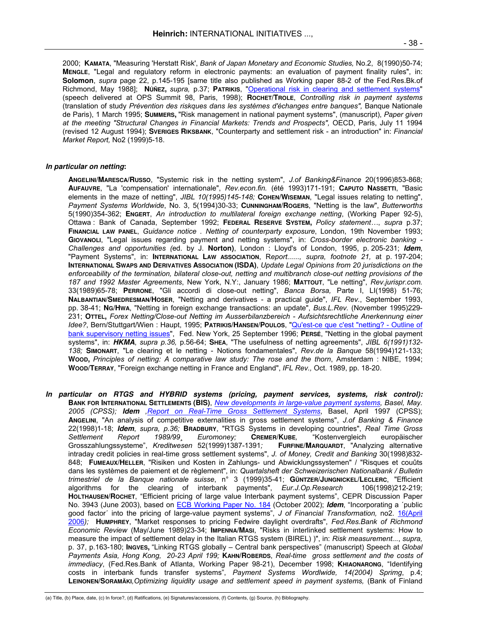2000; **KAMATA**, "Measuring 'Herstatt Risk', *Bank of Japan Monetary and Economic Studies,* No.2, 8(1990)50-74; **MENGLE**, "Legal and regulatory reform in electronic payments: an evaluation of payment finality rules", in: **Solomon**, *supra* page 22, p.145-195 [same title also published as Working paper 88-2 of the Fed.Res.Bk.of Richmond, May 1988]; **NÚÑEZ,** *supra,* p.37; **PATRIKIS**, "Operational risk in clearing and settlement systems" (speech delivered at OPS Summit 98, Paris, 1998); **ROCHET/TROLE**, *Controlling risk in payment systems* (translation of study *Prévention des riskques dans les systèmes d'échanges entre banques",* Banque Nationale de Paris), 1 March 1995; **SUMMERS,** "Risk management in national payment systems", (manuscript), *Paper given at the meeting "Structural Changes in Financial Markets: Trends and Prospects",* OECD, Paris, July 11 1994 (revised 12 August 1994); **SVERIGES RIKSBANK**, "Counterparty and settlement risk - an introduction" in: *Financial Market Report,* No2 (1999)5-18.

#### **In particular on netting:**

**ANGELINI/MARESCA/RUSSO**, "Systemic risk in the netting system", *J.of Banking&Finance* 20(1996)853-868; **AUFAUVRE**, "La 'compensation' internationale", *Rev.econ.fin.* (été 1993)171-191; **CAPUTO NASSETTI**, "Basic elements in the maze of netting", *JIBL 10(1995)145-148;* **COHEN/WISEMAN**, "Legal issues relating to netting", *Payment Systems Worldwide*, No. 3, 5(1994)30-33; **CUNNINGHAM/ROGERS**, "Netting is the law", *Butterworths* 5(1990)354-362; **ENGERT**, *An introduction to multilateral foreign exchange netting*, (Working Paper 92-5), Ottawa : Bank of Canada, September 1992; **FEDERAL RESERVE SYSTEM,** *Policy statement…*, *supra* p.37; **FINANCIAL LAW PANEL**, *Guidance notice . Netting of counterparty exposure*, London, 19th November 1993; **GIOVANOLI**, "Legal issues regarding payment and netting systems", in: *Cross-border electronic banking - Challenges and opportunities (*ed. by J. **Norton)**, London : Lloyd's of London, 1995, p. 205-231; **Idem**, "Payment Systems", in: **INTERNATIONAL LAW ASSOCIATION**, R*eport......, supra, footnote 21,* at p. 197-204; **INTERNATIONAL SWAPS AND DERIVATIVES ASSOCIATION (ISDA)**, *Update Legal Opinions from 20 jurisdictions on the enforceability of the termination, bilateral close-out, netting and multibranch close-out netting provisions of the 187 and 1992 Master Agreements*, New York, N.Y:, January 1986; **MATTOUT**, "Le netting", *Rev.jurispr.com.* 33(1989)65-78; **PERRONE**, "Gli accordi di close-out netting", *Banca Borsa,* Parte I, LI(1998) 51-76; **NALBANTIAN/SMEDRESMAN/HOSER**, "Netting and derivatives - a practical guide", *IFL Rev.*, September 1993, pp. 38-41; **NG/HWA**, "Netting in foreign exchange transactions: an update", *Bus.L.Rev.* (November 1995)229- 231; **OTTEL,** *Forex Netting/Close-out Netting im Ausserbilanzbereich - Aufsichtsrechtliche Anerkennung einer Idee?*, Bern/Stuttgart/Wien : Haupt, 1995; **PATRIKIS/HANSEN/POULOS**, "Qu'est-ce que c'est "netting? - Outline of bank supervisory netting issues", Fed. New York, 25 September 1996; **PERSÉ**, "Netting in the global payment systems", in: **HKMA**, *supra p.36,* p.56-64; **SHEA**, "The usefulness of netting agreements", *JIBL 6(1991)132- 138;* **SIMONART**, "Le clearing et le netting - Notions fondamentales", *Rev.de la Banque* 58(1994)121-133; **WOOD,** *Principles of netting: A comparative law study: The rose and the thorn*, Amsterdam : NIBE, 1994; **WOOD/TERRAY**, "Foreign exchange netting in France and England", *IFL Rev.,* Oct. 1989, pp. 18-20.

**In particular on RTGS and HYBRID systems (pricing, payment services, systems, risk control): BANK FOR INTERNATIONAL SETTLEMENTS (BIS)**, *New developments in large-value payment systems, Basel, May. 2005 (CPSS);* **Idem** *,Report on Real-Time Gross Settlement Systems*, Basel, April 1997 (CPSS); **ANGELINI**, "An analysis of competitive externalities in gross settlement systems", *J.of Banking & Finance* 22(1998)1-18; **Idem**, *supra, p.36;* **BRADBURY**, "RTGS Systems in developing countries", *Real Time Gross Settlement Report 1989/99¸ Euromoney;* **CREMER/KUBE***,* "Kostenvergleich europäischer Grosszahlungssysteme", *Kreditwesen* 52(1999)1387-1391; intraday credit policies in real-time gross settlement systems", *J. of Money, Credit and Banking* 30(1998)832- 848;**FUMEAUX/HELLER**, "Risiken und Kosten in Zahlungs- und Abwicklungssystemen" / "Risques et couûts dans les systèmes de paiement et de règlement", in: *Quartalsheft der Schweizerischen Nationalbank / Bulletin trimestriel de la Banque nationale suisse*, n° 3 (1999)35-41; **GÜNTZER/JUNGNICKEL/LECLERC**, "Efficient algorithms for the clearing of interbank payments", *Eur.J.Op.Research* 106(1998)212-219; **HOLTHAUSEN/ROCHET**, "Efficient pricing of large value Interbank payment systems", CEPR Discussion Paper No. 3943 (June 2003), based on ECB Working Paper No. 184 (October 2002); **Idem**, "Incorporating a ´public good factor´ into the pricing of large-value payment systems", *J of Financial Transformation,* no2. 16(April 2006*);* **HUMPHREY**, "Market responses to pricing Fedwire daylight overdrafts", *Fed.Res.Bank of Richmond Economic Review* (May/June 1989)23-34; **IMPENNA/MASI**, "Risks in interlinked settlement systems: How to measure the impact of settlement delay in the Italian RTGS system (BIREL) )", in: *Risk measurement...*, *supra,*  p. 37, p.163-180; **INGVES,** "Linking RTGS globally – Central bank perspectives" (manuscript) Speech at *Global Payments Asia, Hong Kong, 20-23 April 199;* **KAHN**/**ROBERDS**, *Real-time gross settlement and the costs of immediacy*, (Fed.Res.Bank of Atlanta, Working Paper 98-21), December 1998; **KHIAONARONG**, "Identifying costs in interbank funds transfer systems", *Payment Systems Wordlwide, 14(2004) Sprimg*, p.4; **LEINONEN/SORAMÄKI***,Optimizing liquidity usage and settlement speed in payment systems,* (Bank of Finland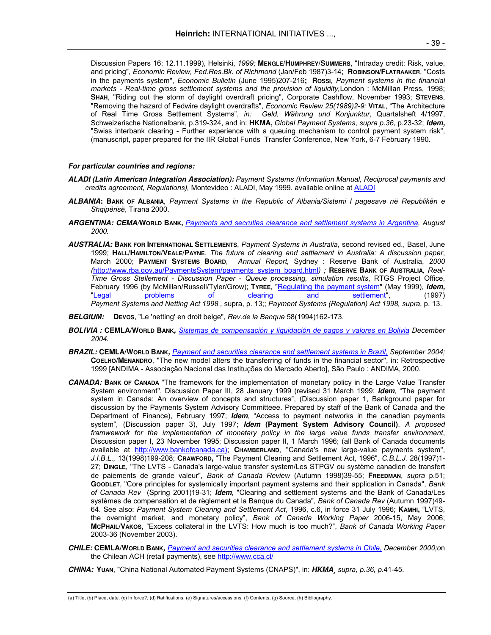Discussion Papers 16; 12.11.1999), Helsinki, *1999;* **MENGLE/HUMPHREY/SUMMERS**, "Intraday credit: Risk, value, and pricing", *Economic Review, Fed.Res.Bk. of Richmond* (Jan/Feb 1987)3-14; **ROBINSON/FLATRAAKER**, "Costs in the payments system", *Economic Bulletin* (June 1995)207-216; **Rossi**, *Payment systems in the financial markets - Real-time gross settlement systems and the provision of liquidity,*London : McMillan Press, 1998; **SHAH**, "Riding out the storm of daylight overdraft pricing", Corporate Cashflow, November 1993; **STEVENS**, "Removing the hazard of Fedwire daylight overdrafts", *Economic Review 25(1989)2-9;* **VITAL**, "The Architecture of Real Time Gross Settlement Systems", *in: Geld, Währung und Konjunktur*, Quartalsheft 4/1997, Schweizerische Nationalbank, p.319-324, and in: **HKMA,** *Global Payment Systems*, *supra p.36,* p.23-32; **Idem,**  "Swiss interbank clearing - Further experience with a queuing mechanism to control payment system risk", (manuscript, paper prepared for the IIR Global Funds Transfer Conference, New York, 6-7 February 1990.

#### **For particular countries and regions:**

- **ALADI (Latin American Integration Association):** *Payment Systems (Information Manual, Reciprocal payments and credits agreement, Regulations),* Montevideo : ALADI, May 1999. available online at ALADI
- **ALBANIA: BANK OF ALBANIA**, *Payment Systems in the Republic of Albania/Sistemi I pagesave në Republikën e Shqipërisë*, Tirana 2000.
- **ARGENTINA: CEMA/WORLD BANK,** *Payments and secruties clearance and settlement systems in Argentina, August 2000.*
- **AUSTRALIA: BANK FOR INTERNATIONAL SETTLEMENTS**, *Payment Systems in Australia*, second revised ed., Basel, June 1999; **HALL/HAMILTON/VEALE/PAYNE**, *The future of clearing and settlement in Australia: A discussion paper*, March 2000; **PAYMENT SYSTEMS BOARD**, *Annual Report,* Sydney : Reserve Bank of Australia, *2000 (*http://www.rba.gov.au/PaymentsSystem/payments\_system\_board.html*) ;* **RESERVE BANK OF AUSTRALIA***, Real-Time Gross Stellement - Discussion Paper - Queue processing, simulation results*, RTGS Project Office, February 1996 (by McMillan/Russell/Tyler/Grow); **TYREE**, "Regulating the payment system" (May 1999), *Idem,*<br>"Legal settlement", (1997) of clearing and settlement", (1997) clearing and settlement", (1997) *Payment Systems and Netting Act 1998 ,* supra, p. 13;; *Payment Systems (Regulation) Act 1998, supra*, p. 13.
- **BELGIUM: DEVOS**, "Le 'netting' en droit belge", *Rev.de la Banque* 58(1994)162-173.
- **BOLIVIA : CEMLA/WORLD BANK,** *Sistemas de compensación y liquidación de pagos y valores en Bolivia December 2004.*
- **BRAZIL: CEMLA/WORLD BANK,** *Payment and securities clearance and settlement systems in Brazil, September 2004;*  **COELHO/MENANDRO**, "The new model alters the transferring of funds in the financial sector", in: Retrospective 1999 [ANDIMA - Associação Nacional das Instituções do Mercado Aberto], São Paulo : ANDIMA, 2000.
- **CANADA: BANK OF CANADA** "The framework for the implementation of monetary policy in the Large Value Transfer System environment", Discussion Paper III, 28 January 1999 (revised 31 March 1999; **Idem**, "The payment system in Canada: An overview of concepts and structures", (Discussion paper 1, Bankground paper for discussion by the Payments System Advisory Committeee. Prepared by staff of the Bank of Canada and the Department of Finance), February 1997; **Idem**, "Access to payment networks in the canadian payments system", (Discussion paper 3), July 1997; **Idem (Payment System Advisory Council)**, *A proposed framwework for the implementation of monetary policy in the large value funds transfer environment*, Discussion paper I, 23 November 1995; Discussion paper II, 1 March 1996; (all Bank of Canada documents available at http://www.bankofcanada.ca); **CHAMBERLAND**, "Canada's new large-value payments system", *J.I.B.L.,* 13(1998)199-208; **CRAWFORD,** "The Payment Clearing and Settlement Act, 1996", *C.B.L.J.* 28(1997)1- 27; **DINGLE**, "The LVTS - Canada's large-value transfer system/Les STPGV ou système canadien de transfert de paiements de grande valeur", *Bank of Canada Review* (Autumn 1998)39-55; **FREEDMAN**, *supra* p.51; **GOODLET**, "Core principles for systemically important payment systems and their application in Canada", *Bank of Canada Rev* (Spring 2001)19-31; **Idem**, "Clearing and settlement systems and the Bank of Canada/Les systèmes de compensation et de règlement et la Banque du Canada", *Bank of Canada Rev* (Autumn 1997)49- 64. See also: *Payment System Clearing and Settlement Act*, 1996, c.6, in force 31 July 1996; **KAMHI,** "LVTS, the overnight market, and monetary policy", *Bank of Canada Working Paper* 2006-15, May 2006; **MCPHAIL/VAKOS**, "Excess collateral in the LVTS: How much is too much?", *Bank of Canada Working Paper* 2003-36 (November 2003).
- **CHILE: CEMLA/WORLD BANK,** *Payment and securities clearance and settlement systems in Chile, December 2000;o*n the Chilean ACH (retail payments), see http://www.cca.cl/

**CHINA: YUAN**, "China National Automated Payment Systems (CNAPS)", in: **HKMA¸** *supra, p.36, p.*41-45.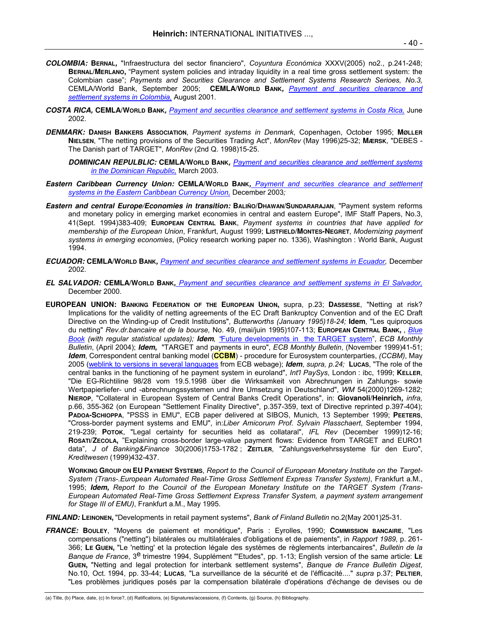- **COLOMBIA: BERNAL,** "Infraestructura del sector financiero", *Coyuntura Económica* XXXV(2005) no2., p.241-248; **BERNAL/MERLANO,** "Payment system policies and intraday liquidity in a real time gross settlement system: the Colombian case"; *Payments and Securities Clearance and Settlement Systems Research Serioes, No.3,*  CEMLA/World Bank, September 2005; **CEMLA/WORLD BANK,** *Payment and securities clearance and settlement systems in Colombia,* August 2001*.*
- **COSTA RICA, CEMLA/WORLD BANK,** *Payment and securities clearance and settlement systems in Costa Rica,* June 2002.
- **DENMARK: DANISH BANKERS ASSOCIATION**, *Payment systems in Denmark*, Copenhagen, October 1995; **MØLLER NIELSEN**, "The netting provisions of the Securities Trading Act", *MonRev* (May 1996)25-32; **MÆRSK**, "DEBES - The Danish part of TARGET", *MonRev* (2nd Q. 1998)15-25.
	- **DOMINICAN REPULBLIC: CEMLA/WORLD BANK,** *Payment and securities clearance and settlement systems in the Dominican Republic,* March 2003.
- **Eastern Caribbean Currency Union: CEMLA/WORLD BANK,** *Payment and securities clearance and settlement systems in the Eastern Caribbean Currency Union,* December 2003*;*
- **Eastern and central Europe/Economies in transition: BALIÑO/DHAWAN/SUNDARARAJAN**, "Payment system reforms and monetary policy in emerging market economies in central and eastern Europe", IMF Staff Papers, No.3, 41(Sept. 1994)383-409; **EUROPEAN CENTRAL BANK**, *Payment systems in countries that have applied for membership of the European Union*, Frankfurt, August 1999; **LISTFIELD/MONTES-NEGRET**, *Modernizing payment systems in emerging economies*, (Policy research working paper no. 1336), Washington : World Bank, August 1994.
- **ECUADOR: CEMLA/WORLD BANK,** *Payment and securities clearance and settlement systems in Ecuador,* December 2002.
- **EL SALVADOR: CEMLA/WORLD BANK,** *Payment and securities clearance and settlement systems in El Salvador,* December 2000.
- **EUROPEAN UNION: BANKING FEDERATION OF THE EUROPEAN UNION,** supra, p.23; **DASSESSE**, "Netting at risk? Implications for the validity of netting agreements of the EC Draft Bankruptcy Convention and of the EC Draft Directive on the Winding-up of Credit Institutions", *Butterworths (January 1995)18-24;* **Idem***,* "Les quiproquos du netting" *Rev.dr.bancaire et de la bourse,* No. 49, (mai/juin 1995)107-113; **EUROPEAN CENTRAL BANK,** , *Blue Book (with regular statistical updates);* **Idem***, "*Future developments in the TARGET system", *ECB Monthly Bulletin*, (April 2004); **Idem,** "TARGET and payments in euro", *ECB Monthly Bulletin*, (November 1999)41-51; **Idem**, Correspondent central banking model (**CCBM**) - procedure for Eurosystem counterparties, *(CCBM)*, May 2005 (weblink to versions in several languages from ECB webage); **Idem**, *supra, p.24;* **LUCAS**, "The role of the central banks in the functioning of he payment system in euroland", *Int'l PaySys*, London : ibc, 1999; **KELLER**, "Die EG-Richtiline 98/28 vom 19.5.1998 über die Wirksamkeit von Abrechnungen in Zahlungs- sowie Wertpapierliefer- und -abrechnungssystemen und ihre Umsetzung in Deutschland", *WM* 54(2000)1269-1282; **NIEROP**, "Collateral in European System of Central Banks Credit Operations", in: **Giovanoli/Heinrich,** *infra,*  p.66, 355-362 (on European "Settlement Finality Directive", p.357-359, text of Directive reprinted p.397-404); **PADOA-SCHIOPPA**, "PSSS in EMU", ECB paper delivered at SIBOS, Munich, 13 September 1999; **PEETERS**, "Cross-border payment systems and EMU", in:*Liber Amicorum Prof. Sylvain Plasschaert*, September 1994, 219-239; **POTOK**, "Legal certainty for securities held as collataral", *IFL Rev* (December 1999)12-16; **ROSATI/ZECOLA,** "Explaining cross-border large-value payment flows: Evidence from TARGET and EURO1 data", *J of Banking&Finance* 30(2006)1753-1782 ; **ZEITLER**, "Zahlungsverkehrssysteme für den Euro", *Kreditwesen* (1999)432-437.

**WORKING GROUP ON EU PAYMENT SYSTEMS**, *Report to the Council of European Monetary Institute on the Target-System (Trans-.European Automated Real-Time Gross Settlement Express Transfer System)*, Frankfurt a.M., 1995; **Idem,** *Report to the Council of the European Monetary Institute on the TARGET System (Trans-European Automated Real-Time Gross Settlement Express Transfer System, a payment system arrangement for Stage III of EMU)*, Frankfurt a.M., May 1995.

- **FINLAND: LEINONEN,** "Developments in retail payment systems", *Bank of Finland Bulletin* no.2(May 2001)25-31.
- **FRANCE: BOULEY**, "Moyens de paiement et monétique", Paris : Eyrolles, 1990; **COMMISSION BANCAIRE**, "Les compensations ("netting") bilatérales ou multilatérales d'obligations et de paiements", in *Rapport 1989*, p. 261- 366; **LE GUEN,** "Le 'netting' et la protection légale des systèmes de règlements interbancaires", *Bulletin de la Banque de France*, 3e trimestre 1994, Supplément "'Etudes", pp. 1-13; English version of the same article: **L<sup>E</sup> GUEN,** "Netting and legal protection for interbank settlement systems", *Banque de France Bulletin Digest*, No.10, Oct. 1994, pp. 33-44; **LUCAS**, "La surveillance de la sécurité et de l'éfficacité...." *supra* p.37; **PELTIER**, "Les problèmes juridiques posés par la compensation bilatérale d'opérations d'échange de devises ou de

<sup>(</sup>a) Title, (b) Place, date, (c) In force?, (d) Ratifications, (e) Signatures/accessions, (f) Contents, (g) Source, (h) Bibliography.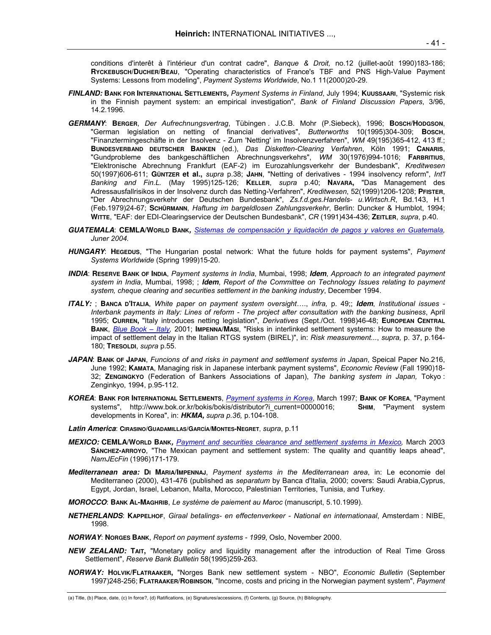conditions d'interêt à l'intérieur d'un contrat cadre", *Banque & Droit,* no.12 (juillet-août 1990)183-186; **RYCKEBUSCH/DUCHER/BEAU**, "Operating characteristics of France's TBF and PNS High-Value Payment Systems: Lessons from modeling", *Payment Systems Worldwide*, No.1 11(2000)20-29.

- **FINLAND: BANK FOR INTERNATIONAL SETTLEMENTS,** *Payment Systems in Finland*, July 1994; **KUUSSAARI**, "Systemic risk in the Finnish payment system: an empirical investigation", *Bank of Finland Discussion Papers*, 3/96, 14.2.1996.
- **GERMANY**: **BERGER**, *Der Aufrechnungsvertrag*, Tübingen . J.C.B. Mohr (P.Siebeck), 1996; **BOSCH/HODGSON**, "German legislation on netting of financial derivatives", *Butterworths* 10(1995)304-309; **BOSCH**, "Finanztermingeschäfte in der Insolvenz - Zum 'Netting' im Insolvenzverfahren", *WM* 49(195)365-412, 413 ff.; **BUNDESVERBAND DEUTSCHER BANKEN** (ed.), *Das Disketten-Clearing Verfahren*, Köln 1991; **CANARIS**, "Gundprobleme des bankgeschäftlichen Abrechnungsverkehrs", *WM* 30(1976)994-1016; **FARBRITIUS**, "Elektronische Abrechnung Frankfurt (EAF-2) im Eurozahlungsverkehr der Bundesbank", *Kreditwesen* 50(1997)606-611; **GÜNTZER et al.,** *supra* p.38; **JAHN**, "Netting of derivatives - 1994 insolvency reform", *Int'l Banking and Fin.L.* (May 1995)125-126; **KELLER**, *supra* p.40; **NAVARA,** "Das Management des Adressausfallrisikos in der Insolvenz durch das Netting-Verfahren", *Kreditwesen*, 52(1999)1206-1208; **PFISTER**, "Der Abrechnungsverkehr der Deutschen Bundesbank", *Zs.f.d.ges.Handels- u.Wirtsch.R*, Bd.143, H.1 (Feb.1979)24-67; **SCHÜRMANN**, *Haftung im bargeldlosen Zahlungsverkehr*, Berlin: Duncker & Humblot, 1994; **WITTE**, "EAF: der EDI-Clearingservice der Deutschen Bundesbank", *CR* (1991)434-436; **ZEITLER**, *supra*, p.40.
- **GUATEMALA**: **CEMLA/WORLD BANK,** *Sistemas de compensación y liquidación de pagos y valores en Guatemala, Juner 2004.*
- **HUNGARY**: **HEGEDUS**, "The Hungarian postal network: What the future holds for payment systems", *Payment Systems Worldwide* (Spring 1999)15-20.
- **INDIA**: **RESERVE BANK OF INDIA**, *Payment systems in India*, Mumbai, 1998; **Idem**, *Approach to an integrated payment system in India*, Mumbai, 1998; ; **Idem**, *Report of the Committee on Technology Issues relating to payment system, cheque clearing and securities settlement in the banking industry*, December 1994.
- **ITALY:** ; **BANCA D'ITALIA**, *White paper on payment system oversight*…., *infra,* p. 49;; **Idem**, *Institutional issues Interbank payments in Italy: Lines of reform - The project after consultation with the banking business*, April 1995; **CURREN,** "Italy introduces netting legislation", *Derivatives* (Sept./Oct. 1998)46-48; **EUROPEAN CENTRAL BANK**, *Blue Book – Italy,* 2001; **IMPENNA/MASI**, "Risks in interlinked settlement systems: How to measure the impact of settlement delay in the Italian RTGS system (BIREL)", in: *Risk measurement...*, *supra,* p. 37, p.164- 180; **TRESOLDI**, *supra* p.55.
- **JAPAN**: **BANK OF JAPAN**, *Funcions of and risks in payment and settlement systems in Japan*, Speical Paper No.216, June 1992; **KAMATA**, Managing risk in Japanese interbank payment systems", *Economic Review* (Fall 1990)18- 32; **ZENGINGKYO** (Federation of Bankers Associations of Japan), *The banking system in Japan,* Tokyo : Zenginkyo, 1994, p.95-112.
- **KOREA**: **BANK FOR INTERNATIONAL SETTLEMENTS**, *Payment systems in Korea*, March 1997; **BANK OF KOREA**, "Payment systems", http://www.bok.or.kr/bokis/bokis/distributor?i\_current=00000016; **SHIM**, "Payment system developments in Korea", in: **HKMA,** *supra p.36,* p.104-108.
- **Latin America**: **CIRASINO/GUADAMILLAS/GARCÍA/MONTES-NEGRET**, *supra*, p.11
- **MEXICO: CEMLA/WORLD BANK,** *Payment and securities clearance and settlement systems in Mexico,* March 2003 **SÁNCHEZ-ARROYO**, "The Mexican payment and settlement system: The quality and quantitiy leaps ahead", *NamJEcFin* (1996)171-179.
- **Mediterranean area: DI MARIA/IMPENNAJ**, *Payment systems in the Mediterranean area*, in: Le economie del Mediterraneo (2000), 431-476 (published as *separatum* by Banca d'Italia, 2000; covers: Saudi Arabia,Cyprus, Egypt, Jordan, Israel, Lebanon, Malta, Morocco, Palestinian Territories, Tunisia, and Turkey.
- **MOROCCO**: **BANK AL-MAGHRIB**, *Le système de paiement au Maroc* (manuscript, 5.10.1999).
- **NETHERLANDS**: **KAPPELHOF**, *Giraal betalings- en effectenverkeer National en internationaal*, Amsterdam : NIBE, 1998.
- **NORWAY**: **NORGES BANK**, *Report on payment systems 1999*, Oslo, November 2000.
- **NEW ZEALAND: TAIT,** "Monetary policy and liquidity management after the introduction of Real Time Gross Settlement", *Reserve Bank Bullletin* 58(1995)259-263.
- **NORWAY: HOLVIK/FLATRAAKER,** "Norges Bank new settlement system NBO", *Economic Bulletin* (September 1997)248-256; **FLATRAAKER/ROBINSON**, "Income, costs and pricing in the Norwegian payment system", *Payment*

<sup>(</sup>a) Title, (b) Place, date, (c) In force?, (d) Ratifications, (e) Signatures/accessions, (f) Contents, (g) Source, (h) Bibliography.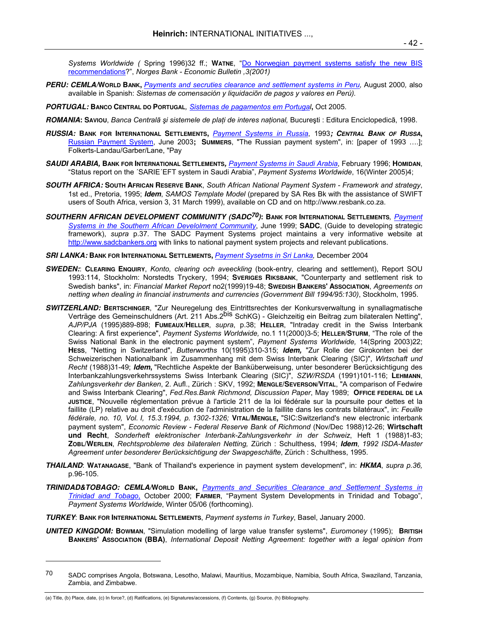*Systems Worldwide (* Spring 1996)32 ff.; **WATNE**, "Do Norwegian payment systems satisfy the new BIS recommendations?", *Norges Bank - Economic Bulletin ,3(2001)*

- **PERU: CEMLA/WORLD BANK,** *Payments and secruties clearance and settlement systems in Peru,* August 2000*,* also available in Spanish: *Sistemas de comensación y liquidaciõn de pagos y valores en Perú).*
- **PORTUGAL: BANCO CENTRAL DO PORTUGAL***, Sistemas de pagamentos em Portugal***,** Oct 2005.
- **ROMANIA: SAVIOU**, *Banca Centralā şi sistemele de plaţi de interes naţional,* Bucureşti : Editura Enciclopedicā, 1998.
- **RUSSIA: BANK FOR INTERNATIONAL SETTLEMENTS,** *Payment Systems in Russia*, 1993**; CENTRAL BANK OF RUSSA,** Russian Payment System, June 2003**; SUMMERS**, "The Russian payment system", in: [paper of 1993 ….]; Folkerts-Landau/Garber/Lane, "Pay
- **SAUDI ARABIA, BANK FOR INTERNATIONAL SETTLEMENTS,** *Payment Systems in Saudi Arabia*, February 1996; **HOMIDAN**, "Status report on the ´SARIE´EFT system in Saudi Arabia", *Payment Systems Worldwide*, 16(Winter 2005)4;
- **SOUTH AFRICA: SOUTH AFRICAN RESERVE BANK**, *South African National Payment System Framework and strategy*, 1st ed., Pretoria, 1995; **Idem**, *SAMOS Template Model* (prepared by SA Res Bk with the assistance of SWIFT users of South Africa, version 3, 31 March 1999), available on CD and on http://www.resbank.co.za.
- **SOUTHERN AFRICAN DEVELOPMENT COMMUNITY (SADC70): BANK FOR INTERNATIONAL SETTLEMENTS***, Payment Systems in the Southern African Develolment Community*, June 1999; **SADC**, (Guide to developing strategic framework), *supra* p.37. The SADC Payment Systems project maintains a very informative website at http://www.sadcbankers.org with links to national payment system projects and relevant publications.
- **SRI LANKA: BANK FOR INTERNATIONAL SETTLEMENTS,** *Payment Sysetms in Sri Lanka,* December 2004
- **SWEDEN:**: **CLEARING ENQUIRY**, *Konto, clearing och aveeckling* (book-entry, clearing and settlement), Report SOU 1993:114, Stockholm: Norstedts Tryckery, 1994; **SVERIGES RIKSBANK**, "Counterparty and settlement risk to Swedish banks", in: *Financial Market Report* no2(1999)19-48; **SWEDISH BANKERS' ASSOCIATION**, *Agreements on netting when dealing in financial instruments and currencies (Government Bill 1994/95:130)*, Stockholm, 1995.
- **SWITZERLAND: BERTSCHINGER**, "Zur Neuregelung des Eintrittsrechtes der Konkursverwaltung in synallagmatische Verträge des Gemeinschuldners (Art. 211 Abs.2<sup>bis</sup> SchKG) - Gleichzeitig ein Beitrag zum bilateralen Netting", *AJP/PJA* (1995)889-898; **FUMEAUX/HELLER**, *supra*, p.38; **HELLER**, "Intraday credit in the Swiss Interbank Clearing: A first experience", *Payment Systems Worldwide,* no.1 11(2000)3-5; **HELLER/STURM**, "The role of the Swiss National Bank in the electronic payment system", *Payment Systems Worldwide,* 14(Spring 2003)22; **HESS**, "Netting in Switzerland", *Butterworths* 10(1995)310-315; **Idem,** "Zur Rolle der Girokonten bei der Schweizerischen Nationalbank im Zusammenhang mit dem Swiss Interbank Clearing (SIC)", *Wirtschaft und Recht* (1988)31-49; **Idem,** "Rechtliche Aspekte der Banküberweisung, unter besonderer Berücksichtigung des Interbankzahlungsverkehrssystems Swiss Interbank Clearing (SIC)", *SZW/RSDA* (1991)101-116; **LEHMANN**, *Zahlungsverkehr der Banken*, 2. Aufl., Zürich : SKV, 1992; **MENGLE/SEVERSON/VITAL**, "A comparison of Fedwire and Swiss Interbank Clearing", *Fed.Res.Bank Richmond, Discussion Paper*, May 1989; **OFFICE FEDERAL DE LA JUSTICE**, "Nouvelle réglementation prévue à l'article 211 de la loi fédérale sur la poursuite pour dettes et la faillite (LP) relative au droit d'exécution de l'administration de la faillite dans les contrats bilatéraux", in: *Feuille fédérale, no. 10, Vol. I, 15.3.1994, p. 1302-1326;* **VITAL/MENGLE,** "SIC:Switzerland's new electronic interbank payment system", *Economic Review - Federal Reserve Bank of Richmond* (Nov/Dec 1988)12-26; **Wirtschaft und Recht**, *Sonderheft elektronischer Interbank-Zahlungsverkehr in der Schweiz*, Heft 1 (1988)1-83; **ZOBL/WERLEN**, *Rechtsprobleme des bilateralen Netting,* Zürich : Schulthess, 1994; **Idem**, *1992 ISDA-Master Agreement unter besonderer Berücksichtigung der Swapgeschäfte*, Zürich : Schulthess, 1995.
- **THAILAND**: **WATANAGASE**, "Bank of Thailand's experience in payment system development", in: **HKMA**, *supra p.36,*  p.96-105.
- **TRINIDAD&TOBAGO: CEMLA/WORLD BANK,** *Payments and Securities Clearance and Settlement Systems in Trinidad and Tobago*, October 2000; **FARMER**, "Payment System Developments in Trinidad and Tobago", *Payment Systems Worldwide*, Winter 05/06 (forthcoming).
- **TURKEY**: **BANK FOR INTERNATIONAL SETTLEMENTS**, *Payment systems in Turkey*, Basel, January 2000.
- **UNITED KINGDOM: BOWMAN**, "Simulation modelling of large value transfer systems", *Euromoney* (1995); **BRITISH BANKERS' ASSOCIATION (BBA)**, *International Deposit Netting Agreement: together with a legal opinion from*

l

<sup>70</sup> SADC comprises Angola, Botswana, Lesotho, Malawi, Mauritius, Mozambique, Namibia, South Africa, Swaziland, Tanzania, Zambia, and Zimbabwe.

<sup>(</sup>a) Title, (b) Place, date, (c) In force?, (d) Ratifications, (e) Signatures/accessions, (f) Contents, (g) Source, (h) Bibliography.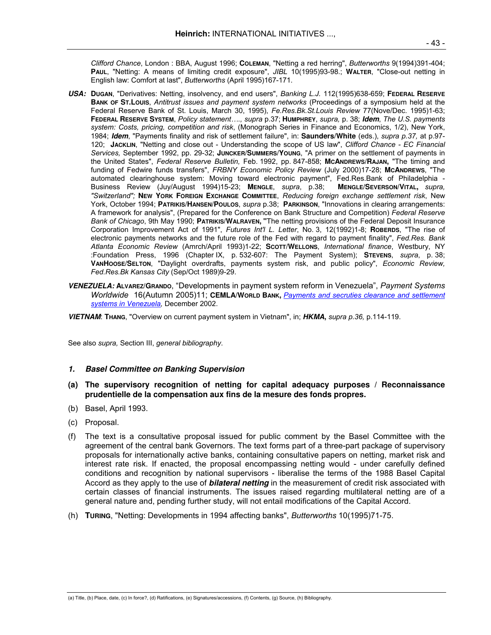*Clifford Chance*, London : BBA, August 1996; **COLEMAN**, "Netting a red herring", *Butterworths* 9(1994)391-404; **PAUL**, "Netting: A means of limiting credit exposure", *JIBL* 10(1995)93-98.; **WALTER**, "Close-out netting in English law: Comfort at last", *Butterworths* (April 1995)167-171.

- **USA: DUGAN**, "Derivatives: Netting, insolvency, and end users", *Banking L.J.* 112(1995)638-659; **FEDERAL RESERVE BANK OF ST.LOUIS**, *Antitrust issues and payment system networks* (Proceedings of a symposium held at the Federal Reserve Bank of St. Louis, March 30, 1995), *Fe.Res.Bk.St.Louis Review* 77(Nove/Dec. 1995)1-63; **FEDERAL RESERVE SYSTEM**, *Policy statement…., supra* p.37; **HUMPHREY**, *supra,* p. 38; **Idem**, *The U.S. payments system: Costs, pricing, competition and risk*, (Monograph Series in Finance and Economics, 1/2), New York, 1984; **Idem**, "Payments finality and risk of settlement failure", in: **Saunders/White** (eds.), *supra p.37,* at p.97- 120; **JACKLIN**, "Netting and close out - Understanding the scope of US law", *Clifford Chance - EC Financial Services,* September 1992, pp. 29-32; **JUNCKER/SUMMERS/YOUNG**, "A primer on the settlement of payments in the United States", *Federal Reserve Bulletin,* Feb. 1992, pp. 847-858; **MCANDREWS/RAJAN,** "The timing and funding of Fedwire funds transfers", *FRBNY Economic Policy Review* (July 2000)17-28; **MCANDREWS**, "The automated clearinghouse system: Moving toward electronic payment", Fed.Res.Bank of Philadelphia - Business Review (Juy/August 1994)15-23; **MENGLE**, *supra*, p.38; **MENGLE/SEVERSON/VITAL,** *supra, "Switzerland";* **NEW YORK FOREIGN EXCHANGE COMMITTEE**, *Reducing foreign exchange settlement risk*, New York, October 1994; **PATRIKIS/HANSEN/POULOS**, *supra* p.38; **PARKINSON**, "Innovations in clearing arrangements: A framework for analysis", (Prepared for the Conference on Bank Structure and Competition) *Federal Reserve Bank of Chicago*, 9th May 1990; **PATRIKIS/WALRAVEN, "**The netting provisions of the Federal Deposit Insurance Corporation Improvement Act of 1991", *Futures Int'l L. Letter*, No. 3, 12(1992)1-8; **ROBERDS**, "The rise of electronic payments networks and the future role of the Fed with regard to payment finality", *Fed.Res. Bank Atlanta Economic Review* (Amrch/April 1993)1-22; **SCOTT/WELLONS**, *International finance*, Westbury, NY :Foundation Press, 1996 (Chapter IX, p. 532-607: The Payment System); **STEVENS**, *supra*, p. 38; **VANHOOSE/SELTON**, "Daylight overdrafts, payments system risk, and public policy", *Economic Review, Fed.Res.Bk Kansas City* (Sep/Oct 1989)9-29.
- **VENEZUELA: ALVAREZ/GRANDO**, "Developments in payment system reform in Venezuela", *Payment Systems Worldwide* 16(Autumn 2005)11; **CEMLA/WORLD BANK,** *Payments and secruties clearance and settlement systems in Venezuela,* December 2002.

**VIETNAM**: **THANG**, "Overview on current payment system in Vietnam", in; **HKMA,** *supra p.36,* p.114-119.

See also *supra,* Section III, *general bibliography*.

- **1. Basel Committee on Banking Supervision**
- **(a) The supervisory recognition of netting for capital adequacy purposes / Reconnaissance prudentielle de la compensation aux fins de la mesure des fonds propres.**
- (b) Basel, April 1993.
- (c) Proposal.
- (f) The text is a consultative proposal issued for public comment by the Basel Committee with the agreement of the central bank Governors. The text forms part of a three-part package of supervisory proposals for internationally active banks, containing consultative papers on netting, market risk and interest rate risk. If enacted, the proposal encompassing netting would - under carefully defined conditions and recognition by national supervisors - liberalise the terms of the 1988 Basel Capital Accord as they apply to the use of **bilateral netting** in the measurement of credit risk associated with certain classes of financial instruments. The issues raised regarding multilateral netting are of a general nature and, pending further study, will not entail modifications of the Capital Accord.
- (h) **TURING**, "Netting: Developments in 1994 affecting banks", *Butterworths* 10(1995)71-75.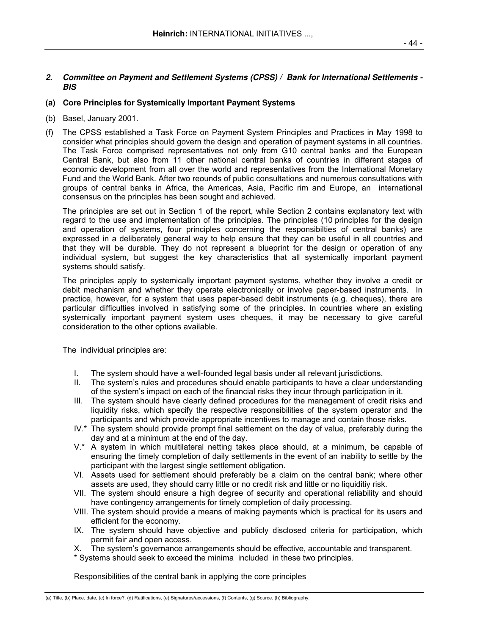# **2. Committee on Payment and Settlement Systems (CPSS) / Bank for International Settlements - BIS**

# **(a) Core Principles for Systemically Important Payment Systems**

- (b) Basel, January 2001.
- (f) The CPSS established a Task Force on Payment System Principles and Practices in May 1998 to consider what principles should govern the design and operation of payment systems in all countries. The Task Force comprised representatives not only from G10 central banks and the European Central Bank, but also from 11 other national central banks of countries in different stages of economic development from all over the world and representatives from the International Monetary Fund and the World Bank. After two reounds of public consultations and numerous consultations with groups of central banks in Africa, the Americas, Asia, Pacific rim and Europe, an international consensus on the principles has been sought and achieved.

 The principles are set out in Section 1 of the report, while Section 2 contains explanatory text with regard to the use and implementation of the principles. The principles (10 principles for the design and operation of systems, four principles concerning the responsibilties of central banks) are expressed in a deliberately general way to help ensure that they can be useful in all countries and that they will be durable. They do not represent a blueprint for the design or operation of any individual system, but suggest the key characteristics that all systemically important payment systems should satisfy.

 The principles apply to systemically important payment systems, whether they involve a credit or debit mechanism and whether they operate electronically or involve paper-based instruments. In practice, however, for a system that uses paper-based debit instruments (e.g. cheques), there are particular difficulties involved in satisfying some of the principles. In countries where an existing systemically important payment system uses cheques, it may be necessary to give careful consideration to the other options available.

The individual principles are:

- I. The system should have a well-founded legal basis under all relevant jurisdictions.
- II. The system's rules and procedures should enable participants to have a clear understanding of the system's impact on each of the financial risks they incur through participation in it.
- III. The system should have clearly defined procedures for the management of credit risks and liquidity risks, which specify the respective responsibilities of the system operator and the participants and which provide appropriate incentives to manage and contain those risks.
- IV.\* The system should provide prompt final settlement on the day of value, preferably during the day and at a minimum at the end of the day.
- V.\* A system in which multilateral netting takes place should, at a minimum, be capable of ensuring the timely completion of daily settlements in the event of an inability to settle by the participant with the largest single settlement obligation.
- VI. Assets used for settlement should preferably be a claim on the central bank; where other assets are used, they should carry little or no credit risk and little or no liquiditiy risk.
- VII. The system should ensure a high degree of security and operational reliability and should have contingency arrangements for timely completion of daily processing.
- VIII. The system should provide a means of making payments which is practical for its users and efficient for the economy*.*
- IX. The system should have objective and publicly disclosed criteria for participation, which permit fair and open access.
- X. The system's governance arrangements should be effective, accountable and transparent.
- \* Systems should seek to exceed the minima included in these two principles.

Responsibilities of the central bank in applying the core principles

<sup>(</sup>a) Title, (b) Place, date, (c) In force?, (d) Ratifications, (e) Signatures/accessions, (f) Contents, (g) Source, (h) Bibliography.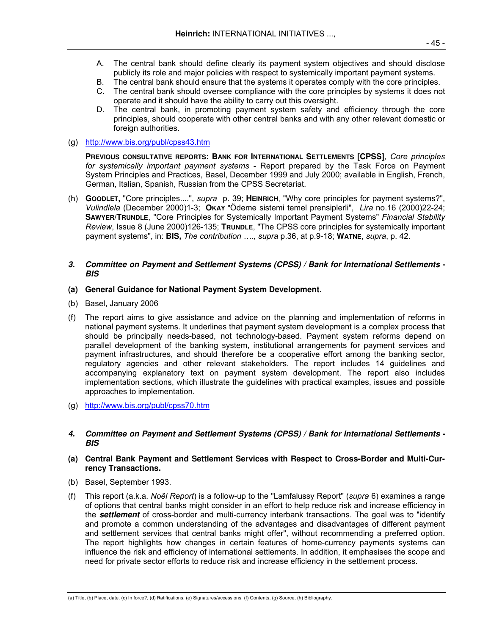- A. The central bank should define clearly its payment system objectives and should disclose publicly its role and major policies with respect to systemically important payment systems.
- B. The central bank should ensure that the systems it operates comply with the core principles.
- C. The central bank should oversee compliance with the core principles by systems it does not operate and it should have the ability to carry out this oversight.
- D. The central bank, in promoting payment system safety and efficiency through the core principles, should cooperate with other central banks and with any other relevant domestic or foreign authorities.
- (g) http://www.bis.org/publ/cpss43.htm

**PREVIOUS CONSULTATIVE REPORTS: BANK FOR INTERNATIONAL SETTLEMENTS [CPSS]***, Core principles for systemically important payment systems* - Report prepared by the Task Force on Payment System Principles and Practices, Basel, December 1999 and July 2000; available in English, French, German, Italian, Spanish, Russian from the CPSS Secretariat.

(h) **GOODLET,** "Core principles....", *supra* p. 39; **HEINRICH**, "Why core principles for payment systems?", *Vulindlela* (December 2000)1-3; **OKAY** "Ödeme sistemi temel prensiplerli", *Lira* no.16 (2000)22-24; **SAWYER/TRUNDLE**, "Core Principles for Systemically Important Payment Systems" *Financial Stability Review*, Issue 8 (June 2000)126-135; **TRUNDLE**, "The CPSS core principles for systemically important payment systems", in: **BIS,** *The contribution …., supra* p.36, at p.9-18; **WATNE**, *supra*, p. 42.

### **3. Committee on Payment and Settlement Systems (CPSS) / Bank for International Settlements - BIS**

### **(a) General Guidance for National Payment System Development.**

- (b) Basel, January 2006
- (f) The report aims to give assistance and advice on the planning and implementation of reforms in national payment systems. It underlines that payment system development is a complex process that should be principally needs-based, not technology-based. Payment system reforms depend on parallel development of the banking system, institutional arrangements for payment services and payment infrastructures, and should therefore be a cooperative effort among the banking sector, regulatory agencies and other relevant stakeholders. The report includes 14 guidelines and accompanying explanatory text on payment system development. The report also includes implementation sections, which illustrate the guidelines with practical examples, issues and possible approaches to implementation.
- (g) http://www.bis.org/publ/cpss70.htm
- **4. Committee on Payment and Settlement Systems (CPSS) / Bank for International Settlements BIS**

## **(a) Central Bank Payment and Settlement Services with Respect to Cross-Border and Multi-Currency Transactions.**

- (b) Basel, September 1993.
- (f) This report (a.k.a. *Noël Report*) is a follow-up to the "Lamfalussy Report" (*supra* 6) examines a range of options that central banks might consider in an effort to help reduce risk and increase efficiency in the **settlement** of cross-border and multi-currency interbank transactions. The goal was to "identify and promote a common understanding of the advantages and disadvantages of different payment and settlement services that central banks might offer", without recommending a preferred option. The report highlights how changes in certain features of home-currency payments systems can influence the risk and efficiency of international settlements. In addition, it emphasises the scope and need for private sector efforts to reduce risk and increase efficiency in the settlement process.

<sup>(</sup>a) Title, (b) Place, date, (c) In force?, (d) Ratifications, (e) Signatures/accessions, (f) Contents, (g) Source, (h) Bibliography.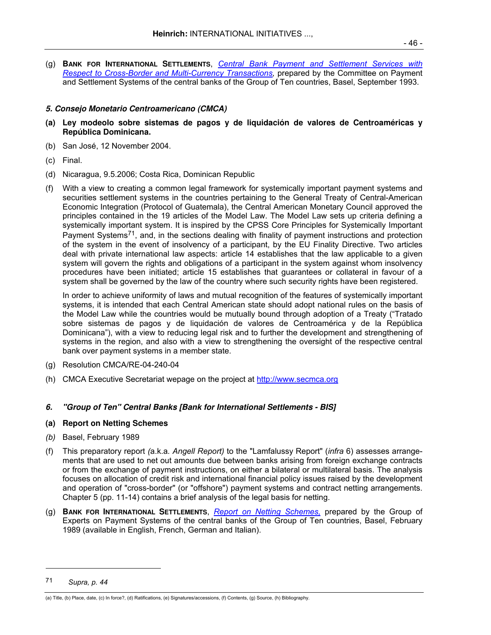(g) **BANK FOR INTERNATIONAL SETTLEMENTS**, *Central Bank Payment and Settlement Services with Respect to Cross-Border and Multi-Currency Transactions,* prepared by the Committee on Payment and Settlement Systems of the central banks of the Group of Ten countries, Basel, September 1993.

# **5. Consejo Monetario Centroamericano (CMCA)**

- **(a) Ley modeolo sobre sistemas de pagos y de liquidación de valores de Centroaméricas y República Dominicana.**
- (b) San José, 12 November 2004.
- (c) Final.
- (d) Nicaragua, 9.5.2006; Costa Rica, Dominican Republic
- (f) With a view to creating a common legal framework for systemically important payment systems and securities settlement systems in the countries pertaining to the General Treaty of Central-American Economic Integration (Protocol of Guatemala), the Central American Monetary Council approved the principles contained in the 19 articles of the Model Law. The Model Law sets up criteria defining a systemically important system. It is inspired by the CPSS Core Principles for Systemically Important Payment Systems<sup>71</sup>, and, in the sections dealing with finality of payment instructions and protection of the system in the event of insolvency of a participant, by the EU Finality Directive. Two articles deal with private international law aspects: article 14 establishes that the law applicable to a given system will govern the rights and obligations of a participant in the system against whom insolvency procedures have been initiated; article 15 establishes that guarantees or collateral in favour of a system shall be governed by the law of the country where such security rights have been registered.

 In order to achieve uniformity of laws and mutual recognition of the features of systemically important systems, it is intended that each Central American state should adopt national rules on the basis of the Model Law while the countries would be mutually bound through adoption of a Treaty ("Tratado sobre sistemas de pagos y de liquidación de valores de Centroamérica y de la República Dominicana"), with a view to reducing legal risk and to further the development and strengthening of systems in the region, and also with a view to strengthening the oversight of the respective central bank over payment systems in a member state.

- (g) Resolution CMCA/RE-04-240-04
- (h) CMCA Executive Secretariat wepage on the project at http://www.secmca.org

# **6. "Group of Ten" Central Banks [Bank for International Settlements - BIS]**

## **(a) Report on Netting Schemes**

- *(b)* Basel, February 1989
- (f) This preparatory report *(*a.k.a*. Angell Report)* to the "Lamfalussy Report" (*infra* 6) assesses arrangements that are used to net out amounts due between banks arising from foreign exchange contracts or from the exchange of payment instructions, on either a bilateral or multilateral basis. The analysis focuses on allocation of credit risk and international financial policy issues raised by the development and operation of "cross-border" (or "offshore") payment systems and contract netting arrangements. Chapter 5 (pp. 11-14) contains a brief analysis of the legal basis for netting.
- (g) **BANK FOR INTERNATIONAL SETTLEMENTS**, *Report on Netting Schemes,* prepared by the Group of Experts on Payment Systems of the central banks of the Group of Ten countries, Basel, February 1989 (available in English, French, German and Italian).

 $\overline{a}$ 

<sup>71</sup> *Supra, p. 44* 

<sup>(</sup>a) Title, (b) Place, date, (c) In force?, (d) Ratifications, (e) Signatures/accessions, (f) Contents, (g) Source, (h) Bibliography.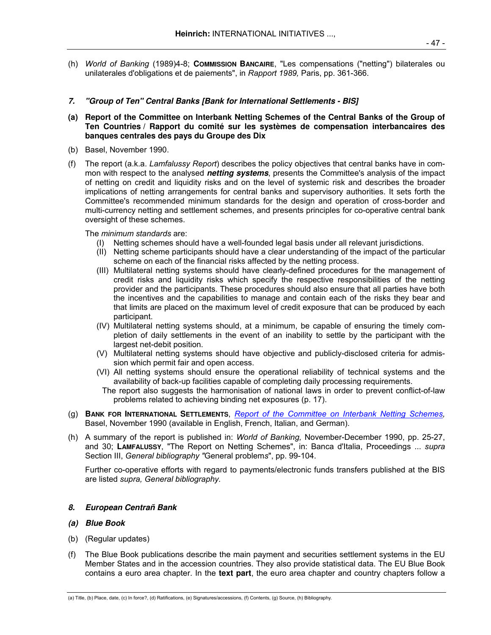(h) *World of Banking* (1989)4-8; **COMMISSION BANCAIRE**, "Les compensations ("netting") bilaterales ou unilaterales d'obligations et de paiements", in *Rapport 1989,* Paris, pp. 361-366.

# **7. "Group of Ten" Central Banks [Bank for International Settlements - BIS]**

- **(a) Report of the Committee on Interbank Netting Schemes of the Central Banks of the Group of Ten Countries / Rapport du comité sur les systèmes de compensation interbancaires des banques centrales des pays du Groupe des Dix**
- (b) Basel, November 1990.
- (f) The report (a.k.a. *Lamfalussy Report*) describes the policy objectives that central banks have in common with respect to the analysed **netting systems**, presents the Committee's analysis of the impact of netting on credit and liquidity risks and on the level of systemic risk and describes the broader implications of netting arrangements for central banks and supervisory authorities. It sets forth the Committee's recommended minimum standards for the design and operation of cross-border and multi-currency netting and settlement schemes, and presents principles for co-operative central bank oversight of these schemes.

The *minimum standards* are:

- (I) Netting schemes should have a well-founded legal basis under all relevant jurisdictions.
- (II) Netting scheme participants should have a clear understanding of the impact of the particular scheme on each of the financial risks affected by the netting process.
- (III) Multilateral netting systems should have clearly-defined procedures for the management of credit risks and liquidity risks which specify the respective responsibilities of the netting provider and the participants. These procedures should also ensure that all parties have both the incentives and the capabilities to manage and contain each of the risks they bear and that limits are placed on the maximum level of credit exposure that can be produced by each participant.
- (IV) Multilateral netting systems should, at a minimum, be capable of ensuring the timely completion of daily settlements in the event of an inability to settle by the participant with the largest net-debit position.
- (V) Multilateral netting systems should have objective and publicly-disclosed criteria for admission which permit fair and open access.
- (VI) All netting systems should ensure the operational reliability of technical systems and the availability of back-up facilities capable of completing daily processing requirements.
- The report also suggests the harmonisation of national laws in order to prevent conflict-of-law problems related to achieving binding net exposures (p. 17).
- (g) **BANK FOR INTERNATIONAL SETTLEMENTS**, *Report of the Committee on Interbank Netting Schemes,* Basel, November 1990 (available in English, French, Italian, and German).
- (h) A summary of the report is published in: *World of Banking,* November-December 1990, pp. 25-27, and 30; **LAMFALUSSY**, "The Report on Netting Schemes", in: Banca d'Italia, Proceedings ... *supra* Section III, *General bibliography "*General problem*s*", pp. 99-104.

 Further co-operative efforts with regard to payments/electronic funds transfers published at the BIS are listed *supra, General bibliography.*

## **8. European Centrañ Bank**

## **(a) Blue Book**

- (b) (Regular updates)
- (f) The Blue Book publications describe the main payment and securities settlement systems in the EU Member States and in the accession countries. They also provide statistical data. The EU Blue Book contains a euro area chapter. In the **text part**, the euro area chapter and country chapters follow a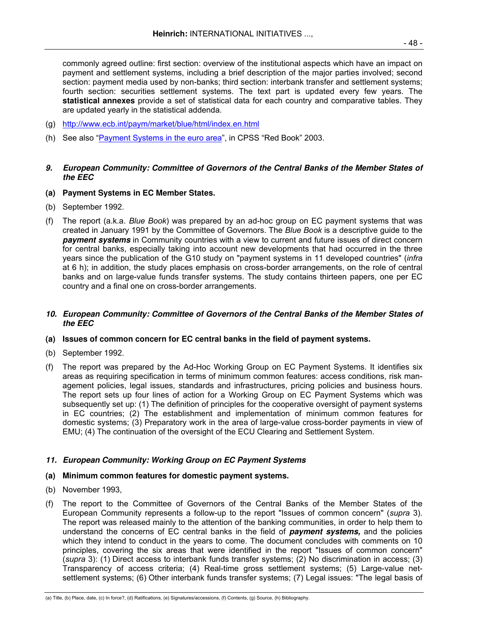commonly agreed outline: first section: overview of the institutional aspects which have an impact on payment and settlement systems, including a brief description of the major parties involved; second section: payment media used by non-banks; third section: interbank transfer and settlement systems; fourth section: securities settlement systems. The text part is updated every few years. The **statistical annexes** provide a set of statistical data for each country and comparative tables. They are updated yearly in the statistical addenda.

- (g) http://www.ecb.int/paym/market/blue/html/index.en.html
- (h) See also "Payment Systems in the euro area", in CPSS "Red Book" 2003.

# **9. European Community: Committee of Governors of the Central Banks of the Member States of the EEC**

- **(a) Payment Systems in EC Member States.**
- (b) September 1992.
- (f) The report (a.k.a. *Blue Book*) was prepared by an ad-hoc group on EC payment systems that was created in January 1991 by the Committee of Governors. The *Blue Book* is a descriptive guide to the **payment systems** in Community countries with a view to current and future issues of direct concern for central banks, especially taking into account new developments that had occurred in the three years since the publication of the G10 study on "payment systems in 11 developed countries" (*infra*  at 6 h); in addition, the study places emphasis on cross-border arrangements, on the role of central banks and on large-value funds transfer systems. The study contains thirteen papers, one per EC country and a final one on cross-border arrangements.

### **10. European Community: Committee of Governors of the Central Banks of the Member States of the EEC**

# **(a) Issues of common concern for EC central banks in the field of payment systems.**

- (b) September 1992.
- (f) The report was prepared by the Ad-Hoc Working Group on EC Payment Systems. It identifies six areas as requiring specification in terms of minimum common features: access conditions, risk management policies, legal issues, standards and infrastructures, pricing policies and business hours. The report sets up four lines of action for a Working Group on EC Payment Systems which was subsequently set up: (1) The definition of principles for the cooperative oversight of payment systems in EC countries; (2) The establishment and implementation of minimum common features for domestic systems; (3) Preparatory work in the area of large-value cross-border payments in view of EMU; (4) The continuation of the oversight of the ECU Clearing and Settlement System.

## **11. European Community: Working Group on EC Payment Systems**

## **(a) Minimum common features for domestic payment systems.**

- (b) November 1993,
- (f) The report to the Committee of Governors of the Central Banks of the Member States of the European Community represents a follow-up to the report "Issues of common concern" (*supra* 3). The report was released mainly to the attention of the banking communities, in order to help them to understand the concerns of EC central banks in the field of **payment systems,** and the policies which they intend to conduct in the years to come. The document concludes with comments on 10 principles, covering the six areas that were identified in the report "Issues of common concern" (*supra* 3): (1) Direct access to interbank funds transfer systems; (2) No discrimination in access; (3) Transparency of access criteria; (4) Real-time gross settlement systems; (5) Large-value netsettlement systems; (6) Other interbank funds transfer systems; (7) Legal issues: "The legal basis of

<sup>(</sup>a) Title, (b) Place, date, (c) In force?, (d) Ratifications, (e) Signatures/accessions, (f) Contents, (g) Source, (h) Bibliography.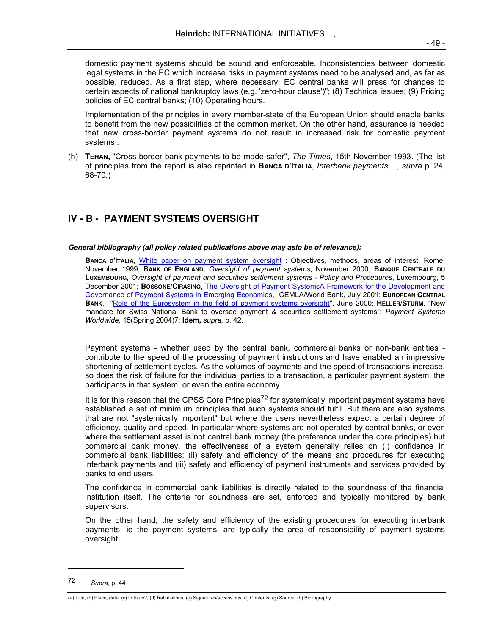domestic payment systems should be sound and enforceable. Inconsistencies between domestic legal systems in the EC which increase risks in payment systems need to be analysed and, as far as possible, reduced. As a first step, where necessary, EC central banks will press for changes to certain aspects of national bankruptcy laws (e.g. 'zero-hour clause')"; (8) Technical issues; (9) Pricing policies of EC central banks; (10) Operating hours.

 Implementation of the principles in every member-state of the European Union should enable banks to benefit from the new possibilities of the common market. On the other hand, assurance is needed that new cross-border payment systems do not result in increased risk for domestic payment systems .

(h) **TEHAN,** "Cross-border bank payments to be made safer", *The Times*, 15th November 1993. (The list of principles from the report is also reprinted in **BANCA D'ITALIA**, *Interbank payments....*, *supra* p. 24, 68-70.)

# **IV - B - PAYMENT SYSTEMS OVERSIGHT**

### **General bibliography (all policy related publications above may aslo be of relevance):**

 **BANCA D'ITALIA**, White paper on payment system oversight : Objectives, methods, areas of interest, Rome, November 1999; **BANK OF ENGLAND**; *Oversight of payment systems*, November 2000; **BANQUE CENTRALE DU LUXEMBOURG**, *Oversight of payment and securities settlement systems - Policy and Procedures*, Luxembourg, 5 December 2001; **BOSSONE/CIRASINO**, The Oversight of Payment SystemsA Framework for the Development and Governance of Payment Systems in Emerging Economies, CEMLA/World Bank, July 2001; **EUROPEAN CENTRAL BANK**, "Role of the Eurosystem in the field of payment systems oversight", June 2000; **HELLER/STURM**, "New mandate for Swiss National Bank to oversee payment & securities settlement systems"; *Payment Systems Worldwide*, 15(Spring 2004)7; **Idem,** *supra,* p. 42.

 Payment systems - whether used by the central bank, commercial banks or non-bank entities contribute to the speed of the processing of payment instructions and have enabled an impressive shortening of settlement cycles. As the volumes of payments and the speed of transactions increase, so does the risk of failure for the individual parties to a transaction, a particular payment system, the participants in that system, or even the entire economy.

It is for this reason that the CPSS Core Principles<sup>72</sup> for systemically important payment systems have established a set of minimum principles that such systems should fulfil. But there are also systems that are not "systemically important" but where the users nevertheless expect a certain degree of efficiency, quality and speed. In particular where systems are not operated by central banks, or even where the settlement asset is not central bank money (the preference under the core principles) but commercial bank money, the effectiveness of a system generally relies on (i) confidence in commercial bank liabilities; (ii) safety and efficiency of the means and procedures for executing interbank payments and (iii) safety and efficiency of payment instruments and services provided by banks to end users.

 The confidence in commercial bank liabilities is directly related to the soundness of the financial institution itself. The criteria for soundness are set, enforced and typically monitored by bank supervisors.

 On the other hand, the safety and efficiency of the existing procedures for executing interbank payments, ie the payment systems, are typically the area of responsibility of payment systems oversight.

-

(a) Title, (b) Place, date, (c) In force?, (d) Ratifications, (e) Signatures/accessions, (f) Contents, (g) Source, (h) Bibliography.

<sup>72</sup> *Supra*, p. 44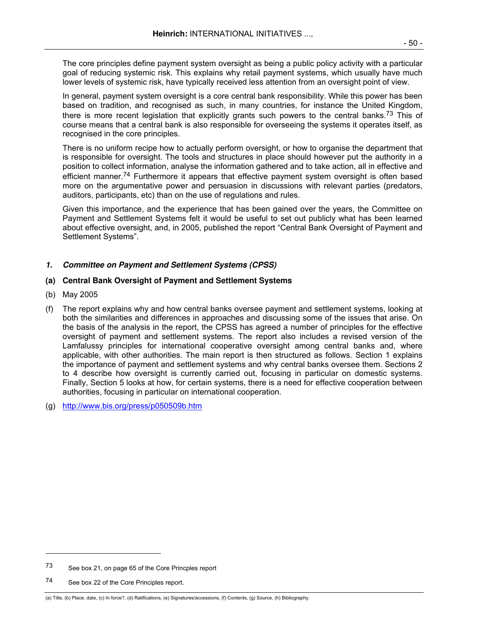The core principles define payment system oversight as being a public policy activity with a particular goal of reducing systemic risk. This explains why retail payment systems, which usually have much lower levels of systemic risk, have typically received less attention from an oversight point of view.

 In general, payment system oversight is a core central bank responsibility. While this power has been based on tradition, and recognised as such, in many countries, for instance the United Kingdom, there is more recent legislation that explicitly grants such powers to the central banks.<sup>73</sup> This of course means that a central bank is also responsible for overseeing the systems it operates itself, as recognised in the core principles.

 There is no uniform recipe how to actually perform oversight, or how to organise the department that is responsible for oversight. The tools and structures in place should however put the authority in a position to collect information, analyse the information gathered and to take action, all in effective and efficient manner.<sup>74</sup> Furthermore it appears that effective payment system oversight is often based more on the argumentative power and persuasion in discussions with relevant parties (predators, auditors, participants, etc) than on the use of regulations and rules.

 Given this importance, and the experience that has been gained over the years, the Committee on Payment and Settlement Systems felt it would be useful to set out publicly what has been learned about effective oversight, and, in 2005, published the report "Central Bank Oversight of Payment and Settlement Systems".

# **1. Committee on Payment and Settlement Systems (CPSS)**

# **(a) Central Bank Oversight of Payment and Settlement Systems**

- (b) May 2005
- (f) The report explains why and how central banks oversee payment and settlement systems, looking at both the similarities and differences in approaches and discussing some of the issues that arise. On the basis of the analysis in the report, the CPSS has agreed a number of principles for the effective oversight of payment and settlement systems. The report also includes a revised version of the Lamfalussy principles for international cooperative oversight among central banks and, where applicable, with other authorities. The main report is then structured as follows. Section 1 explains the importance of payment and settlement systems and why central banks oversee them. Sections 2 to 4 describe how oversight is currently carried out, focusing in particular on domestic systems. Finally, Section 5 looks at how, for certain systems, there is a need for effective cooperation between authorities, focusing in particular on international cooperation.
- (g) http://www.bis.org/press/p050509b.htm

-

<sup>73</sup> See box 21, on page 65 of the Core Princples report

<sup>74</sup> See box 22 of the Core Principles report.

<sup>(</sup>a) Title, (b) Place, date, (c) In force?, (d) Ratifications, (e) Signatures/accessions, (f) Contents, (g) Source, (h) Bibliography.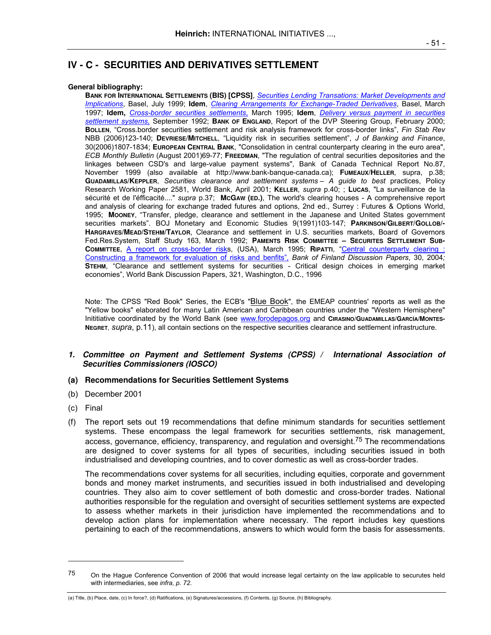### **General bibliography:**

**BANK FOR INTERNATIONAL SETTLEMENTS (BIS) [CPSS]**, *Securities Lending Transations: Market Developments and Implications*, Basel, July 1999; **Idem**, *Clearing Arrangements for Exchange-Traded Derivatives*, Basel, March 1997; **Idem,** *Cross-border securities settlements*, March 1995; **Idem**, *Delivery versus payment in securities settlement systems,* September 1992; **BANK OF ENGLAND**, Report of the DVP Steering Group, February 2000; **BOLLEN**, "Cross.border securities settlement and risk analysis framework for cross-border links", *Fin Stab Rev*  NBB (2006)123-140; **DEVRIESE/MITCHELL**, "Liquidity risk in securities settlement", *J of Banking and Finance*, 30(2006)1807-1834; **EUROPEAN CENTRAL BANK**, "Consolidation in central counterparty clearing in the euro area", *ECB Monthly Bulletin* (August 2001)69-77; **FREEDMAN**, "The regulation of central securities depositories and the linkages between CSD's and large-value payment systems", Bank of Canada Technical Report No.87, November 1999 (also available at http://www.bank-banque-canada.ca); **FUMEAUX/HELLER**, supra, p.38; **GUADAMILLAS/KEPPLER**, *Securities clearance and settlement systems – A guide to best* practices, Policy Research Working Paper 2581, World Bank, April 2001; **KELLER**, *supra* p.40; ; **LUCAS**, "La surveillance de la sécurité et de l'éfficacité...." *supra* p.37; **MCGAW (ED.)**, The world's clearing houses - A comprehensive report and analysis of clearing for exchange traded futures and options, 2nd ed., Surrey : Futures & Options World, 1995; **MOONEY**, "Transfer, pledge, clearance and settlement in the Japanese and United States government securities markets". BOJ Monetary and Economic Studies 9(1991)103-147; **PARKINSON/GILBERT/GOLLOB/- HARGRAVES/MEAD/STEHM/TAYLOR**, Clearance and settlement in U.S. securities markets, Board of Governors Fed.Res.System, Staff Study 163, March 1992; **PAMENTS RISK COMMITTEE – SECURITES SETTLEMENT SUB-COMMITTEE**, A report on cross-border risks, (USA), March 1995; **RIPATTI**, "Central counterparty clearing : Constructing a framework for evaluation of risks and benfits", *Bank of Finland Discussion Papers*, 30, 2004*;*  **STEHM**, "Clearance and settlement systems for securities - Critical design choices in emerging market economies", World Bank Discussion Papers, 321, Washington, D.C., 1996

Note: The CPSS "Red Book" Series, the ECB's "Blue Book", the EMEAP countries' reports as well as the "Yellow books" elaborated for many Latin American and Caribbean countries under the "Western Hemisphere" Inititiative coordinated by the World Bank (see www.forodepagos.org and **CIRASINO/GUADAMILLAS/GARCÍA/MONTES-NEGRET**, *supra*, p.11), all contain sections on the respective securities clearance and settlement infrastructure.

# **1. Committee on Payment and Settlement Systems (CPSS) / International Association of Securities Commissioners (IOSCO)**

## **(a) Recommendations for Securities Settlement Systems**

- (b) December 2001
- (c) Final

l

(f) The report sets out 19 recommendations that define minimum standards for securities settlement systems. These encompass the legal framework for securities settlements, risk management, access, governance, efficiency, transparency, and regulation and oversight.<sup>75</sup> The recommendations are designed to cover systems for all types of securities, including securities issued in both industrialised and developing countries, and to cover domestic as well as cross-border trades.

 The recommendations cover systems for all securities, including equities, corporate and government bonds and money market instruments, and securities issued in both industrialised and developing countries. They also aim to cover settlement of both domestic and cross-border trades. National authorities responsible for the regulation and oversight of securities settlement systems are expected to assess whether markets in their jurisdiction have implemented the recommendations and to develop action plans for implementation where necessary. The report includes key questions pertaining to each of the recommendations, answers to which would form the basis for assessments.

<sup>&</sup>lt;sup>75</sup> On the Hague Conference Convention of 2006 that would increase legal certainty on the law applicable to securutes held with intermediaries, see *infra, p. 72.*

<sup>(</sup>a) Title, (b) Place, date, (c) In force?, (d) Ratifications, (e) Signatures/accessions, (f) Contents, (g) Source, (h) Bibliography.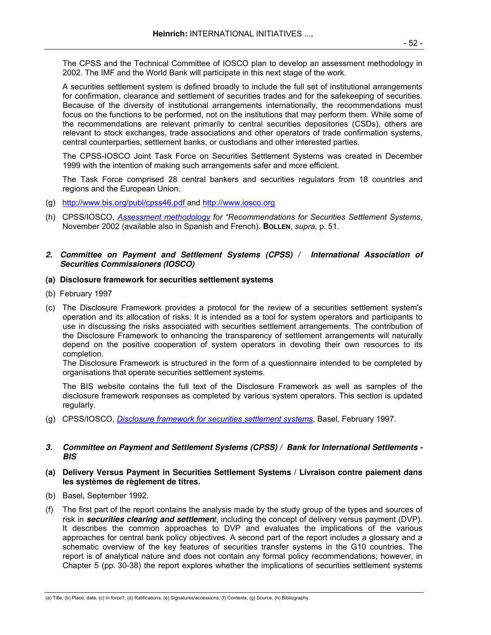The CPSS and the Technical Committee of IOSCO plan to develop an assessment methodology in 2002. The IMF and the World Bank will participate in this next stage of the work.

 A securities settlement system is defined broadly to include the full set of institutional arrangements for confirmation, clearance and settlement of securities trades and for the safekeeping of securities. Because of the diversity of institutional arrangements internationally, the recommendations must focus on the functions to be performed, not on the institutions that may perform them. While some of the recommendations are relevant primarily to central securities depositories (CSDs), others are relevant to stock exchanges, trade associations and other operators of trade confirmation systems, central counterparties, settlement banks, or custodians and other interested parties.

 The CPSS-IOSCO Joint Task Force on Securities Settlement Systems was created in December 1999 with the intention of making such arrangements safer and more efficient.

 The Task Force comprised 28 central bankers and securities regulators from 18 countries and regions and the European Union.

- (g) http://www.bis.org/publ/cpss46.pdf and http://www.iosco.org
- (h) CPSS/IOSCO, *Assessment methodology for "Recommendations for Securities Settlement Systems*, November 2002 (available also in Spanish and French). **BOLLEN**, *supra*, p. 51.

# **2. Committee on Payment and Settlement Systems (CPSS) / International Association of Securities Commissioners (IOSCO)**

# **(a) Disclosure framework for securities settlement systems**

- (b) February 1997
- (c) The Disclosure Framework provides a protocol for the review of a securities settlement system's operation and its allocation of risks. It is intended as a tool for system operators and participants to use in discussing the risks associated with securities settlement arrangements. The contribution of the Disclosure Framework to enhancing the transparency of settlement arrangements will naturally depend on the positive cooperation of system operators in devoting their own resources to its completion.

The Disclosure Framework is structured in the form of a questionnaire intended to be completed by organisations that operate securities settlement systems.

 The BIS website contains the full text of the Disclosure Framework as well as samples of the disclosure framework responses as completed by various system operators. This section is updated regularly.

(g) CPSS/IOSCO, *Disclosure framework for securities settlement systems*, Basel, February 1997.

# **3. Committee on Payment and Settlement Systems (CPSS) / Bank for International Settlements - BIS**

# **(a) Delivery Versus Payment in Securities Settlement Systems / Livraison contre paiement dans les systèmes de règlement de titres.**

- (b) Basel, September 1992.
- (f) The first part of the report contains the analysis made by the study group of the types and sources of risk in **securities clearing and settlemen***t*, including the concept of delivery versus payment (DVP). It describes the common approaches to DVP and evaluates the implications of the various approaches for central bank policy objectives. A second part of the report includes a glossary and a schematic overview of the key features of securities transfer systems in the G10 countries. The report is of analytical nature and does not contain any formal policy recommendations; however, in Chapter 5 (pp. 30-38) the report explores whether the implications of securities settlement systems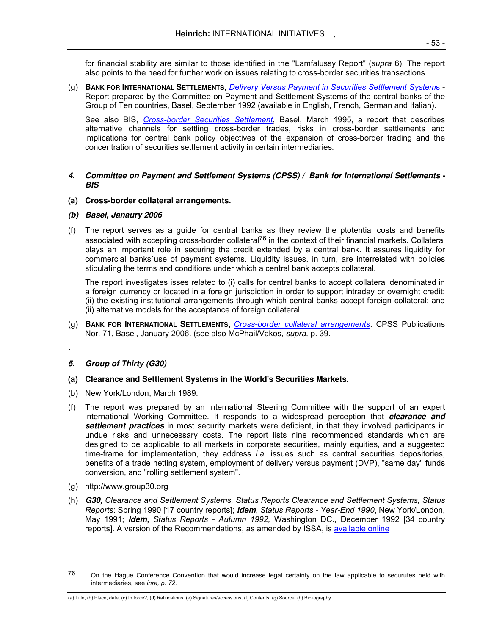for financial stability are similar to those identified in the "Lamfalussy Report" (*supra* 6). The report also points to the need for further work on issues relating to cross-border securities transactions.

(g) **BANK FOR INTERNATIONAL SETTLEMENTS**, *Delivery Versus Payment in Securities Settlement System*s - Report prepared by the Committee on Payment and Settlement Systems of the central banks of the Group of Ten countries, Basel, September 1992 (available in English, French, German and Italian).

 See also BIS, *Cross-border Securities Settlement*, Basel, March 1995, a report that describes alternative channels for settling cross-border trades, risks in cross-border settlements and implications for central bank policy objectives of the expansion of cross-border trading and the concentration of securities settlement activity in certain intermediaries*.* 

# **4. Committee on Payment and Settlement Systems (CPSS) / Bank for International Settlements - BIS**

- **(a) Cross-border collateral arrangements.**
- **(b) Basel, Janaury 2006**
- (f) The report serves as a guide for central banks as they review the ptotential costs and benefits associated with accepting cross-border collateral<sup>76</sup> in the context of their financial markets. Collateral plays an important role in securing the credit extended by a central bank. It assures liquidity for commercial banks´use of payment systems. Liquidity issues, in turn, are interrelated with policies stipulating the terms and conditions under which a central bank accepts collateral.

 The report investigates isses related to (i) calls for central banks to accept collateral denominated in a foreign currency or located in a foreign jurisdiction in order to support intraday or overnight credit; (ii) the existing institutional arrangements through which central banks accept foreign collateral; and (ii) alternative models for the acceptance of foreign collateral.

(g) **BANK FOR INTERNATIONAL SETTLEMENTS,** *Cross-border collateral arrangements*. CPSS Publications Nor. 71, Basel, January 2006. (see also McPhail/Vakos, *supra,* p. 39.

# **5. Group of Thirty (G30)**

**.** 

l

# **(a) Clearance and Settlement Systems in the World's Securities Markets.**

- (b) New York/London, March 1989.
- (f) The report was prepared by an international Steering Committee with the support of an expert international Working Committee. It responds to a widespread perception that **clearance and settlement practices** in most security markets were deficient, in that they involved participants in undue risks and unnecessary costs. The report lists nine recommended standards which are designed to be applicable to all markets in corporate securities, mainly equities, and a suggested time-frame for implementation, they address *i.a.* issues such as central securities depositories, benefits of a trade netting system, employment of delivery versus payment (DVP), "same day" funds conversion, and "rolling settlement system".
- (g) http://www.group30.org
- (h) **G30,** *Clearance and Settlement Systems, Status Reports Clearance and Settlement Systems, Status Reports*: Spring 1990 [17 country reports]; **Idem**, *Status Reports - Year-End 1990*, New York/London, May 1991; **Idem,** *Status Reports - Autumn 1992,* Washington DC., December 1992 [34 country reports]. A version of the Recommendations, as amended by ISSA, is available online

 $76$  On the Hague Conference Convention that would increase legal certainty on the law applicable to securutes held with intermediaries, see *inra, p. 72.*

<sup>(</sup>a) Title, (b) Place, date, (c) In force?, (d) Ratifications, (e) Signatures/accessions, (f) Contents, (g) Source, (h) Bibliography.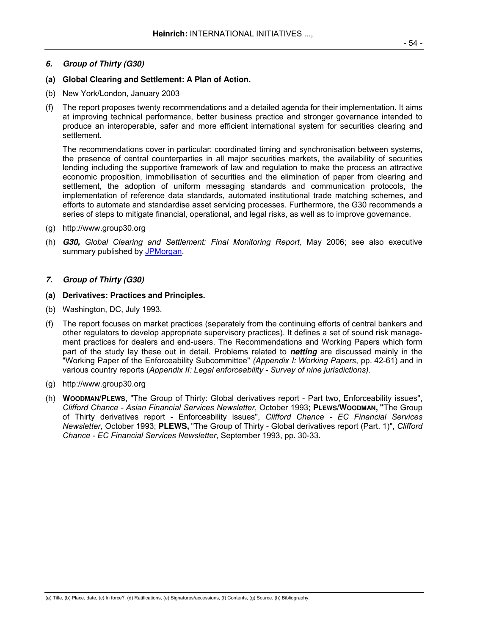# **6. Group of Thirty (G30)**

## **(a) Global Clearing and Settlement: A Plan of Action.**

- (b) New York/London, January 2003
- (f) The report proposes twenty recommendations and a detailed agenda for their implementation. It aims at improving technical performance, better business practice and stronger governance intended to produce an interoperable, safer and more efficient international system for securities clearing and settlement.

 The recommendations cover in particular: coordinated timing and synchronisation between systems, the presence of central counterparties in all major securities markets, the availability of securities lending including the supportive framework of law and regulation to make the process an attractive economic proposition, immobilisation of securities and the elimination of paper from clearing and settlement, the adoption of uniform messaging standards and communication protocols, the implementation of reference data standards, automated institutional trade matching schemes, and efforts to automate and standardise asset servicing processes. Furthermore, the G30 recommends a series of steps to mitigate financial, operational, and legal risks, as well as to improve governance.

- (g) http://www.group30.org
- (h) **G30,** *Global Clearing and Settlement: Final Monitoring Report,* May 2006; see also executive summary published by JPMorgan.

## **7. Group of Thirty (G30)**

## **(a) Derivatives: Practices and Principles.**

- (b) Washington, DC, July 1993.
- (f) The report focuses on market practices (separately from the continuing efforts of central bankers and other regulators to develop appropriate supervisory practices). It defines a set of sound risk management practices for dealers and end-users. The Recommendations and Working Papers which form part of the study lay these out in detail. Problems related to **netting** are discussed mainly in the "Working Paper of the Enforceability Subcommittee" *(Appendix I: Working Papers*, pp. 42-61) and in various country reports (*Appendix II: Legal enforceability - Survey of nine jurisdictions).*
- (g) http://www.group30.org
- (h) **WOODMAN/PLEWS**, "The Group of Thirty: Global derivatives report Part two, Enforceability issues", *Clifford Chance - Asian Financial Services Newsletter*, October 1993; **PLEWS/WOODMAN, "**The Group of Thirty derivatives report - Enforceability issues", *Clifford Chance - EC Financial Services Newsletter*, October 1993; **PLEWS,** "The Group of Thirty - Global derivatives report (Part. 1)", *Clifford Chance - EC Financial Services Newsletter*, September 1993, pp. 30-33.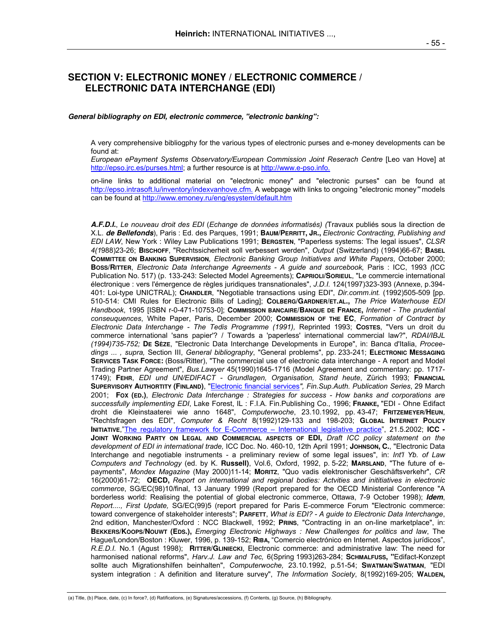# **SECTION V: ELECTRONIC MONEY / ELECTRONIC COMMERCE / ELECTRONIC DATA INTERCHANGE (EDI)**

#### **General bibliography on EDI, electronic commerce, "electronic banking":**

A very comprehensive bibliogphy for the various types of electronic purses and e-money developments can be found at:

*European ePayment Systems Observatory/European Commission Joint Reserach Centre [Leo van Hove] at* http://epso.jrc.es/purses.html; a further resource is at http://www.e-pso.info.

 on-line links to additional material on "electronic money" and "electronic purses" can be found at http://epso.intrasoft.lu/inventory/indexvanhove.cfm. A webpage with links to ongoing "electronic money**"** models can be found at http://www.emoney.ru/eng/esystem/default.htm

**A.F.D.I.**, *Le nouveau droit des EDI* (*Echange de données informatisés) (*Travaux publiés sous la direction de X.L. **de Bellefonds**), Paris : Ed. des Parques, 1991; **BAUM/PERRITT, JR.,** *Electronic Contracting, Publishing and EDI LAW*, New York : Wiley Law Publications 1991; **BERGSTEN**, "Paperless systems: The legal issues", *CLSR 4(1*988)23-26; **BISCHOFF**, "Rechtssicherheit soll verbessert werden", *Output* (Switzerland) (1994)66-67; **BASEL COMMITTEE ON BANKING SUPERVISION***, Electronic Banking Group Initiatives and White Papers*, October 2000; **BOSS/RITTER**, *Electronic Data Interchange Agreements - A guide and sourcebook,* Paris : ICC, 1993 *(*ICC Publication No. 517) (p. 133-243: Selected Model Agreements); **CAPRIOLI/SORIEUL**, "Le commercie international électronique : vers l'émergence de règles juridiques transnationales", *J.D.I.* 124(1997)323-393 (Annexe, p.394- 401: Loi-type UNICTRAL); **CHANDLER**, "Negotiable transactions using EDI", *Dir.comm.int.* (1992)505-509 [pp. 510-514: CMI Rules for Electronic Bills of Lading]; **COLBERG/GARDNER/ET.AL.,** *The Price Waterhouse EDI Handbook*, 1995 [ISBN r-0-471-10753-0]; **COMMISSION BANCAIRE/BANQUE DE FRANCE,** *Internet - The prudential conseuquences*, White Paper, Paris, December 2000; **COMMISSION OF THE EC**, *Formation of Contract by Electronic Data Interchange - The Tedis Programme (1991),* Reprinted 1993; **COSTES**, "Vers un droit du commerce international 'sans papier'? / Towards a 'paperless' international commercial law?", *RDAI/IBJL (1994)735-752;* **DE SÈZE**, "Electronic Data Interchange Developments in Europe", in: Banca d'Italia, *Proceedings ... , supra,* Section III, *General bibliography*, "General problems", pp. 233-241; **ELECTRONIC MESSAGING SERVICES TASK FORCE:** (Boss/Ritter), "The commercial use of electronic data interchange - A report and Model Trading Partner Agreement", *Bus.Lawyer* 45(1990)1645-1716 (Model Agreement and commentary: pp. 1717- 1749); **FEHR**, *EDI und UN/EDIFACT - Grundlagen, Organisation, Stand heute*, Zürich 1993; **FINANCIAL SUPERVISORY AUTHORTITY (FINLAND)**, "Electronic financial services*", Fin.Sup.Auth. Publication Series*, 29 March 2001; **FOX (ED.)**, *Electronic Data Interchange : Strategies for success - How banks and corporations are successfully implementing EDI*, Lake Forest, IL : F.I.A. Fin.Publishing Co., 1996; **FRANKE,** "EDI - Ohne Edifact droht die Kleinstaaterei wie anno 1648", *Computerwoche*, 23.10.1992, pp. 43-47; **FRITZEMEYER/HEUN**, "Rechtsfragen des EDI", *Computer & Recht* 8(1992)129-133 and 198-203; **GLOBAL INTERNET POLICY INITIATIVE**,"The regulatory framework for E-Commerce – International legislative practice", 21.5.2002; **ICC - JOINT WORKING PARTY ON LEGAL AND COMMERCIAL ASPECTS OF EDI,** *Draft ICC policy statement on the development of EDI in international trade,* ICC Doc. No. 460-10, 12th April 1991; **JOHNSON, C.**, "Electronic Data Interchange and negotiable instruments - a preliminary review of some legal issues", in: *Int'l Yb. of Law Computers and Technology* (ed. by K. **Russell)**, Vol.6, Oxford, 1992, p. 5-22; **MARSLAND**, "The future of epayments", *Mondex Magazine* (May 2000)11-14; **MORITZ**, "Quo vadis elektronischer Geschäftsverkehr", *CR* 16(2000)61-72; **OECD,** *Report on international and regional bodies: Actvities and inititiatives in electronic commerce*, SG/EC(98)10/final, 13 January 1999 (Report prepared for the OECD Ministerial Conference "A borderless world: Realising the potential of global electronic commerce, Ottawa, 7-9 October 1998); **Idem**, *Report...., First Update,* SG/EC(99)5 (report prepared for Paris E-commerce Forum "Electronic commerce: toward convergence of stakeholder interests"; **PARFETT**, *What is EDI? - A guide to Electronic Data Interchange*, 2nd edition, Manchester/Oxford : NCC Blackwell, 1992; **PRINS**, "Contracting in an on-line marketplace", in: **BEKKERS/KOOPS/NOUWT (EDS.),** *Emerging Electronic Highways : New Challenges for politics and law*, The Hague/London/Boston : Kluwer, 1996, p. 139-152; **RIBA,** "Comercio electrónico en Internet. Aspectos jurídicos", *R.E.D.I.* No.1 (Agust 1998); **RITTER/GLINIECKI**, Electronic commerce: and administrative law: The need for harmonised national reforms", *Harv.J. Law and Tec,* 6(Spring 1993)263-284; **SCHMALFUSS, "**Edifact-Konzept sollte auch Migrationshilfen beinhalten", *Computerwoche,* 23.10.1992, p.51-54; **SWATMAN/SWATMAN**, "EDI system integration : A definition and literature survey", *The Information Society*, 8(1992)169-205; **WALDEN,**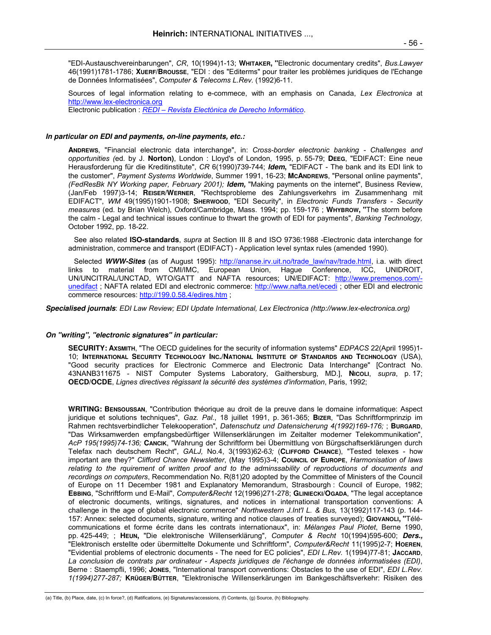"EDI-Austauschvereinbarungen", *CR*, 10(1994)1-13; **WHITAKER, "**Electronic documentary credits", *Bus.Lawyer*  46(1991)1781-1786; **XUERF/BROUSSE**, "EDI : des "Editerms" pour traiter les problèmes juridiques de l'Echange de Données Informatisées", *Computer & Telecoms L.Rev.* (1992)6-11.

 Sources of legal information relating to e-commece, with an emphasis on Canada, *Lex Electronica* at http://www.lex-electronica.org Electronic publication : *REDI* – *Revista Electónica de Derecho Informático*.

**In particular on EDI and payments, on-line payments, etc.:** 

**ANDREWS**, "Financial electronic data interchange", in: *Cross-border electronic banking - Challenges and opportunities (*ed. by J. **Norton)**, London : Lloyd's of London, 1995, p. 55-79; **DEEG**, "EDIFACT: Eine neue Herausforderung für die Kreditinstitute", *CR* 6(1990)739-744; **Idem,** "EDIFACT - The bank and its EDI link to the customer", *Payment Systems Worldwide*, Summer 1991, 16-23; **MCANDREWS**, "Personal online payments", *(FedResBk NY Working paper, February 2001);* **Idem,** "Making payments on the internet", Business Review, (Jan/Feb 1997)3-14; **REISER/WERNER**, "Rechtsprobleme des Zahlungsverkehrs im Zusammenhang mit EDIFACT", *WM* 49(1995)1901-1908; **SHERWOOD**, "EDI Security", in *Electronic Funds Transfers - Security measures* (ed. by Brian Welch), Oxford/Cambridge, Mass. 1994; pp. 159-176 ; **WHYBROW, "**The storm before the calm - Legal and technical issues continue to thwart the growth of EDI for payments", *Banking Technology,*  October 1992, pp. 18-22.

 See also related **ISO-standards**, *supra* at Section III 8 and ISO 9736:1988 -Electronic data interchange for administration, commerce and transport (EDIFACT) - Application level syntax rules (amended 1990).

Selected **WWW-Sites** (as of August 1995): http://ananse.irv.uit.no/trade\_law/nav/trade.html, i.a. with direct links to material from CMI/IMC, European Union, Hague Conference, ICC, UNIDROIT, UN/UNCITRAL/UNCTAD, WTO/GATT and NAFTA resources; UN/EDIFACT: http://www.premenos.com/ unedifact ; NAFTA related EDI and electronic commerce: http://www.nafta.net/ecedi ; other EDI and electronic commerce resources: http://199.0.58.4/edires.htm ;

**Specialised journals**: *EDI Law Review; EDI Update International, Lex Electronica (http://www.lex-electronica.org)*

### **On "writing", "electronic signatures" in particular:**

 **SECURITY: AXSMITH**, "The OECD guidelines for the security of information systems" *EDPACS* 22(April 1995)1- 10; **INTERNATIONAL SECURITY TECHNOLOGY INC./NATIONAL INSTITUTE OF STANDARDS AND TECHNOLOGY** (USA), "Good security practices for Electronic Commerce and Electronic Data Interchange" [Contract No. 43NANB311675 - NIST Computer Systems Laboratory, Gaithersburg, MD.], **NICOLI**, *supra*, p. 17; **OECD/OCDE**, *Lignes directives régissant la sécurité des systèmes d'information*, Paris, 1992;

 **WRITING: BENSOUSSAN**, "Contribution théorique au droit de la preuve dans le domaine informatique: Aspect juridique et solutions techniques", *Gaz. Pal.*, 18 juillet 1991, p. 361-365; **BIZER**, "Das Schriftformprinzip im Rahmen rechtsverbindlicher Telekooperation", *Datenschutz und Datensicherung 4(1992)169-176;* ; **BURGARD**, "Das Wirksamwerden empfangsbedürftiger Willenserklärungen im Zeitalter moderner Telekommunikation", *AcP 195(1995)74-136;* **CANCIK**, "Wahrung der Schriftform bei Übermittlung von Bürgschaftserklärungen durch Telefax nach deutschem Recht", *GALJ,* No.4, 3(1993)62-6*3;* (**CLIFFORD CHANCE**), "Tested telexes - how important are they?" *Clifford Chance Newsletter*, (May 1995)3-4; **COUNCIL OF EUROPE**, *Harmonisation of laws relating to the rquirement of written proof and to the adminssability of reproductions of documents and recordings on computers*, Recommendation No. R(81)20 adopted by the Committee of Ministers of the Council of Europe on 11 December 1981 and Explanatory Memorandum, Strasbourgh : Council of Europe, 1982; **EBBING**, "Schriftform und E-Mail", *Computer&Recht* 12(1996)271-278; **GLINIECKI/OGADA**, "The legal acceptance of electronic documents, writings, signatures, and notices in international transportation conventions: A challenge in the age of global electronic commerce" *Northwestern J.Int'l L. & Bus,* 13(1992)117-143 (p. 144- 157: Annex: selected documents, signature, writing and notice clauses of treaties surveyed); **GIOVANOLI, "**Télécommunications et forme écrite dans les contrats internationaux", in: *Mélanges Paul Piotet*, Berne 1990, pp. 425-449; ; **HEUN,** "Die elektronische Willenserklärung", *Computer & Recht* 10(1994)595-600; **Ders.,**  "Elektronisch erstellte oder übermittelte Dokumente und Schriftform", *Computer&Recht* 11(1995)2-7; **HOEREN**, "Evidential problems of electronic documents - The need for EC policies", *EDI L.Rev.* 1(1994)77-81; **JACCARD**, *La conclusion de contrats par ordinateur - Aspects juridiques de l'échange de données informatisées (EDI)*, Berne : Staempfli, 1996; **JONES**, "International transport conventions: Obstacles to the use of EDI", *EDI L.Rev. 1(1994)277-287;* **KRÜGER/BÜTTER**, "Elektronische Willenserkärungen im Bankgeschäftsverkehr: Risiken des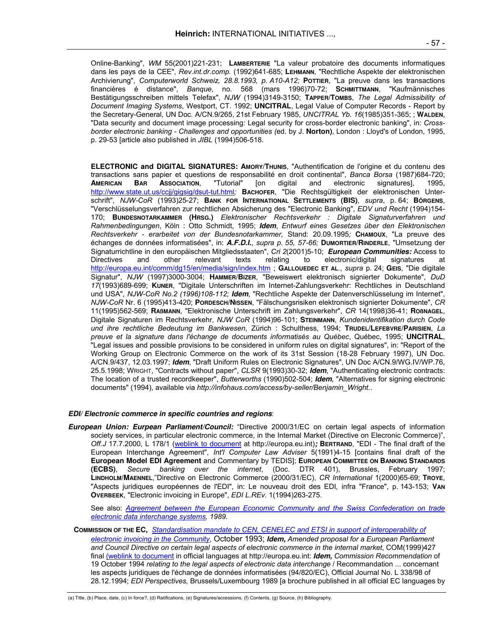Online-Banking", *WM* 55(2001)221-231; **LAMBERTERIE** "La valeur probatoire des documents informatiques dans les pays de la CEE", *Rev.int.dr.comp.* (1992)641-685; **LEHMANN**, "Rechtliche Aspekte der elektronischen Archivierung", *Computerworld Schweiz, 28.8.1993, p. A10-A12;* **POTTIER**, "La preuve dans les transactions financières é distance", *Banque*, no. 568 (mars 1996)70-72; **SCHMITTMANN**, "Kaufmännisches Bestätigungsschreiben mittels Telefax", *NJW* (1994)3149-3150; **TAPPER/TOMBS**, *The Legal Admissibility of Document Imaging Systems*, Westport, CT. 1992; **UNCITRAL**, Legal Value of Computer Records - Report by the Secretary-General, UN Doc. A/CN.9/265, 21st February 1985, *UNCITRAL Yb. 16*(1985)351-365; ; **WALDEN**, "Data security and document image processing: Legal security for cross-border electronic banking", in: *Crossborder electronic banking - Challenges and opportunities (*ed. by J. **Norton)**, London : Lloyd's of London, 1995, p. 29-53 [article also published in *JIBL* (1994)506-518.

**ELECTRONIC and DIGITAL SIGNATURES: AMORY/THUNIS**, "Authentification de l'origine et du contenu des transactions sans papier et questions de responsabilité en droit continental", *Banca Borsa* (1987)684-720; **AMERICAN BAR ASSOCIATION**, "Tutorial" [on digital and electronic signatures], 1995, http://www.state.ut.us/ccjj/gigsig/dsut-tut.html*;* **BACHOFER**, "Die Rechtsgültigkeit der elektronischen Unterschrift", *NJW-CoR* (1993)25-27; **BANK FOR INTERNATIONAL SETTLEMENTS (BIS)**, *supra*, p. 64; **BÖRGENS**, "Verschlüsselungsverfahren zur rechtlichen Absicherung des "Electronic Banking", *EDV und Recht* (1994)154- 170; **BUNDESNOTARKAMMER (HRSG.)** *Elektronischer Rechtsverkehr : Digitale Signaturverfahren und Rahmenbedingungen*, Köln : Otto Schmidt, 1995; **Idem**, *Entwurf eines Gesetzes über den Elektronischen Rechtsverkehr - erarbeitet von der Bundesnotarkammer,* Stand: 20.09.1995*;* **CHAMOUX**, "La preuve des échanges de données informatisées", in: **A.F.D.I.**, *supra p. 55, 57-66;* **DUMORTIER/RINDERLE**, "Umsetzung der Signaturrichtline in den europäischen Mitgliedsstaaten", *Cri 2*(2001)5-10; **European Communities:** Access to relating to electronic/digital signatures at http://europa.eu.int/comm/dg15/en/media/sign/index.htm ; **GALLOUEDEC ET AL***.*, *supra* p. 24; **GEIS**, "Die digitale Signatur", *NJW* (1997)3000-3004; **HAMMER/BIZER**, "Beweiswert elektronisch signierter Dokumente", *DuD 17*(1993)689-699; **KUNER**, "Digitale Unterschriften im Internet-Zahlungsverkehr: Rechtliches in Deutschland und USA", *NJW-CoR No.2 (1996)108-112;* **Idem**, "Rechtliche Aspekte der Datenverschlüsselung im Internet", *NJW-CoR* Nr. 6 (1995)413-420; **PORDESCH/NISSEN**, "Fälschungsrisiken elektronisch signierter Dokumente", *CR* 11(1995)562-569; **RAßMANN**, "Elektronische Unterschrift im Zahlungsverkehr", *CR* 14(1998)36-41; **ROßNAGEL**, Digitale Signaturen im Rechtsverkehr, *NJW CoR* (1994)96-101; **STEINMANN**, *Kundenidentifikation durch Code und ihre rechtliche Bedeutung im Bankwesen*, Zürich : Schulthess, 1994; **TRUDEL**/**LEFEBVRE/PARISIEN**, *La preuve et la signature dans l'échange de documents informatisés au Québec*, Québec, 1995; **UNCITRAL**, "Legal issues and possible provisions to be considered in uniform rules on digital signatures", in: "Report of the Working Group on Electronic Commerce on the work of its 31st Session (18-28 February 1997), UN Doc. A/CN.9/437, 12.03.1997; **Idem**, "Draft Uniform Rules on Electronic Signatures", UN Doc A/CN.9/WG.IV/WP.76, 25.5.1998; WRIGHT, "Contracts without paper", *CLSR* 9(1993)30-32; **Idem**, "Authenticating electronic contracts: The location of a trusted recordkeeper", *Butterworths* (1990)502-504; **Idem**, "Alternatives for signing electronic documents" (1994), available via *http://infohaus.com/access/by-seller/Benjamin\_Wright.*.

#### **EDI/ Electronic commerce in specific countries and regions**:

**European Union: Eurpean Parliament/Council:** "Directive 2000/31/EC on certain legal aspects of information society services, in particular electronic commerce, in the Internal Market (Directive on Elecronic Commerce)", *Off.J* 17.7.2000, L 178/1 (weblink to document at http://europa.eu.int)**; BERTRAND**, "EDI - The final draft of the European Interchange Agreement", *Int'l Computer Law Adviser* 5(1991)4-15 [contains final draft of the **European Model EDI Agreement** and Commentary by TEDIS]; **EUROPEAN COMMITTEE ON BANKING STANDARDS (ECBS)**, *Secure banking over the internet*, (Doc. DTR 401), Brussles, February 1997; **LINDHOLM/MAENNEL**,"Directive on Electronic Commerce (2000/31/EC), *CR International* 1(2000)65-69; **TROYE**, "Aspects juridiques européennes de l'EDI", in: Le nouveau droit des EDI*,* infra "France", p. 143-153; **VAN OVERBEEK**, "Electronic invoicing in Europe", *EDI L.REv.* 1(1994)263-275.

See also: *Agreement between the European Economic Community and the Swiss Confederation on trade electronic data interchange systems, 1989.* 

**COMMISSION OF THE EC,** *Standardisation mandate to CEN, CENELEC and ETSI in support of interoperability of* 

*electronic invoicing in the Community*, October 1993; **Idem,** *Amended proposal for a European Parliament and Council Directive on certain legal aspects of electronic commerce in the internal market*, COM(1999)427 final (weblink to document in official languages at http://europa.eu.int: **Idem,** *Commission Recommendation* of 19 October 1994 *relating to the legal aspects of electronic data interchange* / Recommandation ... concernant les aspects juridiques de l'échange de données informatisées (94/820/EC), Official Journal No. L 338/98 of 28.12.1994; *EDI Perspectives,* Brussels/Luxembourg 1989 [a brochure published in all official EC languages by

(a) Title, (b) Place, date, (c) In force?, (d) Ratifications, (e) Signatures/accessions, (f) Contents, (g) Source, (h) Bibliography.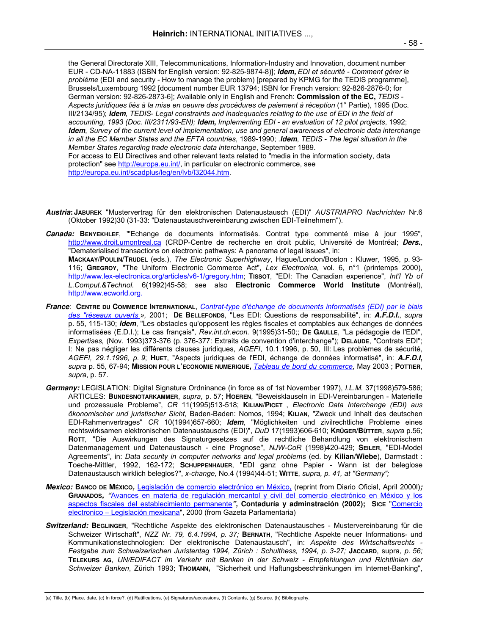the General Directorate XIII, Telecommunications, Information-Industry and Innovation, document number EUR - CD-NA-11883 (ISBN for English version: 92-825-9874-8)]; **Idem,** *EDI et sécurité - Comment gérer le problème* (EDI and security - How to manage the problem) [prepared by KPMG for the TEDIS programme], Brussels/Luxembourg 1992 [document number EUR 13794; ISBN for French version: 92-826-2876-0; for German version: 92-826-2873-6]; Available only in English and French: **Commission of the EC,** *TEDIS - Aspects juridiques liés à la mise en oeuvre des procédures de paiement à réception* (1° Partie), 1995 (Doc. III/2134/95); **Idem**, *TEDIS*- *Legal constraints and inadequacies relating to the use of EDI in the field of accounting, 1993 (Doc. III/2311/93-EN);* **Idem,** *Implementing EDI - an evaluation of 12 pilot projects*, 1992; **Idem**, *Survey of the current level of implementation, use and general awareness of electronic data interchange in all the EC Member States and the EFTA countries*, 1989-1990; .**Idem**, *TEDIS - The legal situation in the Member States regarding trade electronic data interchange*, September 1989. For access to EU Directives and other relevant texts related to "media in the information society, data protection" see http://europa.eu.int/, in particular on electronic commerce, see http://europa.eu.int/scadplus/leg/en/lvb/l32044.htm.

**Austria: JABUREK** "Mustervertrag für den elektronischen Datenaustausch (EDI)" *AUSTRIAPRO Nachrichten* Nr.6 (Oktober 1992)30 (31-33: "Datenaustauschvereinbarung zwischen EDI-Teilnehmern").

**Canada: BENYEKHLEF**, "'Echange de documents informatisés. Contrat type commenté mise à jour 1995", http://www.droit.umontreal.ca (CRDP-Centre de recherche en droit public, Université de Montréal; **Ders.**, "Dematerialised transactions on electronic pathways: A panorama of legal issues", in: **MACKAAY/POULIN/TRUDEL** (eds.), *The Electronic Superhighway*, Hague/London/Boston : Kluwer, 1995, p. 93- 116; **GREGROY**, "The Uniform Electronic Commerce Act", *Lex Electronica,* vol. 6, n°1 (printemps 2000), http://www.lex-electronica.org/articles/v6-1/gregory.htm; **TISSOT**, "EDI: The Canadian experience", *Int'l Yb of L.Comput.&Technol.* 6(1992)45-58; see also **Electronic Commerce World Institute** (Montréal), http://www.ecworld.org.

- **France**: **CENTRE DU COMMERCE INTERNATIONAL**, *Contrat-type d'échange de documents informatisés (EDI) par le biais des "réseaux ouverts »,* 2001; **DE BELLEFONDS**, "Les EDI: Questions de responsabilité", in: **A.F.D.I.**, *supra* p. 55, 115-130; **Idem**, "Les obstacles qu'opposent les règles fiscales et comptables aux échanges de données informatisées (E.D.I.); Le cas français", *Rev.int.dr.econ.* 9(1995)31-50;; **DE GAULLE**, "La pédagogie de l'EDI", *Expertises,* (Nov. 1993)373-376 (p. 376-377: Extraits de convention d'interchange"); **DELAUDE**, "Contrats EDI"; I: Ne pas négliger les différents clauses juridiques, *AGEFI*, 10.1.1996, p. 50, III: Les problèmes de sécurité, *AGEFI, 29.1.1996, p. 9*; **HUET**, "Aspects juridiques de l'EDI, échange de données informatisé", in: **A.F.D.I,**  *supra* p. 55, 67-94; **MISSION POUR L'ECONOMIE NUMERIQUE,** *Tableau de bord du commerce*, May 2003 ; **POTTIER**, *supra*, p. 57.
- **Germany:** LEGISLATION: Digital Signature Ordninance (in force as of 1st November 1997), *I.L.M.* 37(1998)579-586; ARTICLES: **BUNDESNOTARKAMMER**, *supra*, p. 57; **HOEREN**, "Beweisklauseln in EDI-Vereinbarungen - Materielle und prozessuale Probleme", *CR* 11(1995)513-518; **KILIAN/PICET** , *Electronic Data Interchange (EDI) aus ökonomischer und juristischer Sicht*, Baden-Baden: Nomos, 1994; **KILIAN**, "Zweck und Inhalt des deutschen EDI-Rahmenvertrages" *CR* 10(1994)657-660; **Idem**, "Möglichkeiten und zivilrechtliche Probleme eines rechtswirksamen elektronischen Datenaustauschs (EDI)", *DuD* 17(1993)606-610; **KRÜGER/BÜTTER**, *supra* p.56; **ROTT**, "Die Auswirkungen des Signaturgesetzes auf die rechtliche Behandlung von elektronischem Datenmanagement und Datenaustausch - eine Prognose", *NJW-CoR* (1998)420-429; **SEILER**, "EDI-Model Agreements", in: *Data security in computer networks and legal problems* (ed. by **Kilian/Wiebe**), Darmstadt : Toeche-Mittler, 1992, 162-172; **SCHUPPENHAUER**, "EDI ganz ohne Papier - Wann ist der beleglose Datenaustausch wirklich beleglos?", *x-change,* No.4 (1994)44-51; **WITTE**, *supra, p. 41, at "Germany";*
- **Mexico: BANCO DE MÉXICO,** Legislación de comercio electrónico en México**,** (reprint from Diario Oficial, April 2000l)**; GRANADOS, "**Avances en materia de regulación mercantol y civil del comercio electrónico en México y los aspectos fiscales del establecimiento permanente**", Contaduría y adminstración (2002); SICE** "Comercio electronico – Legislación mexicana", 2000 (from Gazeta Parlamentaria)
- **Switzerland: BEGLINGER**, "Rechtliche Aspekte des elektronischen Datenaustausches Mustervereinbarung für die Schweizer Wirtschaft", *NZZ Nr. 79, 6.4.1994, p. 37;* **BERNATH**, "Rechtliche Aspekte neuer Informations- und Kommunikationstechnologien: Der elektronische Datenaustausch", in: *Aspekte des Wirtschaftsrechts - Festgabe zum Schweizerischen Juristentag 1994, Zürich : Schulthess, 1994, p. 3-27;* **JACCARD**, supra*, p. 56;*  **TELEKURS AG**, *UN/EDIFACT im Verkehr mit Banken in der Schweiz - Empfehlungen und Richtlinien der Schweizer Banken*, Zürich 1993; **THOMANN,** "Sicherheit und Haftungsbeschränkungen im Internet-Banking",

<sup>(</sup>a) Title, (b) Place, date, (c) In force?, (d) Ratifications, (e) Signatures/accessions, (f) Contents, (g) Source, (h) Bibliography.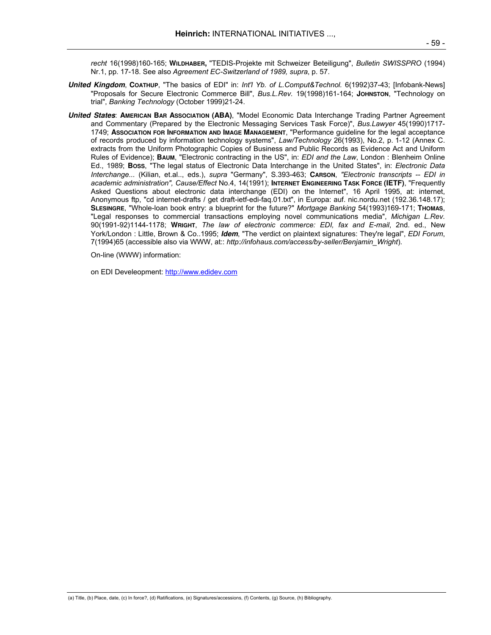*recht* 16(1998)160-165; **WILDHABER,** "TEDIS-Projekte mit Schweizer Beteiligung", *Bulletin SWISSPRO* (1994) Nr.1, pp. 17-18. See also *Agreement EC-Switzerland of 1989, supra*, p. 57.

- **United Kingdom**, **COATHUP**, "The basics of EDI" in: *Int'l Yb. of L.Comput&Technol.* 6(1992)37-43; [Infobank-News] "Proposals for Secure Electronic Commerce Bill", *Bus.L.Rev.* 19(1998)161-164; **JOHNSTON**, "Technology on trial", *Banking Technology* (October 1999)21-24.
- **United States**: **AMERICAN BAR ASSOCIATION (ABA)**, "Model Economic Data Interchange Trading Partner Agreement and Commentary (Prepared by the Electronic Messaging Services Task Force)", *Bus.Lawyer* 45(1990)1717- 1749; **ASSOCIATION FOR INFORMATION AND IMAGE MANAGEMENT**, "Performance guideline for the legal acceptance of records produced by information technology systems", *Law/Technology* 26(1993), No.2, p. 1-12 (Annex C. extracts from the Uniform Photographic Copies of Business and Public Records as Evidence Act and Uniform Rules of Evidence); **BAUM**, "Electronic contracting in the US", in: *EDI and the Law*, London : Blenheim Online Ed., 1989; **BOSS**, "The legal status of Electronic Data Interchange in the United States", in: *Electronic Data Interchange...* (Kilian, et.al.., eds.), *supra* "Germany", S.393-463; **CARSON**, *"Electronic transcripts -- EDI in academic administration", Cause/Effect* No.4, 14(1991); **INTERNET ENGINEERING TASK FORCE (IETF)**, "Frequently Asked Questions about electronic data interchange (EDI) on the Internet", 16 April 1995, at: internet, Anonymous ftp, "cd internet-drafts / get draft-ietf-edi-faq.01.txt", in Europa: auf. nic.nordu.net (192.36.148.17); **SLESINGRE**, "Whole-loan book entry: a blueprint for the future?" *Mortgage Banking* 54(1993)169-171; **THOMAS**, "Legal responses to commercial transactions employing novel communications media", *Michigan L.Rev.* 90(1991-92)1144-1178; **WRIGHT**, *The law of electronic commerce: EDI, fax and E-mail*, 2nd. ed., New York/London : Little, Brown & Co..1995; **Idem**, "The verdict on plaintext signatures: They're legal", *EDI Forum*, 7(1994)65 (accessible also via WWW, at:: *http://infohaus.com/access/by-seller/Benjamin\_Wright*).

On-line (WWW) information:

on EDI Develeopment: http://www.edidev.com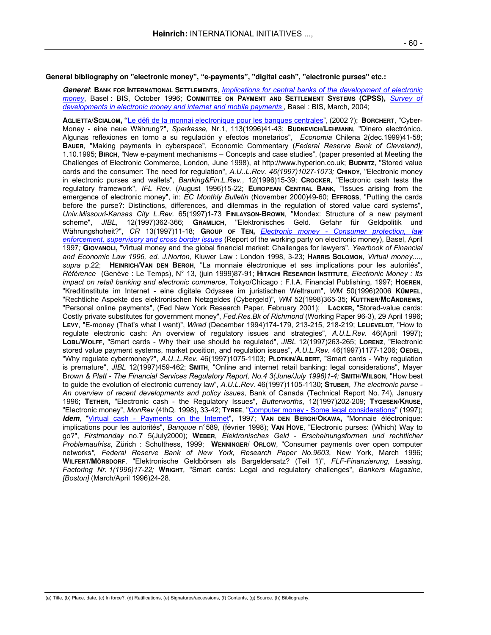**General bibliography on "electronic money", "e-payments", "digital cash", "electronic purses" etc.:** 

**General**: **BANK FOR INTERNATIONAL SETTLEMENTS**, *Implications for central banks of the development of electronic money*, Basel : BIS, October 1996; **COMMITTEE ON PAYMENT AND SETTLEMENT SYSTEMS (CPSS),** *Survey of developments in electronic money and internet and mobile payments*, Basel : BIS, March, 2004;

**AGLIETTA/SCIALOM, "**Le dëfi de la monnai electronique pour les banques centrales", (2002 ?); **BORCHERT**, "Cyber-Money - eine neue Währung?", *Sparkasse,* Nr.1, 113(1996)41-43; **BUDNEVICH/LEHMANN**, "Dinero electrónico. Algunas reflexiones en torno a su regulación y efectos monetarios", *Economia* Chilena 2(dec.1999)41-58; **BAUER**, "Making payments in cyberspace", Economic Commentary (*Federal Reserve Bank of Cleveland)*, 1.10.1995; **BIRCH**, "New e-payment mechanisms – Concepts and case studies", (paper presented at Meeting the Challenges of Electronic Commerce, London, June 1998), at http://www.hyperion.co.uk; **BUDNITZ**, "Stored value cards and the consumer: The need for regulation", *A.U..L.Rev. 46(1997)1027-1073;* **CHINOY**, "Electronic money in electronic purses and wallets", *Banking&Fin.L.Rev.*, 12(1996)15-39; **CROCKER**, "Electronic cash tests the regulatory framework", *IFL Rev.* (August 1996)15-22; **EUROPEAN CENTRAL BANK**, "Issues arising from the emergence of electronic money", in: *EC Monthly Bulletin* (November 2000)49-60; **EFFROSS**, "Putting the cards before the purse?: Distinctions, differences, and dilemmas in the regulation of stored value card systems", *Univ.Missouri-Kansas City L.Rev.* 65(1997)1-73 **FINLAYSON-BROWN**, "Mondex: Structure of a new payment scheme", *JIBL*, 12(1997)362-366; **GRAMLICH**, "Elektronisches Geld. Gefahr für Geldpolitik und Währungshoheit?", *CR* 13(1997)11-18; **GROUP OF TEN,** *Electronic money - Consumer protection, law enforcement, supervisory and cross border issues* (Report of the working party on electronic money), Basel, April 1997*;* **GIOVANOLI,** "Virtual money and the global financial market: Challenges for lawyers", *Yearbook of Financial and Economic Law 1996, ed. J.Norton,* Kluwer Law : London 1998, 3-23; **HARRIS SOLOMON**, *Virtual money...., supra* p.22; **HEINRICH/VAN DEN BERGH**, "La monnaie électronique et ses implications pour les autorités", *Référence* (Genève : Le Temps), N° 13, (juin 1999)87-91; **HITACHI RESEARCH INSTITUTE**, *Electronic Money : Its impact on retail banking and electronic commerce*, Tokyo/Chicago : F.I.A. Financial Publishing, 1997; **HOEREN**, "Kreditinstitute im Internet - eine digitale Odyssee im juristischen Weltraum", *WM* 50(1996)2006 **KÜMPEL**, "Rechtliche Aspekte des elektronischen Netzgeldes (Cybergeld)", *WM* 52(1998)365-35; **KUTTNER/MCANDREWS**, "Personal online payments", (Fed New York Research Paper, February 2001); **LACKER,** "Stored-value cards: Costly private substitutes for government money", *Fed.Res.Bk of Richmond* (Working Paper 96-3), 29 April 1996; **LEVY**, "E-money (That's what I want)", *Wired* (December 1994)174-179, 213-215, 218-219; **LELIEVELDT**, "How to regulate electronic cash: An overview of regulatory issues and strategies", *A.U.L.Rev.* 46(April 1997); **LOBL/WOLFF**, "Smart cards - Why their use should be regulated", *JIBL* 12(1997)263-265; **LORENZ**, "Electronic stored value payment systems, market position, and regulation issues", *A.U.L.Rev.* 46(1997)1177-1206; **OEDEL**, "Why regulate cybermoney?", *A.U..L.Rev.* 46(1997)1075-1103; **PLOTKIN/ALBERT**, "Smart cards - Why regulation is premature", *JIBL* 12(1997)459-462; **SMITH**, "Online and internet retail banking: legal considerations", Mayer Br*own & Platt - The Financial Services Regulatory Report, No.4 3(June/July 1996)1-4;* **SMITH/WILSON**, "How best to guide the evolution of electronic currency law", *A.U.L.Rev.* 46(1997)1105-1130; **STUBER**, *The electronic purse - An overview of recent developments and policy issues*, Bank of Canada (Technical Report No. 74), January 1996; **TETHER,** "Electronic cash - the Regulatory Issues", *Butterworths*, 12(1997)202-209; **TYGESEN/KRUSE**, "Electronic money", *MonRev* (4thQ. 1998)**,** 33-42; **TYREE**, "Computer money - Some legal considerations" (1997); **Idem**, "Virtual cash - Payments on the Internet", 1997; **VAN DEN BERGH/OKAWA,** "Monnaie éléctronique: implications pour les autorités", *Banquue* n°589, (février 1998); **VAN HOVE**, "Electronic purses: (Which) Way to go?", *Firstmonday* no.7 5(July2000); **WEBER**, *Elektronisches Geld - Erscheinungsformen und rechtlicher Problemaufriss*, Zürich : Schulthess, 1999; **WENNINGER/ ORLOW**, "Consumer payments over open computer networks*"*, *Federal Reserve Bank of New York, Research Paper No.9603*, New York, March 1996; **WILFERT/MÖRSDORF**, "Elektronische Geldbörsen als Bargeldersatz? (Teil 1)", *FLF-Finanzierung, Leasing, Factoring Nr. 1(1996)17-22;* **WRIGHT**, "Smart cards: Legal and regulatory challenges", *Bankers Magazine, [Boston]* (March/April 1996)24-28.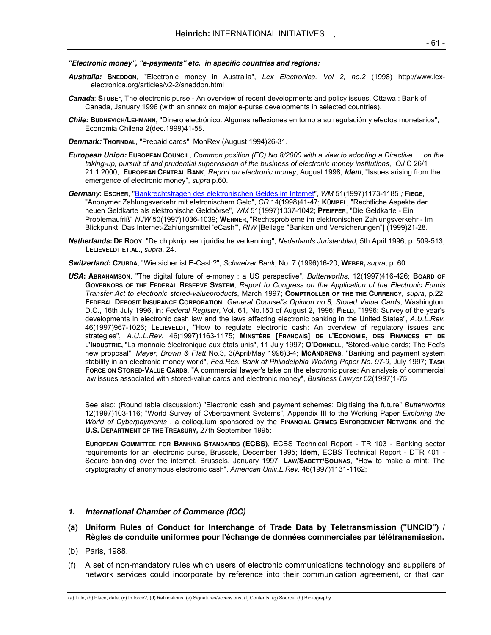**"Electronic money", "e-payments" etc. in specific countries and regions:** 

- **Australia: SNEDDON**, "Electronic money in Australia", *Lex Electronica. Vol 2, no.2* (1998) http://www.lexelectronica.org/articles/v2-2/sneddon.html
- **Canada**: **STUBE**r, The electronic purse An overview of recent developments and policy issues, Ottawa : Bank of Canada, January 1996 (with an annex on major e-purse developments in selected countries).
- **Chile: BUDNEVICH/LEHMANN**, "Dinero electrónico. Algunas reflexiones en torno a su regulación y efectos monetarios", Economia Chilena 2(dec.1999)41-58.
- **Denmark: THORNDAL**, "Prepaid cards", MonRev (August 1994)26-31.
- **European Union: EUROPEAN COUNCIL**, *Common position (EC) No 8/2000 with a view to adopting a Directive … on the taking-up, pursuit of and prudential supervisioon of the business of electronic money institutions*, *OJ* C 26/1 21.1.2000; **EUROPEAN CENTRAL BANK**, *Report on electronic money*, August 1998; **Idem**, "Issues arising from the emergence of electronic money", *supra* p.60.
- **Germany: ESCHER**, "Bankrechtsfragen des elektronischen Geldes im Internet", *WM* 51(1997)1173-1185 *;* **FIEGE**, "Anonymer Zahlungsverkehr mit eletronischem Geld", *CR* 14(1998)41-47; **KÜMPEL**, "Rechtliche Aspekte der neuen Geldkarte als elektronische Geldbörse", *WM* 51(1997)1037-1042; **PFEIFFER**, "Die Geldkarte - Ein Problemaufriß" *NJW* 50(1997)1036-1039; **WERNER,** "Rechtsprobleme im elektronischen Zahlungsverkehr - Im Blickpunkt: Das Internet-Zahlungsmittel 'eCash'", *RIW* [Beilage "Banken und Versicherungen"] (1999)21-28.
- **Netherlands: DE ROOY**, "De chipknip: een juridische verkenning", *Nederlands Juristenblad*, 5th April 1996, p. 509-513; **LELIEVELDT ET.AL.,** *supra*, 24.
- **Switzerland: CZURDA**, "Wie sicher ist E-Cash?", *Schweizer Bank*, No. 7 (1996)16-20; **WEBER,** *supra*, p. 60.
- **USA: ABRAHAMSON**, "The digital future of e-money : a US perspective", *Butterworths*, 12(1997)416-426; **BOARD OF GOVERNORS OF THE FEDERAL RESERVE SYSTEM**, *Report to Congress on the Application of the Electronic Funds Transfer Act to electronic stored-valueproducts*, March 1997; **COMPTROLLER OF THE THE CURRENCY**, *supra*, p.22; **FEDERAL DEPOSIT INSURANCE CORPORATION**, *General Counsel's Opinion no.8; Stored Value Cards*, Washington, D.C., 16th July 1996, in: *Federal Register*, Vol. 61, No.150 of August 2, 1996; **FIELD**, "1996: Survey of the year's developments in electronic cash law and the laws affecting electronic banking in the United States", *A.U.L.Rev.* 46(1997)967-1026; **LELIEVELDT**, "How to regulate electronic cash: An overview of regulatory issues and strategies", *A.U..L.Rev.* 46(1997)1163-1175; **MINSTÈRE [FRANCAIS] DE L'ECONOMIE, DES FINANCES ET DE L'INDUSTRIE,** "La monnaie électronique aux états unis", 11 July 1997; **O'DONNELL**, "Stored-value cards; The Fed's new proposal", *Mayer, Brown & Platt* No.3, 3(April/May 1996)3-4; **MCANDREWS**, "Banking and payment system stability in an electronic money world", *Fed.Res. Bank of Philadelphia Working Paper No. 97-9*, July 1997; **TASK FORCE ON STORED-VALUE CARDS**, "A commercial lawyer's take on the electronic purse: An analysis of commercial law issues associated with stored-value cards and electronic money", *Business Lawyer* 52(1997)1-75.

 See also: (Round table discussion:) "Electronic cash and payment schemes: Digitising the future" *Butterworths* 12(1997)103-116; "World Survey of Cyberpayment Systems", Appendix III to the Working Paper *Exploring the World of Cyberpayments* , a colloquium sponsored by the **FINANCIAL CRIMES ENFORCEMENT NETWORK** and the **U.S. DEPARTMENT OF THE TREASURY,** 27th September 1995;

**EUROPEAN COMMITTEE FOR BANKING STANDARDS (ECBS)**, ECBS Technical Report - TR 103 - Banking sector requirements for an electronic purse, Brussels, December 1995; **Idem**, ECBS Technical Report - DTR 401 - Secure banking over the internet, Brussels, January 1997; **LAW/SABETT/SOLINAS**, "How to make a mint: The cryptography of anonymous electronic cash", *American Univ.L.Rev.* 46(1997)1131-1162;

### **1. International Chamber of Commerce (ICC)**

- **(a) Uniform Rules of Conduct for Interchange of Trade Data by Teletransmission ("UNCID") / Règles de conduite uniformes pour l'échange de données commerciales par télétransmission.**
- (b) Paris, 1988.
- (f) A set of non-mandatory rules which users of electronic communications technology and suppliers of network services could incorporate by reference into their communication agreement, or that can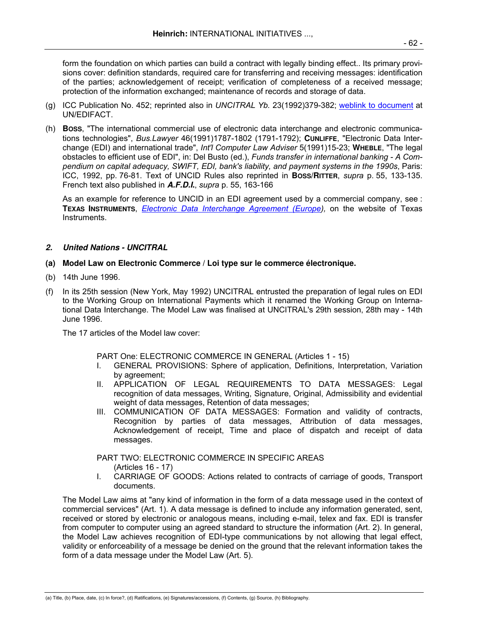form the foundation on which parties can build a contract with legally binding effect.. Its primary provisions cover: definition standards, required care for transferring and receiving messages: identification of the parties; acknowledgement of receipt; verification of completeness of a received message; protection of the information exchanged; maintenance of records and storage of data.

- (g) ICC Publication No. 452; reprinted also in *UNCITRAL Yb.* 23(1992)379-382; weblink to document at UN/EDIFACT.
- (h) **BOSS**, "The international commercial use of electronic data interchange and electronic communications technologies", *Bus.Lawyer* 46(1991)1787-1802 (1791-1792); **CUNLIFFE**, "Electronic Data Interchange (EDI) and international trade", *Int'l Computer Law Adviser* 5(1991)15-23; **WHEBLE**, "The legal obstacles to efficient use of EDI", in: Del Busto (ed.), *Funds transfer in international banking - A Compendium on capital adequacy, SWIFT, EDI, bank's liability, and payment systems in the 1990s*, Paris: ICC, 1992, pp. 76-81. Text of UNCID Rules also reprinted in **BOSS/RITTER**, *supra* p. 55, 133-135. French text also published in **A.F.D.I.**, *supra* p. 55, 163-166

As an example for reference to UNCID in an EDI agreement used by a commercial company, see : **TEXAS INSTRUMENTS**, *Electronic Data Interchange Agreement (Europe),* on the website of Texas Instruments.

# **2. United Nations - UNCITRAL**

- **(a) Model Law on Electronic Commerce / Loi type sur le commerce électronique.**
- (b) 14th June 1996.
- (f) In its 25th session (New York, May 1992) UNCITRAL entrusted the preparation of legal rules on EDI to the Working Group on International Payments which it renamed the Working Group on International Data Interchange. The Model Law was finalised at UNCITRAL's 29th session, 28th may - 14th June 1996.

The 17 articles of the Model law cover:

- PART One: ELECTRONIC COMMERCE IN GENERAL (Articles 1 15)
- I. GENERAL PROVISIONS: Sphere of application, Definitions, Interpretation, Variation by agreement;
- II. APPLICATION OF LEGAL REQUIREMENTS TO DATA MESSAGES: Legal recognition of data messages, Writing, Signature, Original, Admissibility and evidential weight of data messages, Retention of data messages;
- III. COMMUNICATION OF DATA MESSAGES: Formation and validity of contracts, Recognition by parties of data messages, Attribution of data messages, Acknowledgement of receipt, Time and place of dispatch and receipt of data messages.

PART TWO: ELECTRONIC COMMERCE IN SPECIFIC AREAS

- (Articles 16 17)
- I. CARRIAGE OF GOODS: Actions related to contracts of carriage of goods, Transport documents.

The Model Law aims at "any kind of information in the form of a data message used in the context of commercial services" (Art. 1). A data message is defined to include any information generated, sent, received or stored by electronic or analogous means, including e-mail, telex and fax. EDI is transfer from computer to computer using an agreed standard to structure the information (Art. 2). In general, the Model Law achieves recognition of EDI-type communications by not allowing that legal effect, validity or enforceability of a message be denied on the ground that the relevant information takes the form of a data message under the Model Law (Art. 5).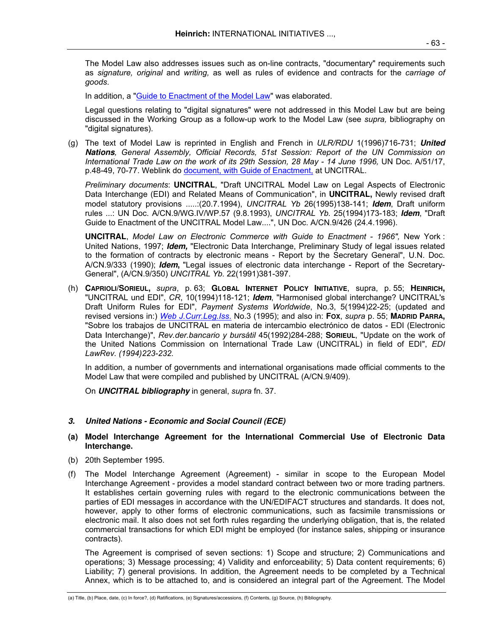The Model Law also addresses issues such as on-line contracts, "documentary" requirements such as *signature, original* and *writing,* as well as rules of evidence and contracts for the *carriage of goods*.

In addition, a "Guide to Enactment of the Model Law" was elaborated.

Legal questions relating to "digital signatures" were not addressed in this Model Law but are being discussed in the Working Group as a follow-up work to the Model Law (see *supra,* bibliography on "digital signatures).

(g) The text of Model Law is reprinted in English and French in *ULR/RDU* 1(1996)716-731; **United Nations***, General Assembly, Official Records, 51st Session: Report of the UN Commission on*  International Trade Law on the work of its 29th Session, 28 May - 14 June 1996, UN Doc. A/51/17, p.48-49, 70-77. Weblink do document, with Guide of Enactment, at UNCITRAL.

*Preliminary documents*: **UNCITRAL**, "Draft UNCITRAL Model Law on Legal Aspects of Electronic Data Interchange (EDI) and Related Means of Communication", in **UNCITRAL,** Newly revised draft model statutory provisions .....:(20.7.1994), *UNCITRAL Yb* 26(1995)138-141; **Idem**, Draft uniform rules ...: UN Doc. A/CN.9/WG.IV/WP.57 (9.8.1993), *UNCITRAL Yb.* 25(1994)173-183; **Idem**, "Draft Guide to Enactment of the UNCITRAL Model Law....", UN Doc. A/CN.9/426 (24.4.1996).

**UNCITRAL**, *Model Law on Electronic Commerce with Guide to Enactment - 1966",* New York : United Nations, 1997; **Idem,** "Electronic Data Interchange, Preliminary Study of legal issues related to the formation of contracts by electronic means - Report by the Secretary General", U.N. Doc. A/CN.9/333 (1990); **Idem,** "Legal issues of electronic data interchange - Report of the Secretary-General", (A/CN.9/350) *UNCITRAL Yb.* 22(1991)381-397.

(h) **CAPRIOLI/SORIEUL,** *supra*, p. 63; **GLOBAL INTERNET POLICY INITIATIVE**, supra, p. 55; **HEINRICH,** "UNCITRAL und EDI", *CR*, 10(1994)118-121; **Idem**, "Harmonised global interchange? UNCITRAL's Draft Uniform Rules for EDI", *Payment Systems Worldwide*, No.3, 5(1994)22-25; (updated and revised versions in:) *Web J.Curr.Leg.Iss*. No.3 (1995); and also in: **FOX**, *supra* p. 55; **MADRID PARRA,** "Sobre los trabajos de UNCITRAL en materia de intercambio electrónico de datos - EDI (Electronic Data Interchange)", *Rev.der.bancario y bursátil* 45(1992)284-288; **SORIEUL**, "Update on the work of the United Nations Commission on International Trade Law (UNCITRAL) in field of EDI", *EDI LawRev. (1994)223-232.*

 In addition, a number of governments and international organisations made official comments to the Model Law that were compiled and published by UNCITRAL (A/CN.9/409).

On **UNCITRAL bibliography** in general, *supra* fn. 37.

# **3. United Nations - Economic and Social Council (ECE)**

# **(a) Model Interchange Agreement for the International Commercial Use of Electronic Data Interchange.**

- (b) 20th September 1995.
- (f) The Model Interchange Agreement (Agreement) similar in scope to the European Model Interchange Agreement - provides a model standard contract between two or more trading partners. It establishes certain governing rules with regard to the electronic communications between the parties of EDI messages in accordance with the UN/EDIFACT structures and standards. It does not, however, apply to other forms of electronic communications, such as facsimile transmissions or electronic mail. It also does not set forth rules regarding the underlying obligation, that is, the related commercial transactions for which EDI might be employed (for instance sales, shipping or insurance contracts).

 The Agreement is comprised of seven sections: 1) Scope and structure; 2) Communications and operations; 3) Message processing; 4) Validity and enforceability; 5) Data content requirements; 6) Liability; 7) general provisions. In addition, the Agreement needs to be completed by a Technical Annex, which is to be attached to, and is considered an integral part of the Agreement. The Model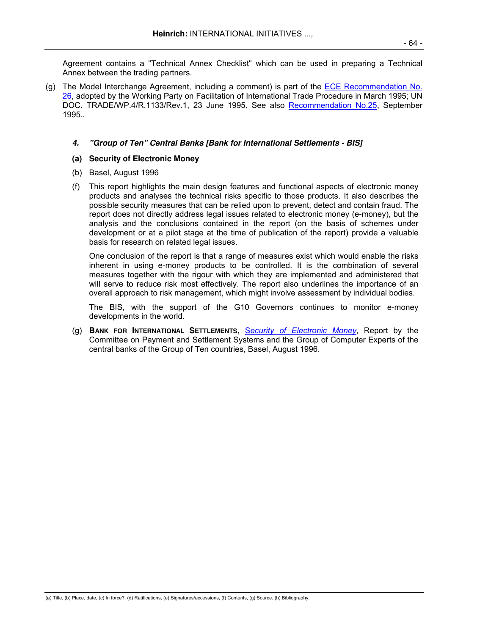Agreement contains a "Technical Annex Checklist" which can be used in preparing a Technical Annex between the trading partners.

(g) The Model Interchange Agreement, including a comment) is part of the ECE Recommendation No. 26, adopted by the Working Party on Facilitation of International Trade Procedure in March 1995; UN DOC. TRADE/WP.4/R.1133/Rev.1, 23 June 1995. See also Recommendation No.25, September 1995..

## **4. "Group of Ten" Central Banks [Bank for International Settlements - BIS]**

## **(a) Security of Electronic Money**

- (b) Basel, August 1996
- (f) This report highlights the main design features and functional aspects of electronic money products and analyses the technical risks specific to those products. It also describes the possible security measures that can be relied upon to prevent, detect and contain fraud. The report does not directly address legal issues related to electronic money (e-money), but the analysis and the conclusions contained in the report (on the basis of schemes under development or at a pilot stage at the time of publication of the report) provide a valuable basis for research on related legal issues.

 One conclusion of the report is that a range of measures exist which would enable the risks inherent in using e-money products to be controlled. It is the combination of several measures together with the rigour with which they are implemented and administered that will serve to reduce risk most effectively. The report also underlines the importance of an overall approach to risk management, which might involve assessment by individual bodies.

 The BIS, with the support of the G10 Governors continues to monitor e-money developments in the world.

(g) **BANK FOR INTERNATIONAL SETTLEMENTS,** S*ecurity of Electronic Money*, Report by the Committee on Payment and Settlement Systems and the Group of Computer Experts of the central banks of the Group of Ten countries, Basel, August 1996.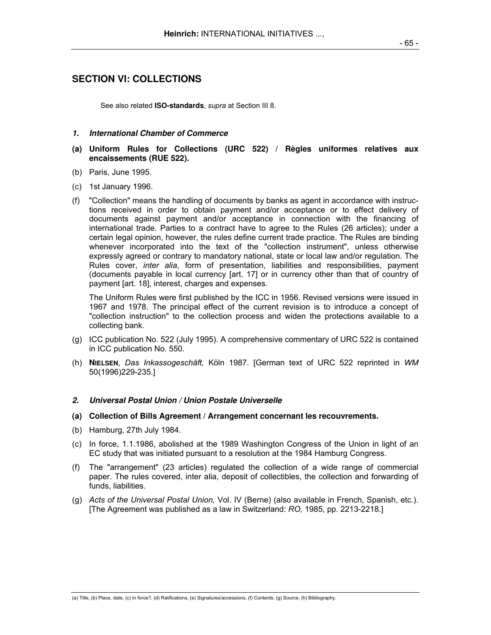# **SECTION VI: COLLECTIONS**

See also related **ISO-standards**, *supra* at Section III 8.

- **1. International Chamber of Commerce**
- **(a) Uniform Rules for Collections (URC 522) / Règles uniformes relatives aux encaissements (RUE 522).**
- (b) Paris, June 1995.
- (c) 1st January 1996.
- (f) "Collection" means the handling of documents by banks as agent in accordance with instructions received in order to obtain payment and/or acceptance or to effect delivery of documents against payment and/or acceptance in connection with the financing of international trade. Parties to a contract have to agree to the Rules (26 articles); under a certain legal opinion, however, the rules define current trade practice. The Rules are binding whenever incorporated into the text of the "collection instrument", unless otherwise expressly agreed or contrary to mandatory national, state or local law and/or regulation. The Rules cover, *inter alia*, form of presentation, liabilities and responsibilities, payment (documents payable in local currency [art. 17] or in currency other than that of country of payment [art. 18], interest, charges and expenses.

 The Uniform Rules were first published by the ICC in 1956. Revised versions were issued in 1967 and 1978. The principal effect of the current revision is to introduce a concept of "collection instruction" to the collection process and widen the protections available to a collecting bank.

- (g) ICC publication No. 522 (July 1995). A comprehensive commentary of URC 522 is contained in ICC publication No. 550.
- (h) **NIELSEN**, *Das Inkassogeschäft,* Köln 1987. [German text of URC 522 reprinted in *WM* 50(1996)229-235.]

## **2. Universal Postal Union / Union Postale Universelle**

- **(a) Collection of Bills Agreement / Arrangement concernant les recouvrements.**
- (b) Hamburg, 27th July 1984.
- (c) In force, 1.1.1986, abolished at the 1989 Washington Congress of the Union in light of an EC study that was initiated pursuant to a resolution at the 1984 Hamburg Congress.
- (f) The "arrangement" (23 articles) regulated the collection of a wide range of commercial paper. The rules covered, inter alia, deposit of collectibles, the collection and forwarding of funds, liabilities.
- (g) *Acts of the Universal Postal Union,* Vol. IV (Berne) (also available in French, Spanish, etc.). [The Agreement was published as a law in Switzerland: *RO,* 1985, pp. 2213-2218.]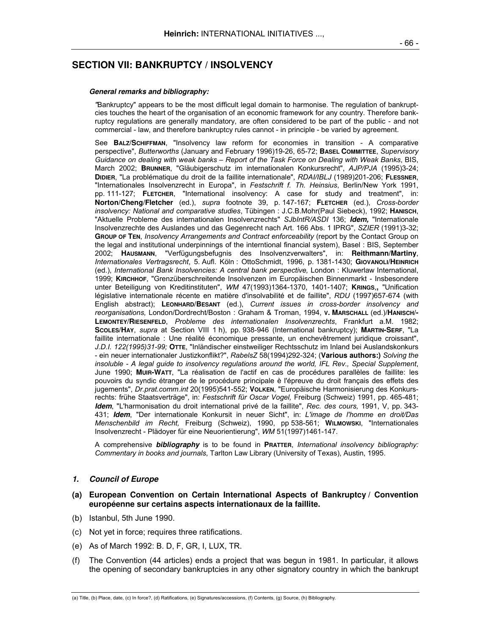# **SECTION VII: BANKRUPTCY / INSOLVENCY**

#### **General remarks and bibliography:**

 *"*Bankruptcy" appears to be the most difficult legal domain to harmonise. The regulation of bankruptcies touches the heart of the organisation of an economic framework for any country. Therefore bankruptcy regulations are generally mandatory, are often considered to be part of the public - and not commercial - law, and therefore bankruptcy rules cannot - in principle - be varied by agreement.

 See **BALZ/SCHIFFMAN**, "Insolvency law reform for economies in transition - A comparative perspective", *Butterworths* (January and February 1996)19-26, 65-72; **BASEL COMMITTEE**, *Supervisory Guidance on dealing with weak banks – Report of the Task Force on Dealing with Weak Banks*, BIS, March 2002; **BRUNNER**, "Gläubigerschutz im internationalen Konkursrecht", *AJP/PJA* (1995)3-24; **DIDIER**, "La problématique du droit de la faillite internationale", *RDAI/IBLJ* (1989)201-206; **FLESSNER**, "Internationales Insolvenzrecht in Europa", in *Festschrift f. Th. Heinsius*, Berlin/New York 1991, pp. 111-127; **FLETCHER**, "International insolvency: A case for study and treatment", in: **Norton/Cheng/Fletcher** (ed.), *supra* footnote 39, p. 147-167; **FLETCHER** (ed.), *Cross-border insolvency: National and comparative studies*, Tübingen : J.C.B.Mohr(Paul Siebeck), 1992; **HANISCH**, "Aktuelle Probleme des internationalen Insolvenzrechts" *SJbIntR/ASDI* 136; **Idem,** "Internationale Insolvenzrechte des Auslandes und das Gegenrecht nach Art. 166 Abs. 1 IPRG", *SZIER* (1991)3-32; **GROUP OF TEN**, *Insolvency Arrangements and Contract enforceability* (report by the Contact Group on the legal and institutional underpinnings of the interntional financial system), Basel : BIS, September 2002; **HAUSMANN**, "Verfügungsbefugnis des Insolvenzverwalters", in: **Reithmann/Martiny**, *Internationales Vertragsrecht*, 5. Aufl. Köln : OttoSchmidt, 1996, p. 1381-1430; **GIOVANOLI/HEINRICH**  (ed.), *International Bank Insolvencies: A central bank perspective, London : Kluwerlaw International,* 1999; **KIRCHHOF**, "Grenzüberschreitende Insolvenzen im Europäischen Binnenmarkt - Insbesondere unter Beteiligung von Kreditinstituten", *WM* 47(1993)1364-1370, 1401-1407; **KRINGS**,**,** "Unification législative internationale récente en matière d'insolvabilité et de faillite", *RDU* (1997)657-674 (with English abstract); **LEONHARD/BESANT** (ed.), *Current issues in cross-border insolvency and reorganisations,* London/Dordrecht/Boston : Graham & Troman, 1994, **V. MARSCHALL** (ed.)**/HANISCH/- LEMONTEY/RIESENFELD**, *Probleme des internationalen Insolvenzrechts*, Frankfurt a.M. 1982; **SCOLES/HAY**, *supra* at Section VIII 1 h), pp. 938-946 (International bankruptcy); **MARTIN-SERF**, "La faillite internationale : Une réalité économique pressante, un enchevêtrement juridique croissant", *J.D.I. 122(1995)31-99;* **OTTE**, "Inländischer einstweiliger Rechtsschutz im Inland bei Auslandskonkurs - ein neuer internationaler Justizkonflikt?", *RabelsZ* 58(1994)292-324; (**Various authors:)** *Solving the insoluble - A legal guide to insolvency regulations around the world, IFL Rev., Special Supplement*, June 1990; **MUIR-WATT**, "La réalisation de l'actif en cas de procédures parallèles de faillite: les pouvoirs du syndic étranger de le procédure principale è l'épreuve du droit français des effets des jugements", *Dr.prat.comm.int* 20(1995)541-552; **VOLKEN**, "Europäische Harmonisierung des Konkursrechts: frühe Staatsverträge", in: *Festschrift für Oscar Vogel,* Freiburg (Schweiz) 1991, pp. 465-481; **Idem**, "L'harmonisation du droit international privé de la faillite", *Rec. des cours,* 1991, V, pp. 343- 431; **Idem**, "Der internationale Konkursit in neuer Sicht", in: *L'image de l'homme en droit/Das Menschenbild im Recht,* Freiburg (Schweiz), 1990, pp 538-561; **WILMOWSKI**, "Internationales Insolvenzrecht - Plädoyer für eine Neuorientierung", *WM* 51(1997)1461-147.

 A comprehensive **bibliography** is to be found in **PRATTER**, *International insolvency bibliography: Commentary in books and journals*, Tarlton Law Library (University of Texas), Austin, 1995.

#### **1. Council of Europe**

## **(a) European Convention on Certain International Aspects of Bankruptcy / Convention européenne sur certains aspects internationaux de la faillite.**

- (b) Istanbul, 5th June 1990.
- (c) Not yet in force; requires three ratifications.
- (e) As of March 1992: B. D, F, GR, I, LUX, TR.
- (f) The Convention (44 articles) ends a project that was begun in 1981. In particular, it allows the opening of secondary bankruptcies in any other signatory country in which the bankrupt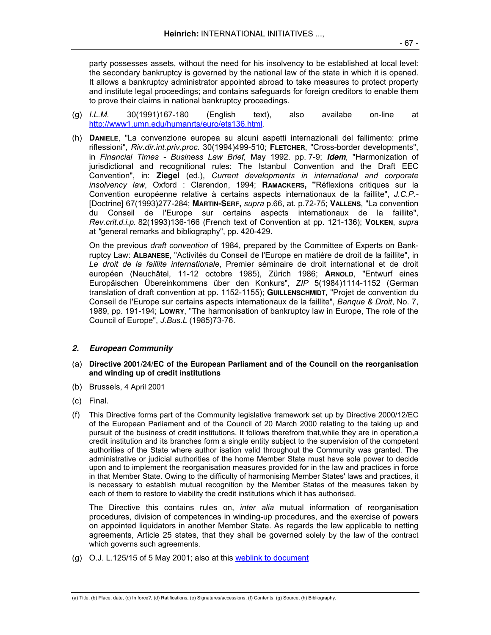party possesses assets, without the need for his insolvency to be established at local level: the secondary bankruptcy is governed by the national law of the state in which it is opened. It allows a bankruptcy administrator appointed abroad to take measures to protect property and institute legal proceedings; and contains safeguards for foreign creditors to enable them to prove their claims in national bankruptcy proceedings.

- (g) *I.L.M.* 30(1991)167-180 (English text), also availabe on-line at http://www1.umn.edu/humanrts/euro/ets136.html*.*
- (h) **DANIELE**, "La convenzione europea su alcuni aspetti internazionali del fallimento: prime riflessioni", *Riv.dir.int.priv.proc.* 30(1994)499-510; **FLETCHER**, "Cross-border developments", in *Financial Times - Business Law Brief,* May 1992. pp. 7-9; **Idem**, "Harmonization of jurisdictional and recognitional rules: The Istanbul Convention and the Draft EEC Convention", in: **Ziegel** (ed.), *Current developments in international and corporate insolvency law*, Oxford : Clarendon, 1994; **RAMACKERS, "**Réflexions critiques sur la Convention européenne relative à certains aspects internationaux de la faillite", *J.C.P.-*  [Doctrine] 67(1993)277-284; **MARTIN-SERF,** *supra* p.66, at. p.72-75; **VALLENS**, "La convention du Conseil de l'Europe sur certains aspects internationaux de la faillite", *Rev.crit.d.i.p.* 82(1993)136-166 (French text of Convention at pp. 121-136); **VOLKEN**, *supra*  at *"*general remarks and bibliography", pp. 420-429.

 On the previous *draft convention* of 1984, prepared by the Committee of Experts on Bankruptcy Law: **ALBANESE**, "Activités du Conseil de l'Europe en matière de droit de la faillite", in *Le droit de la faillite internationale*, Premier séminaire de droit international et de droit européen (Neuchâtel, 11-12 octobre 1985), Zürich 1986; **ARNOLD**, "Entwurf eines Europäischen Übereinkommens über den Konkurs", *ZIP* 5(1984)1114-1152 (German translation of draft convention at pp. 1152-1155); **GUILLENSCHMIDT**, "Projet de convention du Conseil de l'Europe sur certains aspects internationaux de la faillite", *Banque & Droit*, No. 7, 1989, pp. 191-194; **LOWRY**, "The harmonisation of bankruptcy law in Europe, The role of the Council of Europe", *J.Bus.L* (1985)73-76.

# **2. European Community**

- (a) **Directive 2001/24/EC of the European Parliament and of the Council on the reorganisation and winding up of credit institutions**
- (b) Brussels, 4 April 2001
- (c) Final.
- (f) This Directive forms part of the Community legislative framework set up by Directive 2000/12/EC of the European Parliament and of the Council of 20 March 2000 relating to the taking up and pursuit of the business of credit institutions. It follows therefrom that,while they are in operation,a credit institution and its branches form a single entity subject to the supervision of the competent authorities of the State where author isation valid throughout the Community was granted. The administrative or judicial authorities of the home Member State must have sole power to decide upon and to implement the reorganisation measures provided for in the law and practices in force in that Member State. Owing to the difficulty of harmonising Member States' laws and practices, it is necessary to establish mutual recognition by the Member States of the measures taken by each of them to restore to viability the credit institutions which it has authorised.

 The Directive this contains rules on, *inter alia* mutual information of reorganisation procedures, division of competences in winding-up procedures, and the exercise of powers on appointed liquidators in another Member State. As regards the law applicable to netting agreements, Article 25 states, that they shall be governed solely by the law of the contract which governs such agreements.

(g) O.J. L.125/15 of 5 May 2001; also at this weblink to document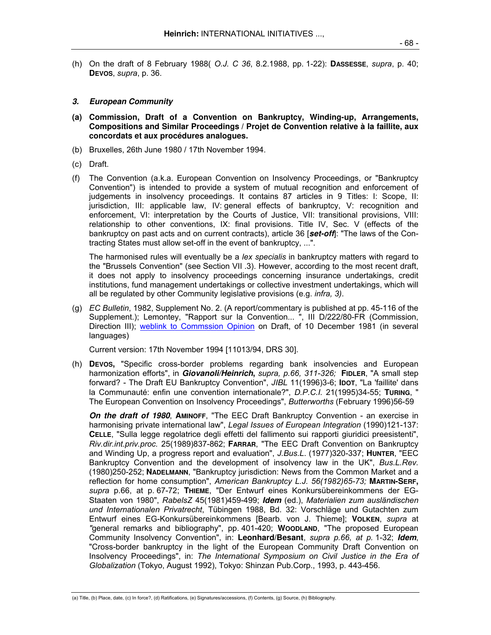(h) On the draft of 8 February 1988( *O.J. C 36*, 8.2.1988, pp. 1-22): **DASSESSE**, *supra*, p. 40; **DEVOS**, *supra*, p. 36.

## **3. European Community**

- **(a) Commission, Draft of a Convention on Bankruptcy, Winding-up, Arrangements, Compositions and Similar Proceedings / Projet de Convention relative à la faillite, aux concordats et aux procédures analogues.**
- (b) Bruxelles, 26th June 1980 / 17th November 1994.
- (c) Draft.
- (f) The Convention (a.k.a. European Convention on Insolvency Proceedings, or "Bankruptcy Convention") is intended to provide a system of mutual recognition and enforcement of judgements in insolvency proceedings. It contains 87 articles in 9 Titles: I: Scope, II: jurisdiction, III: applicable law, IV: general effects of bankruptcy, V: recognition and enforcement, VI: interpretation by the Courts of Justice, VII: transitional provisions, VIII: relationship to other conventions, IX: final provisions. Title IV, Sec. V (effects of the bankruptcy on past acts and on current contracts), article 36 [**set-off**]: "The laws of the Contracting States must allow set-off in the event of bankruptcy, ...".

 The harmonised rules will eventually be a *lex specialis* in bankruptcy matters with regard to the "Brussels Convention" (see Section VII .3). However, according to the most recent draft, it does not apply to insolvency proceedings concerning insurance undertakings, credit institutions, fund management undertakings or collective investment undertakings, which will all be regulated by other Community legislative provisions (e.g. *infra, 3)*.

(g) *EC Bulletin*, 1982, Supplement No. 2. (A report/commentary is published at pp. 45-116 of the Supplement.); Lemontey, "Rapport sur la Convention... ", III D/222/80-FR (Commission, Direction III); weblink to Commssion Opinion on Draft, of 10 December 1981 (in several languages)

Current version: 17th November 1994 [11013/94, DRS 30].

(h) **DEVOS,** "Specific cross-border problems regarding bank insolvencies and European harmonization efforts", in **Giovanoli/Heinrich,** *supra, p.66, 311-326;* **FIDLER**, "A small step forward? - The Draft EU Bankruptcy Convention", *JIBL* 11(1996)3-6; **IDOT**, "La 'faillite' dans la Communauté: enfin une convention internationale?", *D.P.C.I.* 21(1995)34-55; **TURING**, " The European Convention on Insolvency Proceedings", *Butterworths* (February 1996)56-59

 **On the draft of 1980**, **AMINOFF**, "The EEC Draft Bankruptcy Convention - an exercise in harmonising private international law", *Legal Issues of European Integration* (1990)121-137: **CELLE**, "Sulla legge regolatrice degli effetti del fallimento sui rapporti giuridici preesistenti", *Riv.dir.int.priv.proc.* 25(1989)837-862; **FARRAR**, "The EEC Draft Convention on Bankruptcy and Winding Up, a progress report and evaluation", *J.Bus.L*. (1977)320-337; **HUNTER**, "EEC Bankruptcy Convention and the development of insolvency law in the UK", *Bus.L.Rev.*  (1980)250-252; **NADELMANN**, "Bankruptcy jurisdiction: News from the Common Market and a reflection for home consumption", *American Bankruptcy L.J. 56(1982)65-73;* **MARTIN-SERF,** *supra* p.66, at p. 67-72; **THIEME**, "Der Entwurf eines Konkursübereinkommens der EG-Staaten von 1980", *RabelsZ* 45(1981)459-499; **Idem** (ed.), *Materialien zum ausländischen und Internationalen Privatrecht*, Tübingen 1988, Bd. 32: Vorschläge und Gutachten zum Entwurf eines EG-Konkursübereinkommens [Bearb. von J. Thieme]; **VOLKEN**, *supra* at *"*general remarks and bibliography", pp. 401-420; **WOODLAND**, "The proposed European Community Insolvency Convention", in: **Leonhard/Besant**, *supra p.66, at p.* 1-32; **Idem**, "Cross-border bankruptcy in the light of the European Community Draft Convention on Insolvency Proceedings", in: *The International Symposium on Civil Justice in the Era of Globalization* (Tokyo, August 1992), Tokyo: Shinzan Pub.Corp., 1993, p. 443-456.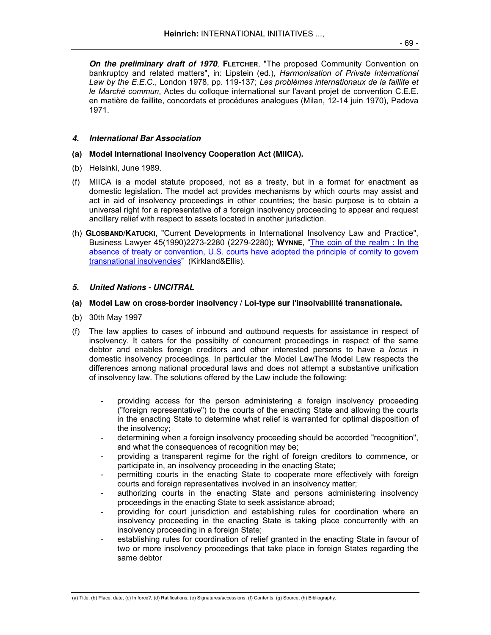**On the preliminary draft of 1970**, **FLETCHER**, "The proposed Community Convention on bankruptcy and related matters", in: Lipstein (ed.), *Harmonisation of Private International Law by the E.E.C*., London 1978, pp. 119-137; *Les problèmes internationaux de la faillite et le Marché commun*, Actes du colloque international sur l'avant projet de convention C.E.E. en matière de faillite, concordats et procédures analogues (Milan, 12-14 juin 1970), Padova 1971.

## **4. International Bar Association**

#### **(a) Model International Insolvency Cooperation Act (MIICA).**

- (b) Helsinki, June 1989.
- (f) MIICA is a model statute proposed, not as a treaty, but in a format for enactment as domestic legislation. The model act provides mechanisms by which courts may assist and act in aid of insolvency proceedings in other countries; the basic purpose is to obtain a universal right for a representative of a foreign insolvency proceeding to appear and request ancillary relief with respect to assets located in another jurisdiction.
- (h) **GLOSBAND/KATUCKI**, "Current Developments in International Insolvency Law and Practice", Business Lawyer 45(1990)2273-2280 (2279-2280); **WYNNE**, "The coin of the realm : In the absence of treaty or convention, U.S. courts have adopted the principle of comity to govern transnational insolvencies" (Kirkland&Ellis).

# **5. United Nations - UNCITRAL**

#### **(a) Model Law on cross-border insolvency / Loi-type sur l'insolvabilité transnationale.**

- (b) 30th May 1997
- (f) The law applies to cases of inbound and outbound requests for assistance in respect of insolvency. It caters for the possibilty of concurrent proceedings in respect of the same debtor and enables foreign creditors and other interested persons to have a *locus* in domestic insolvency proceedings. In particular the Model LawThe Model Law respects the differences among national procedural laws and does not attempt a substantive unification of insolvency law. The solutions offered by the Law include the following:
	- providing access for the person administering a foreign insolvency proceeding ("foreign representative") to the courts of the enacting State and allowing the courts in the enacting State to determine what relief is warranted for optimal disposition of the insolvency;
	- determining when a foreign insolvency proceeding should be accorded "recognition", and what the consequences of recognition may be:
	- providing a transparent regime for the right of foreign creditors to commence, or participate in, an insolvency proceeding in the enacting State;
	- permitting courts in the enacting State to cooperate more effectively with foreign courts and foreign representatives involved in an insolvency matter;
	- authorizing courts in the enacting State and persons administering insolvency proceedings in the enacting State to seek assistance abroad;
	- providing for court jurisdiction and establishing rules for coordination where an insolvency proceeding in the enacting State is taking place concurrently with an insolvency proceeding in a foreign State;
	- establishing rules for coordination of relief granted in the enacting State in favour of two or more insolvency proceedings that take place in foreign States regarding the same debtor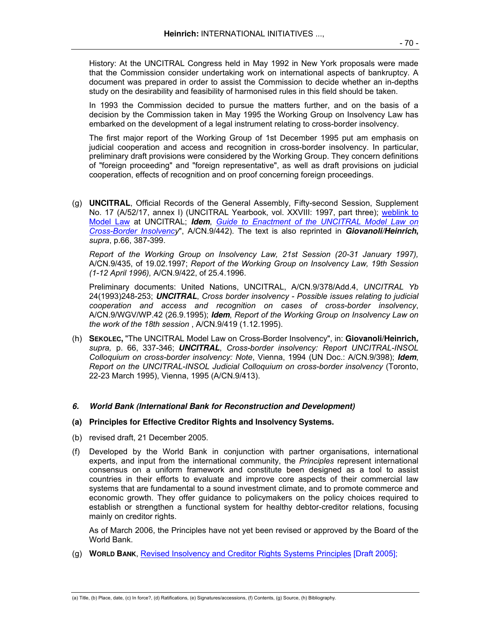History: At the UNCITRAL Congress held in May 1992 in New York proposals were made that the Commission consider undertaking work on international aspects of bankruptcy. A document was prepared in order to assist the Commission to decide whether an in-depths study on the desirability and feasibility of harmonised rules in this field should be taken.

 In 1993 the Commission decided to pursue the matters further, and on the basis of a decision by the Commission taken in May 1995 the Working Group on Insolvency Law has embarked on the development of a legal instrument relating to cross-border insolvency.

 The first major report of the Working Group of 1st December 1995 put am emphasis on judicial cooperation and access and recognition in cross-border insolvency. In particular, preliminary draft provisions were considered by the Working Group. They concern definitions of "foreign proceeding" and "foreign representative", as well as draft provisions on judicial cooperation, effects of recognition and on proof concerning foreign proceedings.

(g) **UNCITRAL**, Official Records of the General Assembly, Fifty-second Session, Supplement No. 17 (A/52/17, annex I) (UNCITRAL Yearbook, vol. XXVIII: 1997, part three); weblink to Model Law at UNCITRAL; **Idem**, *Guide to Enactment of the UNCITRAL Model Law on Cross-Border Insolvency*", A/CN.9/442). The text is also reprinted in **Giovanoli/Heinrich,**  *supra*, p.66, 387-399.

 *Report of the Working Group on Insolvency Law, 21st Session (20-31 January 1997),*  A/CN.9/435, of 19.02.1997; *Report of the Working Group on Insolvency Law, 19th Session (1-12 April 1996),* A/CN.9/422, of 25.4.1996.

 Preliminary documents: United Nations, UNCITRAL, A/CN.9/378/Add.4, *UNCITRAL Yb* 24(1993)248-253; **UNCITRAL**, *Cross border insolvency - Possible issues relating to judicial cooperation and access and recognition on cases of cross-border insolvency*, A/CN.9/WGV/WP.42 (26.9.1995); **Idem**, *Report of the Working Group on Insolvency Law on the work of the 18th session* , A/CN.9/419 (1.12.1995).

(h) **SEKOLEC,** "The UNCITRAL Model Law on Cross-Border Insolvency", in: **Giovanoli/Heinrich,**  *supra,* p. 66, 337-346; **UNCITRAL**, *Cross-border insolvency: Report UNCITRAL-INSOL Colloquium on cross-border insolvency: Note*, Vienna, 1994 (UN Doc.: A/CN.9/398); **Idem**, *Report on the UNCITRAL-INSOL Judicial Colloquium on cross-border insolvency* (Toronto, 22-23 March 1995), Vienna, 1995 (A/CN.9/413).

# **6. World Bank (International Bank for Reconstruction and Development)**

# **(a) Principles for Effective Creditor Rights and Insolvency Systems.**

- (b) revised draft, 21 December 2005.
- (f) Developed by the World Bank in conjunction with partner organisations, international experts, and input from the international community, the *Principles* represent international consensus on a uniform framework and constitute been designed as a tool to assist countries in their efforts to evaluate and improve core aspects of their commercial law systems that are fundamental to a sound investment climate, and to promote commerce and economic growth. They offer guidance to policymakers on the policy choices required to establish or strengthen a functional system for healthy debtor-creditor relations, focusing mainly on creditor rights.

 As of March 2006, the Principles have not yet been revised or approved by the Board of the World Bank.

(g) **WORLD BANK**, Revised Insolvency and Creditor Rights Systems Principles [Draft 2005];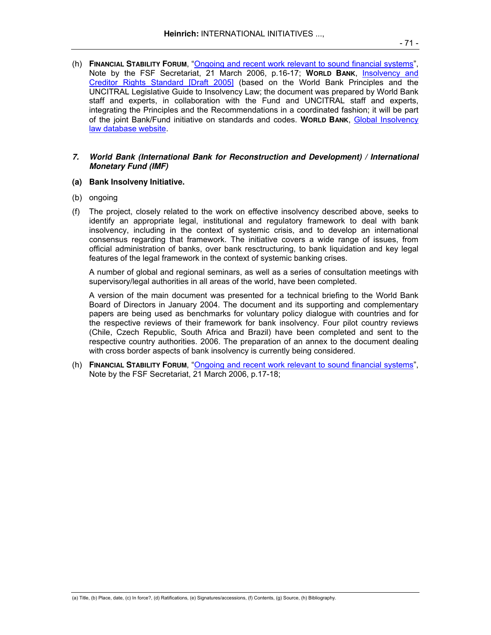(h) **FINANCIAL STABILITY FORUM**, "Ongoing and recent work relevant to sound financial systems", Note by the FSF Secretariat, 21 March 2006, p.16-17; **WORLD BANK**, Insolvency and Creditor Rights Standard [Draft 2005] (based on the World Bank Principles and the UNCITRAL Legislative Guide to Insolvency Law; the document was prepared by World Bank staff and experts, in collaboration with the Fund and UNCITRAL staff and experts, integrating the Principles and the Recommendations in a coordinated fashion; it will be part of the joint Bank/Fund initiative on standards and codes. **WORLD BANK**, Global Insolvency law database website.

#### **7. World Bank (International Bank for Reconstruction and Development) / International Monetary Fund (IMF)**

#### **(a) Bank Insolveny Initiative.**

- (b) ongoing
- (f) The project, closely related to the work on effective insolvency described above, seeks to identify an appropriate legal, institutional and regulatory framework to deal with bank insolvency, including in the context of systemic crisis, and to develop an international consensus regarding that framework. The initiative covers a wide range of issues, from official administration of banks, over bank resctructuring, to bank liquidation and key legal features of the legal framework in the context of systemic banking crises.

 A number of global and regional seminars, as well as a series of consultation meetings with supervisory/legal authorities in all areas of the world, have been completed.

 A version of the main document was presented for a technical briefing to the World Bank Board of Directors in January 2004. The document and its supporting and complementary papers are being used as benchmarks for voluntary policy dialogue with countries and for the respective reviews of their framework for bank insolvency. Four pilot country reviews (Chile, Czech Republic, South Africa and Brazil) have been completed and sent to the respective country authorities. 2006. The preparation of an annex to the document dealing with cross border aspects of bank insolvency is currently being considered.

(h) **FINANCIAL STABILITY FORUM**, "Ongoing and recent work relevant to sound financial systems", Note by the FSF Secretariat, 21 March 2006, p.17-18;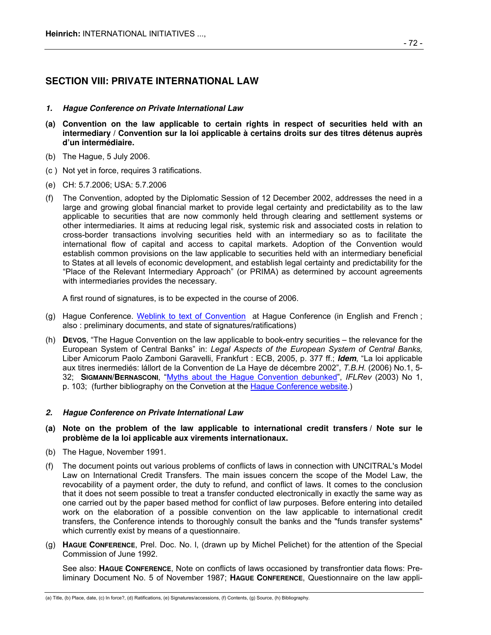# **SECTION VIII: PRIVATE INTERNATIONAL LAW**

- **1. Hague Conference on Private International Law**
- **(a) Convention on the law applicable to certain rights in respect of securities held with an intermediary / Convention sur la loi applicable à certains droits sur des titres détenus auprès d'un intermédiaire.**
- (b) The Hague, 5 July 2006.
- (c ) Not yet in force, requires 3 ratifications.
- (e) CH: 5.7.2006; USA: 5.7.2006
- (f) The Convention, adopted by the Diplomatic Session of 12 December 2002, addresses the need in a large and growing global financial market to provide legal certainty and predictability as to the law applicable to securities that are now commonly held through clearing and settlement systems or other intermediaries. It aims at reducing legal risk, systemic risk and associated costs in relation to cross-border transactions involving securities held with an intermediary so as to facilitate the international flow of capital and access to capital markets. Adoption of the Convention would establish common provisions on the law applicable to securities held with an intermediary beneficial to States at all levels of economic development, and establish legal certainty and predictability for the "Place of the Relevant Intermediary Approach" (or PRIMA) as determined by account agreements with intermediaries provides the necessary.

A first round of signatures, is to be expected in the course of 2006.

- (g) Hague Conference. Weblink to text of Convention at Hague Conference (in English and French ; also : preliminary documents, and state of signatures/ratifications)
- (h) **DEVOS**, "The Hague Convention on the law applicable to book-entry securities the relevance for the European System of Central Banks" in: *Legal Aspects of the European System of Central Banks,*  Liber Amicorum Paolo Zamboni Garavelli, Frankfurt : ECB, 2005, p. 377 ff.; **Idem**, "La loi applicable aux titres inermediés: lállort de la Convention de La Haye de décembre 2002", *T.B.H.* (2006) No.1, 5- 32; **SIGMANN/BERNASCONI**, "Myths about the Hague Convention debunked", *IFLRev* (2003) No 1, p. 103; (further bibliography on the Convetion at the Hague Conference website.)

# **2. Hague Conference on Private International Law**

- **(a) Note on the problem of the law applicable to international credit transfers / Note sur le problème de la loi applicable aux virements internationaux.**
- (b) The Hague, November 1991.
- (f) The document points out various problems of conflicts of laws in connection with UNCITRAL's Model Law on International Credit Transfers. The main issues concern the scope of the Model Law, the revocability of a payment order, the duty to refund, and conflict of laws. It comes to the conclusion that it does not seem possible to treat a transfer conducted electronically in exactly the same way as one carried out by the paper based method for conflict of law purposes. Before entering into detailed work on the elaboration of a possible convention on the law applicable to international credit transfers, the Conference intends to thoroughly consult the banks and the "funds transfer systems" which currently exist by means of a questionnaire.
- (g) **HAGUE CONFERENCE**, Prel. Doc. No. l, (drawn up by Michel Pelichet) for the attention of the Special Commission of June 1992.

 See also: **HAGUE CONFERENCE**, Note on conflicts of laws occasioned by transfrontier data flows: Preliminary Document No. 5 of November 1987; **HAGUE CONFERENCE**, Questionnaire on the law appli-

<sup>(</sup>a) Title, (b) Place, date, (c) In force?, (d) Ratifications, (e) Signatures/accessions, (f) Contents, (g) Source, (h) Bibliography.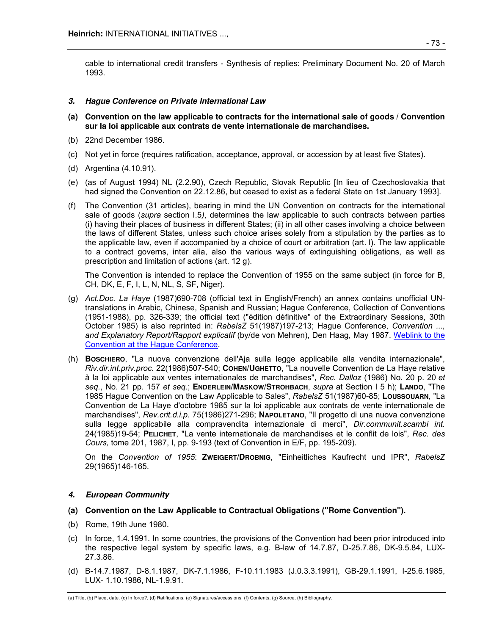cable to international credit transfers - Synthesis of replies: Preliminary Document No. 20 of March 1993.

# **3. Hague Conference on Private International Law**

- **(a) Convention on the law applicable to contracts for the international sale of goods / Convention sur la loi applicable aux contrats de vente internationale de marchandises.**
- (b) 22nd December 1986.
- (c) Not yet in force (requires ratification, acceptance, approval, or accession by at least five States).
- (d) Argentina (4.10.91).
- (e) (as of August 1994) NL (2.2.90), Czech Republic, Slovak Republic [In lieu of Czechoslovakia that had signed the Convention on 22.12.86, but ceased to exist as a federal State on 1st January 1993].
- (f) The Convention (31 articles), bearing in mind the UN Convention on contracts for the international sale of goods (*supra* section I.5*)*, determines the law applicable to such contracts between parties (i) having their places of business in different States; (ii) in all other cases involving a choice between the laws of different States, unless such choice arises solely from a stipulation by the parties as to the applicable law, even if accompanied by a choice of court or arbitration (art. l). The law applicable to a contract governs, inter alia, also the various ways of extinguishing obligations, as well as prescription and limitation of actions (art. 12 g).

 The Convention is intended to replace the Convention of 1955 on the same subject (in force for B, CH, DK, E, F, I, L, N, NL, S, SF, Niger).

- (g) *Act.Doc. La Haye* (1987)690-708 (official text in English/French) an annex contains unofficial UNtranslations in Arabic, Chinese, Spanish and Russian; Hague Conference, Collection of Conventions (1951-1988), pp. 326-339; the official text ("édition définitive" of the Extraordinary Sessions, 30th October 1985) is also reprinted in: *RabelsZ* 51(1987)197-213; Hague Conference, *Convention ..., and Explanatory Report/Rapport explicatif* (by/de von Mehren), Den Haag, May 1987. Weblink to the Convention at the Hague Conference.
- (h) **BOSCHIERO**, "La nuova convenzione dell'Aja sulla legge applicabile alla vendita internazionale", *Riv.dir.int.priv.proc.* 22(1986)507-540; **COHEN/UGHETTO**, "La nouvelle Convention de La Haye relative à la loi applicable aux ventes internationales de marchandises", *Rec. Dalloz* (1986) No. 20 p. 20 *et seq.*, No. 21 pp. 157 *et seq.*; **ENDERLEIN/MASKOW/STROHBACH**, *supra* at Section I 5 h); **LANDO**, "The 1985 Hague Convention on the Law Applicable to Sales", *RabelsZ* 51(1987)60-85; **LOUSSOUARN**, "La Convention de La Haye d'octobre 1985 sur la loi applicable aux contrats de vente internationale de marchandises", *Rev.crit.d.i.p.* 75(1986)271-296; **NAPOLETANO**, "Il progetto di una nuova convenzione sulla legge applicabile alla compravendita internazionale di merci", *Dir.communit.scambi int.*  24(1985)19-54; **PELICHET**, "La vente internationale de marchandises et le conflit de lois", *Rec. des Cours,* tome 201, 1987, I, pp. 9-193 (text of Convention in E/F, pp. 195-209).

 On the *Convention of 1955*: **ZWEIGERT/DROBNIG**, "Einheitliches Kaufrecht und IPR", *RabelsZ*  29(1965)146-165.

# **4. European Community**

# **(a) Convention on the Law Applicable to Contractual Obligations ("Rome Convention").**

- (b) Rome, 19th June 1980.
- (c) In force, 1.4.1991. In some countries, the provisions of the Convention had been prior introduced into the respective legal system by specific laws, e.g. B-law of 14.7.87, D-25.7.86, DK-9.5.84, LUX-27.3.86.
- (d) B-14.7.1987, D-8.1.1987, DK-7.1.1986, F-10.11.1983 (J.0.3.3.1991), GB-29.1.1991, I-25.6.1985, LUX- 1.10.1986, NL-1.9.91.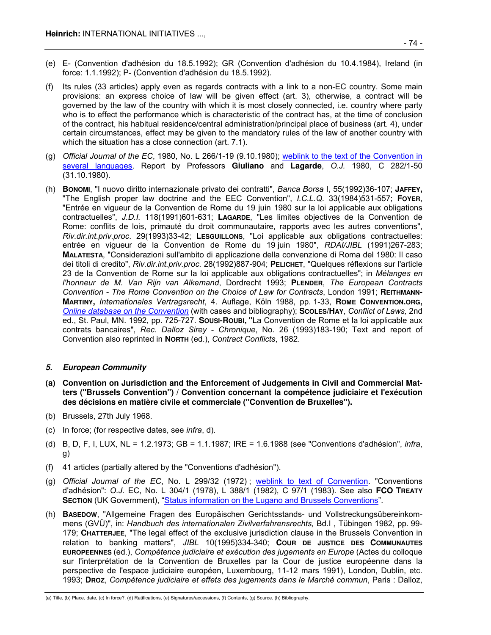- (e) E- (Convention d'adhésion du 18.5.1992); GR (Convention d'adhésion du 10.4.1984), Ireland (in force: 1.1.1992); P- (Convention d'adhésion du 18.5.1992).
- (f) Its rules (33 articles) apply even as regards contracts with a link to a non-EC country. Some main provisions: an express choice of law will be given effect (art. 3), otherwise, a contract will be governed by the law of the country with which it is most closely connected, i.e. country where party who is to effect the performance which is characteristic of the contract has, at the time of conclusion of the contract, his habitual residence/central administration/principal place of business (art. 4), under certain circumstances, effect may be given to the mandatory rules of the law of another country with which the situation has a close connection (art. 7.1).
- (g) *Official Journal of the EC*, 1980, No. L 266/1-19 (9.10.1980); weblink to the text of the Convention in several languages. Report by Professors **Giuliano** and **Lagarde**, *O.J.* 1980, C 282/1-50 (31.10.1980).
- (h) **BONOMI**, "I nuovo diritto internazionale privato dei contratti", *Banca Borsa* I, 55(1992)36-107; **JAFFEY,** "The English proper law doctrine and the EEC Convention", *I.C.L.Q.* 33(1984)531-557; **FOYER**, "Entrée en vigueur de la Convention de Rome du 19 juin 1980 sur la loi applicable aux obligations contractuelles", *J.D.I.* 118(1991)601-631; **LAGARDE**, "Les limites objectives de la Convention de Rome: conflits de lois, primauté du droit communautaire, rapports avec les autres conventions", *Riv.dir.int.priv.proc*. 29(1993)33-42; **LESGUILLONS**, "Loi applicable aux obligations contractuelles: entrée en vigueur de la Convention de Rome du 19 juin 1980", *RDAI/JIBL* (1991)267-283; **MALATESTA**, "Considerazioni sull'ambito di applicazione della convenzione di Roma del 1980: Il caso dei titoli di credito", *Riv.dir.int.priv.proc.* 28(1992)887-904; **PELICHET**, "Quelques réflexions sur l'article 23 de la Convention de Rome sur la loi applicable aux obligations contractuelles"; in *Mélanges en l'honneur de M. Van Rijn van Alkemand*, Dordrecht 1993; **PLENDER**, *The European Contracts Convention - The Rome Convention on the Choice of Law for Contracts*, London 1991; **REITHMANN-MARTINY,** *Internationales Vertragsrecht*, 4. Auflage, Köln 1988, pp. 1-33, **ROME CONVENTION.ORG,** *Online database on the Convention* (with cases and bibliography); **SCOLES/HAY**, *Conflict of Laws,* 2nd ed., St. Paul, MN. 1992, pp. 725-727. **SOUSI-ROUBI, "**La Convention de Rome et la loi applicable aux contrats bancaires", *Rec. Dalloz Sirey - Chronique*, No. 26 (1993)183-190; Text and report of Convention also reprinted in **NORTH** (ed.), *Contract Conflicts*, 1982.

# **5. European Community**

- **(a) Convention on Jurisdiction and the Enforcement of Judgements in Civil and Commercial Matters ("Brussels Convention") / Convention concernant la compétence judiciaire et l'exécution des décisions en matière civile et commerciale ("Convention de Bruxelles").**
- (b) Brussels, 27th July 1968.
- (c) In force; (for respective dates, see *infra*, d).
- (d) B, D, F, I, LUX, NL = 1.2.1973; GB = 1.1.1987; IRE = 1.6.1988 (see "Conventions d'adhésion", *infra*, g)
- (f) 41 articles (partially altered by the "Conventions d'adhésion").
- (g) *Official Journal of the EC*, No. L 299/32 (1972) ; weblink to text of Convention. "Conventions d'adhésion": *O.J.* EC, No. L 304/1 (1978), L 388/1 (1982), C 97/1 (1983). See also **FCO TREATY SECTION** (UK Government), "Status information on the Lugano and Brussels Conventions".
- (h) **BASEDOW**, "Allgemeine Fragen des Europäischen Gerichtsstands- und Vollstreckungsübereinkommens (GVÜ)", in: *Handbuch des internationalen Zivilverfahrensrechts,* Bd.I , Tübingen 1982, pp. 99- 179; **CHATTERJEE**, "The legal effect of the exclusive jurisdiction clause in the Brussels Convention in relation to banking matters", *JIBL* 10(1995)334-340; **COUR DE JUSTICE DES COMMUNAUTES EUROPEENNES** (ed.), *Compétence judiciaire et exécution des jugements en Europe* (Actes du colloque sur l'interprétation de la Convention de Bruxelles par la Cour de justice européenne dans la perspective de l'espace judiciaire européen, Luxembourg, 11-12 mars 1991), London, Dublin, etc. 1993; **DROZ**, *Compétence judiciaire et effets des jugements dans le Marché commun*, Paris : Dalloz,

(a) Title, (b) Place, date, (c) In force?, (d) Ratifications, (e) Signatures/accessions, (f) Contents, (g) Source, (h) Bibliography.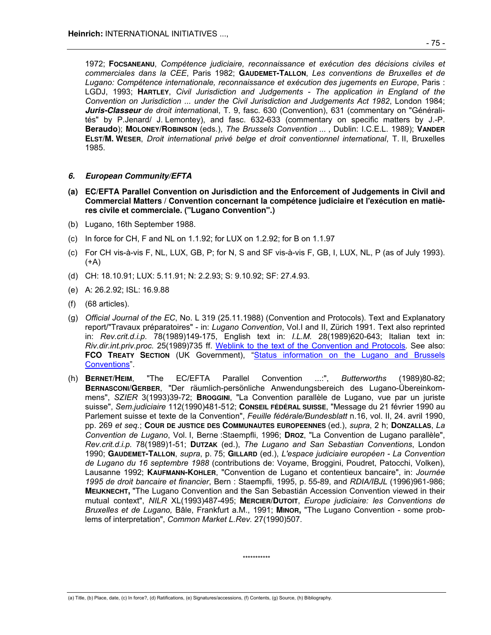1972; **FOCSANEANU**, *Compétence judiciaire, reconnaissance et exécution des décisions civiles et commerciales dans la CEE*, Paris 1982; **GAUDEMET-TALLON**, *Les conventions de Bruxelles et de Lugano: Compétence internationale, reconnaissance et exécution des jugements en Europe*, Paris : LGDJ, 1993; **HARTLEY**, *Civil Jurisdiction and Judgements - The application in England of the Convention on Jurisdiction ... under the Civil Jurisdiction and Judgements Act 1982*, London 1984; **Juris-Classeur** *de droit internationa*l, T. 9, fasc. 630 (Convention), 631 (commentary on "Généralités" by P.Jenard/ J. Lemontey), and fasc. 632-633 (commentary on specific matters by J.-P. **Beraudo**); **MOLONEY/ROBINSON** (eds.), *The Brussels Convention ...* , Dublin: I.C.E.L. 1989); **VANDER ELST/M. WESER**, *Droit international privé belge et droit conventionnel international*, T. II, Bruxelles 1985.

# **6. European Community/EFTA**

- **(a) EC/EFTA Parallel Convention on Jurisdiction and the Enforcement of Judgements in Civil and Commercial Matters / Convention concernant la compétence judiciaire et l'exécution en matières civile et commerciale. ("Lugano Convention".)**
- (b) Lugano, 16th September 1988.
- (c) In force for CH, F and NL on 1.1.92; for LUX on 1.2.92; for B on 1.1.97
- (c) For CH vis-à-vis F, NL, LUX, GB, P; for N, S and SF vis-à-vis F, GB, I, LUX, NL, P (as of July 1993). (+A)
- (d) CH: 18.10.91; LUX: 5.11.91; N: 2.2.93; S: 9.10.92; SF: 27.4.93.
- (e) A: 26.2.92; ISL: 16.9.88
- (f) (68 articles).
- (g) *Official Journal of the EC*, No. L 319 (25.11.1988) (Convention and Protocols). Text and Explanatory report/"Travaux préparatoires" - in: *Lugano Convention*, Vol.I and II, Zürich 1991. Text also reprinted in: *Rev.crit.d.i.p.* 78(1989)149-175, English text in: *I.L.M.* 28(1989)620-643; Italian text in: *Riv.dir.int.priv.proc.* 25(1989)735 ff. Weblink to the text of the Convention and Protocols*.* See also: **FCO TREATY SECTION** (UK Government), "Status information on the Lugano and Brussels Conventions".
- (h) **BERNET/HEIM**, "The EC/EFTA Parallel Convention ...:", *Butterworths* (1989)80-82; **BERNASCONI/GERBER**, "Der räumlich-persönliche Anwendungsbereich des Lugano-Übereinkommens", *SZIER* 3(1993)39-72; **BROGGINI**, "La Convention parallèle de Lugano, vue par un juriste suisse", *Sem.judiciaire* 112(1990)481-512; **CONSEIL FÉDÉRAL SUISSE**, "Message du 21 février 1990 au Parlement suisse et texte de la Convention", *Feuille fédérale/Bundesblatt* n.16, vol. II, 24. avril 1990, pp. 269 *et seq.*; **COUR DE JUSTICE DES COMMUNAUTES EUROPEENNES** (ed.), *supra*, 2 h; **DONZALLAS**, *La Convention de Lugano*, Vol. I, Berne :Staempfli, 1996; **DROZ**, "La Convention de Lugano parallèle", *Rev.crit.d.i.p.* 78(1989)1-51; **DUTZAK** (ed.), *The Lugano and San Sebastian Conventions*, London 1990; **GAUDEMET-TALLON**, *supra*, p. 75; **GILLARD** (ed.), *L'espace judiciaire européen - La Convention de Lugano du 16 septembre 1988* (contributions de: Voyame, Broggini, Poudret, Patocchi, Volken), Lausanne 1992; **KAUFMANN-KOHLER**, "Convention de Lugano et contentieux bancaire", in: *Journée 1995 de droit bancaire et financier*, Bern : Staempfli, 1995, p. 55-89, and *RDIA/IBJL* (1996)961-986; **MEIJKNECHT,** "The Lugano Convention and the San Sebastián Accession Convention viewed in their mutual context", *NILR* XL(1993)487-495; **MERCIER/DUTOIT**, *Europe judiciaire: les Conventions de Bruxelles et de Lugano,* Bâle, Frankfurt a.M., 1991; **MINOR,** "The Lugano Convention - some problems of interpretation", *Common Market L.Rev.* 27(1990)507.

\*\*\*\*\*\*\*\*\*\*\*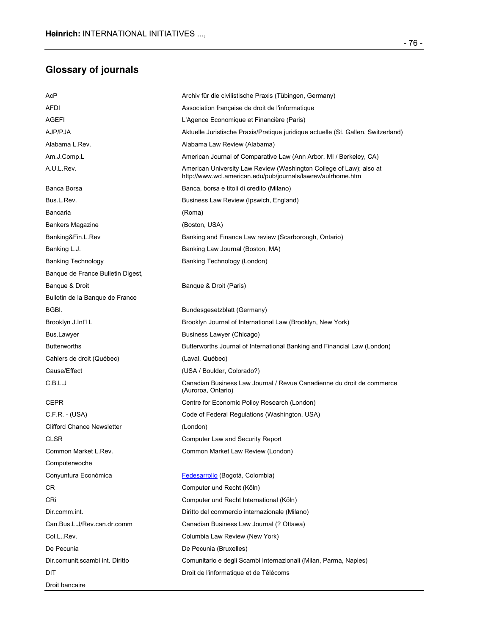# **Glossary of journals**

| AcP                               | Archiv für die civilistische Praxis (Tübingen, Germany)                                                                             |
|-----------------------------------|-------------------------------------------------------------------------------------------------------------------------------------|
| AFDI                              | Association française de droit de l'informatique                                                                                    |
| <b>AGEFI</b>                      | L'Agence Economique et Financière (Paris)                                                                                           |
| AJP/PJA                           | Aktuelle Juristische Praxis/Pratique juridique actuelle (St. Gallen, Switzerland)                                                   |
| Alabama L.Rev.                    | Alabama Law Review (Alabama)                                                                                                        |
| Am.J.Comp.L                       | American Journal of Comparative Law (Ann Arbor, MI / Berkeley, CA)                                                                  |
| A.U.L.Rev.                        | American University Law Review (Washington College of Law); also at<br>http://www.wcl.american.edu/pub/journals/lawrev/aulrhome.htm |
| Banca Borsa                       | Banca, borsa e titoli di credito (Milano)                                                                                           |
| Bus.L.Rev.                        | Business Law Review (Ipswich, England)                                                                                              |
| Bancaria                          | (Roma)                                                                                                                              |
| Bankers Magazine                  | (Boston, USA)                                                                                                                       |
| Banking&Fin.L.Rev                 | Banking and Finance Law review (Scarborough, Ontario)                                                                               |
| Banking L.J.                      | Banking Law Journal (Boston, MA)                                                                                                    |
| <b>Banking Technology</b>         | Banking Technology (London)                                                                                                         |
| Banque de France Bulletin Digest, |                                                                                                                                     |
| Banque & Droit                    | Banque & Droit (Paris)                                                                                                              |
| Bulletin de la Banque de France   |                                                                                                                                     |
| BGBI.                             | Bundesgesetzblatt (Germany)                                                                                                         |
| Brooklyn J.Int'l L                | Brooklyn Journal of International Law (Brooklyn, New York)                                                                          |
| Bus.Lawyer                        | Business Lawyer (Chicago)                                                                                                           |
| <b>Butterworths</b>               | Butterworths Journal of International Banking and Financial Law (London)                                                            |
| Cahiers de droit (Québec)         | (Laval, Québec)                                                                                                                     |
| Cause/Effect                      | (USA / Boulder, Colorado?)                                                                                                          |
| C.B.L.J                           | Canadian Business Law Journal / Revue Canadienne du droit de commerce<br>(Auroroa, Ontario)                                         |
| CEPR                              | Centre for Economic Policy Research (London)                                                                                        |
| $C.F.R. - (USA)$                  | Code of Federal Regulations (Washington, USA)                                                                                       |
| <b>Clifford Chance Newsletter</b> | (London)                                                                                                                            |
| CLSR                              | Computer Law and Security Report                                                                                                    |
| Common Market L.Rev.              | Common Market Law Review (London)                                                                                                   |
| Computerwoche                     |                                                                                                                                     |
| Conyuntura Económica              | Fedesarrollo (Bogotá, Colombia)                                                                                                     |
| CR                                | Computer und Recht (Köln)                                                                                                           |
| CRi                               | Computer und Recht International (Köln)                                                                                             |
| Dir.comm.int.                     | Diritto del commercio internazionale (Milano)                                                                                       |
| Can.Bus.L.J/Rev.can.dr.comm       | Canadian Business Law Journal (? Ottawa)                                                                                            |
| Col.L. Rev.                       | Columbia Law Review (New York)                                                                                                      |
| De Pecunia                        | De Pecunia (Bruxelles)                                                                                                              |
| Dir.comunit.scambi int. Diritto   | Comunitario e degli Scambi Internazionali (Milan, Parma, Naples)                                                                    |
| DIT                               | Droit de l'informatique et de Télécoms                                                                                              |
| Droit bancaire                    |                                                                                                                                     |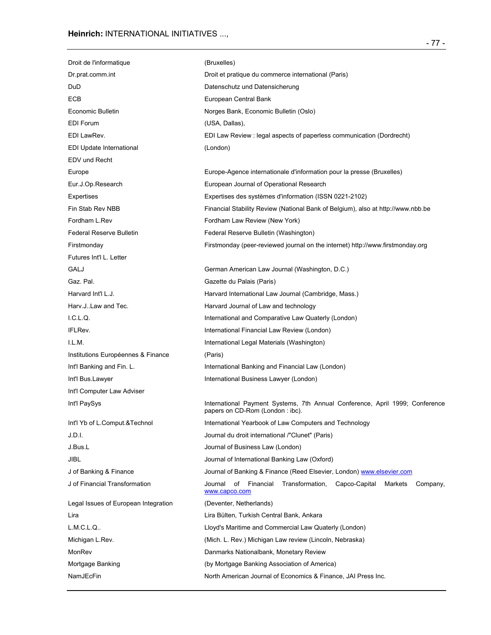| Droit de l'informatique              | (Bruxelles)                                                                                                     |
|--------------------------------------|-----------------------------------------------------------------------------------------------------------------|
| Dr.prat.comm.int                     | Droit et pratique du commerce international (Paris)                                                             |
| DuD                                  | Datenschutz und Datensicherung                                                                                  |
| <b>ECB</b>                           | European Central Bank                                                                                           |
| Economic Bulletin                    | Norges Bank, Economic Bulletin (Oslo)                                                                           |
| <b>EDI Forum</b>                     | (USA, Dallas),                                                                                                  |
| EDI LawRev.                          | EDI Law Review : legal aspects of paperless communication (Dordrecht)                                           |
| EDI Update International             | (London)                                                                                                        |
| EDV und Recht                        |                                                                                                                 |
| Europe                               | Europe-Agence internationale d'information pour la presse (Bruxelles)                                           |
| Eur.J.Op.Research                    | European Journal of Operational Research                                                                        |
| Expertises                           | Expertises des systèmes d'information (ISSN 0221-2102)                                                          |
| Fin Stab Rev NBB                     | Financial Stability Review (National Bank of Belgium), also at http://www.nbb.be                                |
| Fordham L.Rev                        | Fordham Law Review (New York)                                                                                   |
| <b>Federal Reserve Bulletin</b>      | Federal Reserve Bulletin (Washington)                                                                           |
| Firstmonday                          | Firstmonday (peer-reviewed journal on the internet) http://www.firstmonday.org                                  |
| Futures Int'l L. Letter              |                                                                                                                 |
| GALJ                                 | German American Law Journal (Washington, D.C.)                                                                  |
| Gaz. Pal.                            | Gazette du Palais (Paris)                                                                                       |
| Harvard Int'l L.J.                   | Harvard International Law Journal (Cambridge, Mass.)                                                            |
| Harv.J. Law and Tec.                 | Harvard Journal of Law and technology                                                                           |
| I.C.L.Q.                             | International and Comparative Law Quaterly (London)                                                             |
| IFLRev.                              | International Financial Law Review (London)                                                                     |
| I.L.M.                               | International Legal Materials (Washington)                                                                      |
| Institutions Européennes & Finance   | (Paris)                                                                                                         |
| Int'l Banking and Fin. L.            | International Banking and Financial Law (London)                                                                |
| Int'l Bus.Lawyer                     | International Business Lawyer (London)                                                                          |
| Int'l Computer Law Adviser           |                                                                                                                 |
| Int'l PaySys                         | International Payment Systems, 7th Annual Conference, April 1999; Conference<br>papers on CD-Rom (London: ibc). |
| Int'l Yb of L.Comput.&Technol        | International Yearbook of Law Computers and Technology                                                          |
| J.D.I.                               | Journal du droit international /"Clunet" (Paris)                                                                |
| J.Bus.L                              | Journal of Business Law (London)                                                                                |
| JIBL                                 | Journal of International Banking Law (Oxford)                                                                   |
| J of Banking & Finance               | Journal of Banking & Finance (Reed Elsevier, London) www.elsevier.com                                           |
| J of Financial Transformation        | of<br>Financial<br>Transformation,<br>Capco-Capital<br>Journal<br>Markets<br>Company,<br>www.capco.com          |
| Legal Issues of European Integration | (Deventer, Netherlands)                                                                                         |
| Lira                                 | Lira Bülten, Turkish Central Bank, Ankara                                                                       |
| L.M.C.L.Q                            | Lloyd's Maritime and Commercial Law Quaterly (London)                                                           |
| Michigan L.Rev.                      | (Mich. L. Rev.) Michigan Law review (Lincoln, Nebraska)                                                         |
| MonRev                               | Danmarks Nationalbank, Monetary Review                                                                          |
| Mortgage Banking                     | (by Mortgage Banking Association of America)                                                                    |
| NamJEcFin                            | North American Journal of Economics & Finance, JAI Press Inc.                                                   |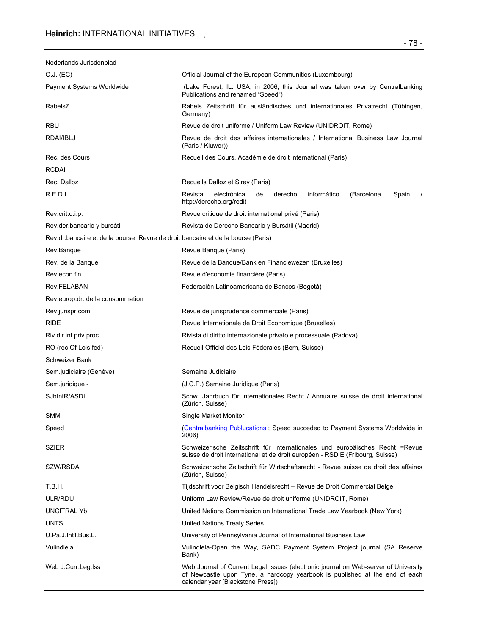| Nederlands Jurisdenblad                                                         |                                                                                                                                                                                                         |  |
|---------------------------------------------------------------------------------|---------------------------------------------------------------------------------------------------------------------------------------------------------------------------------------------------------|--|
| O.J. (EC)                                                                       | Official Journal of the European Communities (Luxembourg)                                                                                                                                               |  |
| Payment Systems Worldwide                                                       | (Lake Forest, IL. USA; in 2006, this Journal was taken over by Centralbanking<br>Publications and renamed "Speed")                                                                                      |  |
| RabelsZ                                                                         | Rabels Zeitschrift für ausländisches und internationales Privatrecht (Tübingen,<br>Germany)                                                                                                             |  |
| RBU                                                                             | Revue de droit uniforme / Uniform Law Review (UNIDROIT, Rome)                                                                                                                                           |  |
| RDAI/IBLJ                                                                       | Revue de droit des affaires internationales / International Business Law Journal<br>(Paris / Kluwer))                                                                                                   |  |
| Rec. des Cours                                                                  | Recueil des Cours. Académie de droit international (Paris)                                                                                                                                              |  |
| <b>RCDAI</b>                                                                    |                                                                                                                                                                                                         |  |
| Rec. Dalloz                                                                     | Recueils Dalloz et Sirey (Paris)                                                                                                                                                                        |  |
| R.E.D.I.                                                                        | informático<br>Revista<br>electrónica<br>de<br>derecho<br>(Barcelona,<br>Spain<br>http://derecho.org/redi)                                                                                              |  |
| Rev.crit.d.i.p.                                                                 | Revue critique de droit international privé (Paris)                                                                                                                                                     |  |
| Rev.der.bancario y bursátil                                                     | Revista de Derecho Bancario y Bursátil (Madrid)                                                                                                                                                         |  |
| Rev.dr.bancaire et de la bourse Revue de droit bancaire et de la bourse (Paris) |                                                                                                                                                                                                         |  |
| Rev.Banque                                                                      | Revue Banque (Paris)                                                                                                                                                                                    |  |
| Rev. de la Banque                                                               | Revue de la Banque/Bank en Financiewezen (Bruxelles)                                                                                                                                                    |  |
| Rev.econ.fin.                                                                   | Revue d'economie financière (Paris)                                                                                                                                                                     |  |
| Rev.FELABAN                                                                     | Federación Latinoamericana de Bancos (Bogotá)                                                                                                                                                           |  |
| Rev.europ.dr. de la consommation                                                |                                                                                                                                                                                                         |  |
| Rev.jurispr.com                                                                 | Revue de jurisprudence commerciale (Paris)                                                                                                                                                              |  |
| RIDE                                                                            | Revue Internationale de Droit Economique (Bruxelles)                                                                                                                                                    |  |
| Riv.dir.int.priv.proc.                                                          | Rivista di diritto internazionale privato e processuale (Padova)                                                                                                                                        |  |
| RO (rec Of Lois fed)                                                            | Recueil Officiel des Lois Fédérales (Bern, Suisse)                                                                                                                                                      |  |
| Schweizer Bank                                                                  |                                                                                                                                                                                                         |  |
| Sem.judiciaire (Genève)                                                         | Semaine Judiciaire                                                                                                                                                                                      |  |
| Sem.juridique -                                                                 | (J.C.P.) Semaine Juridique (Paris)                                                                                                                                                                      |  |
| SJbIntR/ASDI                                                                    | Schw. Jahrbuch für internationales Recht / Annuaire suisse de droit international<br>(Zürich, Suisse)                                                                                                   |  |
| SMM                                                                             | Single Market Monitor                                                                                                                                                                                   |  |
| Speed                                                                           | (Centralbanking Publucations: Speed succeded to Payment Systems Worldwide in<br>2006)                                                                                                                   |  |
| <b>SZIER</b>                                                                    | Schweizerische Zeitschrift für internationales und europäisches Recht =Revue<br>suisse de droit international et de droit européen - RSDIE (Fribourg, Suisse)                                           |  |
| SZW/RSDA                                                                        | Schweizerische Zeitschrift für Wirtschaftsrecht - Revue suisse de droit des affaires<br>(Zürich, Suisse)                                                                                                |  |
| T.B.H.                                                                          | Tijdschrift voor Belgisch Handelsrecht - Revue de Droit Commercial Belge                                                                                                                                |  |
| ULR/RDU                                                                         | Uniform Law Review/Revue de droit uniforme (UNIDROIT, Rome)                                                                                                                                             |  |
| UNCITRAL Yb                                                                     | United Nations Commission on International Trade Law Yearbook (New York)                                                                                                                                |  |
| UNTS                                                                            | United Nations Treaty Series                                                                                                                                                                            |  |
| U.Pa.J.Int'l.Bus.L.                                                             | University of Pennsylvania Journal of International Business Law                                                                                                                                        |  |
| Vulindlela                                                                      | Vulindlela-Open the Way, SADC Payment System Project journal (SA Reserve<br>Bank)                                                                                                                       |  |
| Web J.Curr.Leg.Iss                                                              | Web Journal of Current Legal Issues (electronic journal on Web-server of University<br>of Newcastle upon Tyne, a hardcopy yearbook is published at the end of each<br>calendar year [Blackstone Press]) |  |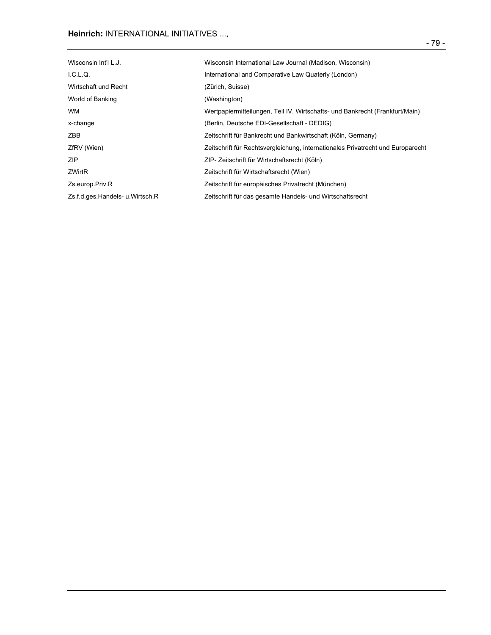# **Heinrich:** INTERNATIONAL INITIATIVES ...,

| Wisconsin Int'l L.J.            | Wisconsin International Law Journal (Madison, Wisconsin)                        |
|---------------------------------|---------------------------------------------------------------------------------|
| $LCLQ$ .                        | International and Comparative Law Quaterly (London)                             |
| Wirtschaft und Recht            | (Zürich, Suisse)                                                                |
| World of Banking                | (Washington)                                                                    |
| <b>WM</b>                       | Wertpapiermitteilungen, Teil IV. Wirtschafts- und Bankrecht (Frankfurt/Main)    |
| x-change                        | (Berlin, Deutsche EDI-Gesellschaft - DEDIG)                                     |
| ZBB                             | Zeitschrift für Bankrecht und Bankwirtschaft (Köln, Germany)                    |
| ZfRV (Wien)                     | Zeitschrift für Rechtsvergleichung, internationales Privatrecht und Europarecht |
| ZIP                             | ZIP- Zeitschrift für Wirtschaftsrecht (Köln)                                    |
| <b>ZWirtR</b>                   | Zeitschrift für Wirtschaftsrecht (Wien)                                         |
| Zs.europ.Priv.R                 | Zeitschrift für europäisches Privatrecht (München)                              |
| Zs.f.d.ges.Handels- u.Wirtsch.R | Zeitschrift für das gesamte Handels- und Wirtschaftsrecht                       |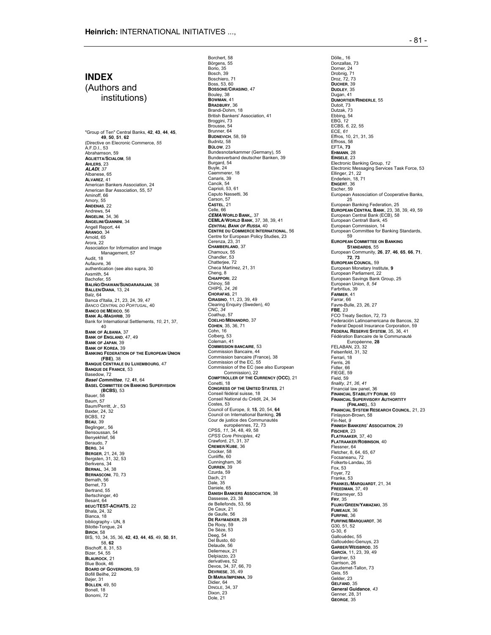# **INDEX**

(Authors and institutions)

"Group of Ten" Central Banks, **42**, **43**, **44**, **45**, **49**, **50**, **51**, **62** (Directive on Elecronic Commerce, *55* A.F.D.I., 53 Abrahamson, 59 **AGLIETTA/SCIALOM**, 58 **AHLERS**, 23 **ALADI**, *37* Albanese, 65 **ALVAREZ**, 41 American Bankers Association, 24 American Bar Association, 55, 57 Aminoff, 66 Amory, 55 **ANDENAS**, 22 Andrews, 54 **ANGELINI**, 34, 36 **ANGELINI/GIANNINI**, 34 Angell Report, 44 **ARANGO**, 34 Arnold, 65 Arora, 22 Association for Information and Image Management, 57 Audit, 18 Aufauvre, 36 authentication (see also supra, 30 Axsmith, 54 Bachofer, 55 **BALIÑO/DHAWAN/SUNDARARAJAN**, 38 **BALLEN/DIANA**, 13, 24 Balz, 64 Banca d'Italia, 21, 23, 24, 39, 47 *BANCO CENTRAL DO PORTUGAL*, 40 **BANCO DE MÉXICO**, 56 **BANK AL-MAGHRIB**, 39 Bank for International Settlements, *10*, 21, 37, 40 **BANK OF ALBANIA**, 37 **BANK OF ENGLAND**, 47, 49 **BANK OF JAPAN**, 39 **BANK OF KOREA**, 39 **BANKING FEDERATION OF THE EUROPEAN UNION (FBE)**, 38 **BANQUE CENTRALE DU LUXEMBOURG**, 47 **BANQUE DE FRANCE**, 53 Basedow, 72 **Basel Committee**, *12*, **41**, 64 **BASEL COMMITTEE ON BANKING SUPERVISION (BCBS)**, 53 Bauer, 58 Baum, 57 Baum/Perritt, Jr., 53 Baxter, 24, 32 BCBS, *12* **BEAU**, 39 Beglinger,, 56 Bensoussan, 54 Benyekhlef, 56 Beraudo, 7 **BERG**, 34 **BERGER**, 21, 24, 39 Bergsten, 31, 32, 53 Berkvens, 34 **BERNAL**, 34, 38 **BERNASCONI**, 70, 73 Bernath, 56 Bernet, 73 Bertrand, 55 Bertschinger, 40 Besant, 64 **BEUC/TEST-ACHATS**, 22 Bhala, 24, 32 Bianca, 18 bibliography - UN, 8 Bilotte-Tongue, 24 **BIRCH**, 58 BIS, 10, 34, 35, 36, **42**, **43**, **44**, **45**, 49, **50**, **51**, 58, **62** Bischoff, 8, 31, 53 Bizer, 54, 55 **BLAUROCK**, 21 Blue Book, 46 **BOARD OF GOVERNORS**, 59 Bofill Beilhe, 22 Bøjer, 31 **BOLLEN**, 49, 50 Bonell, 18 Bonomi, 72

Borchert, 58 Börgens, 55 Borio, 35 Bosch, 39 Boschiero, 71 Boss, 53, 60 **BOSSONE/CIRASINO**, 47 Bouley, 38 **BOWMAN**, 41 **BRADBURY**, 36 Brandi-Dohrn, 18 British Bankers' Association, 41 Broggini, 73 Brousse, 54 Brunner, 64 **BUDNEVICH**, 58, 59 Budnitz, 58 **BÜLOW**, 23 Bundesnotarkammer (Germany), 55 Bundesverband deutscher Banken, 39 Burgard, 54 Buyle, 24 Caemmerer, 18 Canaris, 39 Cancik, 54 Caprioli, 53, 61 Caputo Nassetti, 36 Carson, 57 **CASTEL**, 21 Celle, 66 **CEMA/WORLD BANK,**, 37 **CEMLA/WORLD BANK**, 37, 38, 39, 41 **CENTRAL BANK OF RUSSA**, 40 **CENTRE DU COMMERCE INTERNATIONAL**, 56 Centre for European Policy Studies, 23 Cerenza, 23, 31 **CHAMBERLAND**, 37 Chamoux, 55 Chandler, 53 Chatterjee, 72 Checa Martínez, 21, 31 Cheng, 8 **CHIAPPORI**, 22 Chinoy, 58 CHIPS, *24*, *26* **CHORAFAS**, 21 **CIRASINO**, 11, 23, 39, 49 Clearing Enquiry (Sweden), 40 CNC, *34* Coathup, 57 **COELHO/MENANDRO**, 37 **COHEN**, 35, 36, 71 Cohn, 16 Colberg, 53 Coleman, 41 **COMMISSION BANCAIRE**, 53 Commission Bancaire, 44 Commission bancaire (France), 38 Commission of the EC, 55 Commission of the EC (see also European Commission), 22 **COMPTROLLER OF THE CURRENCY (OCC)**, 21 Conetti, 18 **CONGRESS OF THE UNITED STATES**, 21 Conseil fédéral suisse, 18 Conseil National du Crédit, 24, 34 Costes, 53 Council of Europe, *9*, **15**, 20, 54, **64** Council on International Banking, **26** Cour de justice des Communautés européennes, 72, 73 CPSS, *11*, 34, 48, 49, 58 *CPSS Core Principles*, *42* Crawford, 21, 31, 37 **CREMER/KUBE**, 36 Crocker, 58 Cunliffe, 60 Cunningham, 36 **CURREN**, 39 Czurda, 59 Dach, 21 Dale, 35 Daniele, 65 **DANISH BANKERS ASSOCIATION**, 38 Dassesse, 23, 38 de Bellefonds, 53, 56 De Caux, 21 de Gaulle, 56 **DE RAYMAEKER**, 28 De Rooy, 59 De Sèze, 53 Deeg, 54 Del Busto, 60 Delaude, 56 Delierneux, 21 Delpiazzo, 23 derivatives, 52 Devos, 34, 37, 66, 70 **DEVRIESE**, 35, 49 **DI MARIA/IMPENNA**, 39 Didier, 64 DINGLE, 34, 37 Dixon, 23 Dole, 21

Dölle., 16 Donzallas, 73 Dorner, 24 Drobnig, 71 Droz, 72, 73 **DUCHER**, 39 **DUDLEY**, 35 Dugan, 41 **DUMORTIER/RINDERLE**, 55 Dutoit, 73 Dutzak, 73 Ebbing, 54 EBG, *12* ECBS, *6*, 22, 55 ECE, *61* Effros, 10, 21, 31, 35 Effross, 58 EFTA, **73 EHMANN**, 28 **EINSELE**, 23 Electronic Banking Group, *12* Electronic Messaging Services Task Force, 53 Ellinger, 21, 22 Enderlein, 18, 71 **ENGERT**, 36 Escher, 59 European Assosciation of Cooperative Banks, 25 European Banking Federation, 25 **EUROPEAN CENTRAL BANK**, 23, 38, 39, 49, 59 European Central Bank (ECB), 58 European Centrañ Bank, 45 European Commission, 14 European Commission, 14 59 **EUROPEAN COMMITTEE ON BANKING STANDARDS**, 55 European Community, **26**, **27**, **46**, **65**, **66**, **71**, **72**, **73 EUROPEAN COUNCIL**, 59 European Monetary Institute, **9** European Parliament, 22 European Savings Bank Group, 25 European Union, *8*, *54* Farbritius, 39 **FARMER**, 41 Farrar, 66 Favre-Bulle, 23, 26, 27 **FBE**, *23* FCO Treaty Section, 72, 73 Federación Latinoamericana de Bancos, 32 Federal Deposit Insurance Corporation, 59 **FEDERAL RESERVE SYSTEM**, 35, 36, 41 Fédération Bancaire de le Communauté Européenne, **28** FELABAN, 23, 32 Felsenfeld, 31, 32 Ferrari, 18 Ferris, 26 Fidler, 66 FIEGE, 59 Field, 59 *finality*, *21*, *36*, *41* Financial law panel, 36 **FINANCIAL STABILITY FORUM**, 69 **FINANCIAL SUPERVISORY AUTHORTITY (FINLAND)**,, 53 **FINANCIAL SYSTEM RESEARCH COUNCIL**, 21, 23 Finlayson-Brown, 58 Fin-Net, *9* **FINNISH BANKERS' ASSOCIATION**, 29 **FISCHER**, 23 **FLATRAAKER**, 37, 40 **FLATRAAKER/ROBINSON**, 40 Flessner, 64 Fletcher, 8, 64, 65, 67 Focsaneanu, 72 Folkerts-Landau, 35 Fox, 53 Foyer, 72 Franke, 53 **FRANKEL/MARQUARDT**, 21, 34 **FREEDMAN**, 37, 49 Fritzemeyer, 53 **FRY**, 35 **FUJIKI/GREEN/YAMAZAKI**, 35 **FUMEAUX**, 36 **FURFINE**, 36 **FURFINE/MARQUARDT**, 36 G30, 51, 52 G-30, *6* Gallouédec, 55 Gallouédec-Genuys, 23 **GARBER/WEISBROD**, 35 **GARCÍA**, 11, 23, 39, 49 Gardner, 53 Garrison, 26 Gaudemet-Tallon, 73 Geis, 55 Gelder, 23 **GELFAND**, 35 **General Guidance**, *43* Genner, 28, 31 **GEORGE**, 35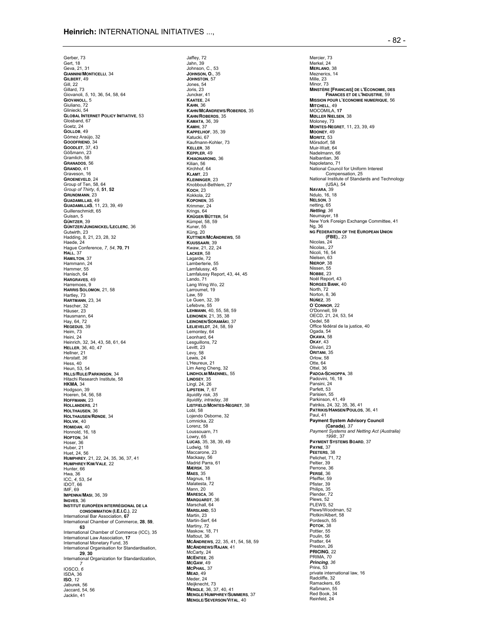Jaffey, 72

Gerber, 73 Gert, 18 Geva, 21, 31 **GIANNINI/MONTICELLI**, 34 **GILBERT**, 49 Gill, 22 Gillard, 73 Giovanoli, *5*, 10, 36, 54, 58, 64 **GIOVANOLI,**, 5 Giuliano, 72 Gliniecki, 54 **GLOBAL INTERNET POLICY INITIATIVE**, 53 Glosband, 67 Goetz, 24 **GOLLOB**, 49 Gómez Araújo, 32 **GOODFRIEND**, 34 **GOODLET**, 37, 43 Gößmann, 23 Gramlich, 58 **GRANADOS**, 56 **GRANDO**, 41 Graveson, 16 **GROENEVELD**, 24 Group of Ten, 58, 64 *Group of Thirty*, *6*, **51**, **52 GRUNDMANN**, 23 **GUADAMILLAS**, 49 **GUADAMILLAS**, 11, 23, 39, 49 Guillenschmidt, 65 Guisan, 5 **GÜNTZER**, 39 **GÜNTZER/JUNGNICKEL/LECLERC**, 36 Gutwirth, 23 Hadding, 8, 21, 23, 28, 32 Haede, 24 Hague Conference, *7*, *54*, **70**, **71 HALL**, 37 **HAMILTON**, 37 Hammann, 24 Hammer, 55 Hanisch, 64 **HARGRAVES**, 49 Harremoes, 9 **HARRIS SOLOMON**, 21, 58 Hartley, 73 **HARTMANN**, 23, 34 Hascher, 32 Häuser, 23 Hausmann, 64 Hay, 64, 72 **HEGEDUS**, 39 Heim, 73 Heini, 24 Heinrich, 32, 34, 43, 58, 61, 64 **HELLER**, 36, 40, 47 Hellner, 21 *Herstatt*, *36* Hess, 40 Heun, 53, 54 **HILLS/RULE/PARKINSON**, 34 Hitachi Research Institute, 58 **HKMA**, 34 Hodgson, 39 Hoeren, 54, 56, 58 **HOFFMANN**, 23 **HOLLANDERS**, 21 **HOLTHAUSEN**, 36 **HOLTHAUSEN/RØNDE**, 34 **HOLVIK**, 40 **HOMIDAN**, 40 Honnold, 16, 18 **HOPTON**, 34 Hoser, 36 Huber, 21 Huet, 24, 56 **HUMPHREY**, 21, 22, 24, 35, 36, 37, 41 **HUMPHREY/KIM/VALE**, 22 Hunter, 66 Hwa, 36 ICC, *4*, 53, *54* IDOT, 66 IMF, 69 **IMPENNA/MASI**, 36, 39 **INGVES**, 36 **INSTITUT EUROPÉEN INTERRÉGIONAL DE LA CONSOMMATION (I.E.I.C.)**, 22 International Bar Association, **67** International Chamber of Commerce, **28**, **59**, **63** International Chamber of Commerce (ICC), 35 International Law Association, **17** International Monetary Fund, 35 International Organisation for Standardisation, **29**, **30** International Organization for Standardization, *7* IOSCO, *6* ISDA, 36 **ISO**, *12* Jaburek, 56 Jaccard, 54, 56 Jacklin, 41

Jahn, 39 Johnson, C., 53 **JOHNSON, O.**, 35 **JOHNSTON**, 57 Jones, 54 Joris, 23 Juncker, 41 **KAATEE**, 24 **KAHN**, 36 **KAHN/MCANDREWS/ROBERDS**, 35 **KAHN/ROBERDS**, 35 **KAMATA**, 36, 39 **KAMHI**, 37 **KAPPELHOF**, 35, 39 Katucki, 67 Kaufmann-Kohler, 73 **KELLER**, 38 **KEPPLER**, 49 **KHIAONARONG**, 36 Kilian, 56 Kirchhof, 64 **KLAMT**, 23 **KLEININGER**, 23 KLEININGER, 23<br>Knobbout-Bethlem, 27 **KOCH**, 23 Kokkola, 22 **KOPONEN**, 35 Krimmer, 24 Krings, 64 **KRÜGER/BÜTTER**, 54 Kümpel, 58, 59 Kuner, 55 Küng, 20 **KUTTNER/MCANDREWS**, 58 **KUUSSAARI**, 39 Kwaw, 21, 22, 24 **LACKER**, 58 Lagarde, 72 Lamberterie, 55 Lamfalussy, 45 Lamfalussy Report, 43, 44, 45 Lando, 71 Lang Wing Wo, 22 Larroumet, 19 Law, 59 Le Guen, 32, 39 Lefebvre, 55 **LEHMANN**, 40, 55, 58, 59 **LEINONEN**, 21, 35, 38 **LEINONEN/SORAMÄKI**, 37 **LELIEVELDT**, 24, 58, 59 Lemontey, 64 Leonhard, 64 Lesguillons, 72 Levitt, 23 Levy, 58 Lewis, 24 L'Heureux, 21 Lim Aeng Cheng, 32 **LINDHOLM/MAENNEL**, 55 **LINDSEY**, 35 Lingl, 24, 26 **LIPSTEIN**, 7, 67 *liquidity risk*, *35 liquidity, intraday*, *38* **LISTFIELD/MONTES-NEGRET**, 38 Lobl, 58 Lojendo Osborne, 32 Lomnicka, 22 Lorenz, 58 Loussouarn, 71 Lowry, 65 **LUCAS**, 35, 38, 39, 49 Ludwig, 18 Maccarone, 23 Mackaay, 56 Madrid Parra, 61 **MÆRSK**, 38 **MAES**, 35 Magnus, 18 Malatesta, 72 Mann, 20 **MARESCA**, 36 **MARQUARDT**, 36 Marschall, 64 **MARSLAND**, 53 Martin, 23 Martin-Serf, 64 Martiny, 72 Maskow, 18, 71 Mattout, 36 **MCANDREWS**, 22, 35, 41, 54, 58, 59 **MCANDREWS/RAJAN**, 41 McCarty, 24 **MCENTEE**, 26 **MCGAW**, 49 **MCPHAIL**, 37 **MEAD**, 49 Meder, 24 Meijknecht, 73 **MENGLE**, 36, 37, 40, 41 **MENGLE/HUMPHREY/SUMMERS**, 37 **MENGLE/SEVERSON/VITAL**, 40

Mercier, 73 Merkel, 24 **MERLANO**, 38 Meznerics, 14 Mille, 23 Minor, 73 **MINSTÈRE [FRANCAIS] DE L'ECONOMIE, DES FINANCES ET DE L'INDUSTRIE**, 59 **MISSION POUR L'ECONOMIE NUMERIQUE**, 56 **MITCHELL**, 49 MOCOMILA, **17 MØLLER NIELSEN**, 38 Moloney, 73 **MONTES-NEGRET**, 11, 23, 39, 49 **MOONEY**, 49 **MORITZ**, 53 Mörsdorf, 58 Muir-Watt, 64 Nadelmann, 66 Nalbantian, 36 Napoletano, 71 National Council for Uniform Interest Compensation, 25 National Institute of Standards and Technology (USA), 54 **NAVARA**, 39 Ndulo, 16, 18 **NELSON**, 3 netting, 65 **Netting**, *36* Neumayer, 18 New York Foreign Exchange Committee, 41 Ng, 36 **NG FEDERATION OF THE EUROPEAN UNION (FBE)**,, 23 Nicolas, 24 Nicolas,, 27 Nicoli, 16, 54 Nielsen, 63 **NIEROP**, 38 Nissen, 55 **NOBBE**, 23 Noël Report, 43 **NORGES BANK**, 40 North, 72 Norton, 8, 36 **NÚÑEZ**, 35 **O´CONNOR**, 22 O'Donnell, 59 OECD, 21, 24, 53, 54 Oedel, 58 Office fédéral de la justice, 40 Ogada, 54 **OKAWA**, 58 **OKAY**, 43 Olivieri, 23 **ORITANI**, 35 Orlow, 58 Otte, 64 Ottel, 36 **PADOA-SCHIOPPA**, 38 Padovini, 16, 18 Pansini, 24 Parfett, 53 Parisien, 55 Parkinson, 41, 49 Patrikis, 24, 32, 35, 36, 41 **PATRIKIS/HANSEN/POULOS**, 36, 41 Paul, 41 **Payment System Advisory Council (Canada)**, *37 Payment Systems and Netting Act (Australia) 1998:*, 37 **PAYMENT SYSTEMS BOARD**, 37 **PAYNE**, 37 **PEETERS**, 38 Pelichet, 71, 72 Peltier, 39 Perrone, 36 **PERSÉ**, 36 Pfeiffer, 59 Pfister, 39 Philips, 35 Plender, 72 Plews, 52 PLEWS, 52 Plews/Woodman, 52 Plotkin/Albert, 58 Pordesch, 55 **POTOK**, 38 Pottier, 55 Poulin, 56 Pratter, 64 Preston, 26 **PRICING**, 22 PRIMA, *70* **Princing**, *36* Prins, 53 private international law, 16 Radcliffe, 32 Ramackers, 65 Raßmann, 55 Red Book, 34 Reinfeld, 24